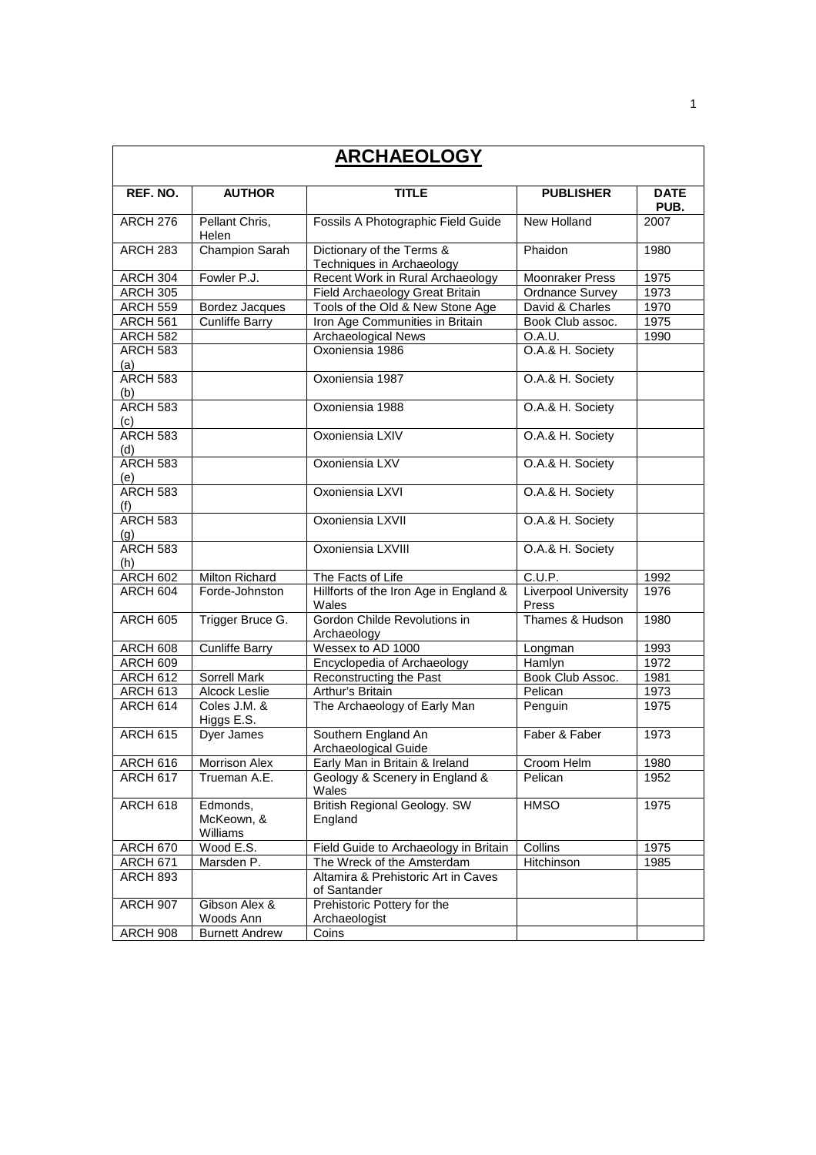| <b>ARCHAEOLOGY</b>     |                                    |                                                        |                                      |                     |  |  |
|------------------------|------------------------------------|--------------------------------------------------------|--------------------------------------|---------------------|--|--|
| REF. NO.               | <b>AUTHOR</b>                      | <b>TITLE</b>                                           | <b>PUBLISHER</b>                     | <b>DATE</b><br>PUB. |  |  |
| <b>ARCH 276</b>        | Pellant Chris,<br>Helen            | Fossils A Photographic Field Guide                     | New Holland                          | 2007                |  |  |
| <b>ARCH 283</b>        | <b>Champion Sarah</b>              | Dictionary of the Terms &<br>Techniques in Archaeology | Phaidon                              | 1980                |  |  |
| ARCH 304               | Fowler P.J.                        | Recent Work in Rural Archaeology                       | <b>Moonraker Press</b>               | 1975                |  |  |
| <b>ARCH 305</b>        |                                    | Field Archaeology Great Britain                        | <b>Ordnance Survey</b>               | 1973                |  |  |
| <b>ARCH 559</b>        | Bordez Jacques                     | Tools of the Old & New Stone Age                       | David & Charles                      | 1970                |  |  |
| <b>ARCH 561</b>        | <b>Cunliffe Barry</b>              | Iron Age Communities in Britain                        | Book Club assoc.                     | 1975                |  |  |
| <b>ARCH 582</b>        |                                    | <b>Archaeological News</b>                             | O.A.U.                               | 1990                |  |  |
| <b>ARCH 583</b><br>(a) |                                    | Oxoniensia 1986                                        | O.A.& H. Society                     |                     |  |  |
| ARCH 583<br>(b)        |                                    | Oxoniensia 1987                                        | O.A.& H. Society                     |                     |  |  |
| <b>ARCH 583</b><br>(c) |                                    | Oxoniensia 1988                                        | O.A.& H. Society                     |                     |  |  |
| <b>ARCH 583</b><br>(d) |                                    | Oxoniensia LXIV                                        | O.A.& H. Society                     |                     |  |  |
| <b>ARCH 583</b><br>(e) |                                    | Oxoniensia LXV                                         | O.A.& H. Society                     |                     |  |  |
| <b>ARCH 583</b><br>(f) |                                    | Oxoniensia LXVI                                        | O.A.& H. Society                     |                     |  |  |
| ARCH 583<br>(q)        |                                    | Oxoniensia LXVII                                       | O.A.& H. Society                     |                     |  |  |
| <b>ARCH 583</b><br>(h) |                                    | Oxoniensia LXVIII                                      | O.A.& H. Society                     |                     |  |  |
| <b>ARCH 602</b>        | Milton Richard                     | The Facts of Life                                      | C.U.P.                               | 1992                |  |  |
| ARCH 604               | Forde-Johnston                     | Hillforts of the Iron Age in England &<br>Wales        | <b>Liverpool University</b><br>Press | 1976                |  |  |
| <b>ARCH 605</b>        | Trigger Bruce G.                   | Gordon Childe Revolutions in<br>Archaeology            | Thames & Hudson                      | 1980                |  |  |
| <b>ARCH 608</b>        | <b>Cunliffe Barry</b>              | Wessex to AD 1000                                      | Longman                              | 1993                |  |  |
| ARCH 609               |                                    | Encyclopedia of Archaeology                            | Hamlyn                               | 1972                |  |  |
| ARCH 612               | Sorrell Mark                       | Reconstructing the Past                                | Book Club Assoc.                     | 1981                |  |  |
| <b>ARCH 613</b>        | <b>Alcock Leslie</b>               | Arthur's Britain                                       | Pelican                              | 1973                |  |  |
| <b>ARCH 614</b>        | Coles J.M. &<br>Higgs E.S.         | The Archaeology of Early Man                           | Penguin                              | 1975                |  |  |
| <b>ARCH 615</b>        | Dyer James                         | Southern England An<br>Archaeological Guide            | Faber & Faber                        | 1973                |  |  |
| <b>ARCH 616</b>        | Morrison Alex                      | Early Man in Britain & Ireland                         | Croom Helm                           | 1980                |  |  |
| ARCH 617               | Trueman A.E.                       | Geology & Scenery in England &<br>Wales                | Pelican                              | 1952                |  |  |
| ARCH 618               | Edmonds,<br>McKeown, &<br>Williams | <b>British Regional Geology. SW</b><br>England         | <b>HMSO</b>                          | 1975                |  |  |
| <b>ARCH 670</b>        | Wood E.S.                          | Field Guide to Archaeology in Britain                  | Collins                              | 1975                |  |  |
| <b>ARCH 671</b>        | Marsden P.                         | The Wreck of the Amsterdam                             | Hitchinson                           | 1985                |  |  |
| <b>ARCH 893</b>        |                                    | Altamira & Prehistoric Art in Caves<br>of Santander    |                                      |                     |  |  |
| <b>ARCH 907</b>        | Gibson Alex &<br>Woods Ann         | Prehistoric Pottery for the<br>Archaeologist           |                                      |                     |  |  |
| <b>ARCH 908</b>        | <b>Burnett Andrew</b>              | Coins                                                  |                                      |                     |  |  |

1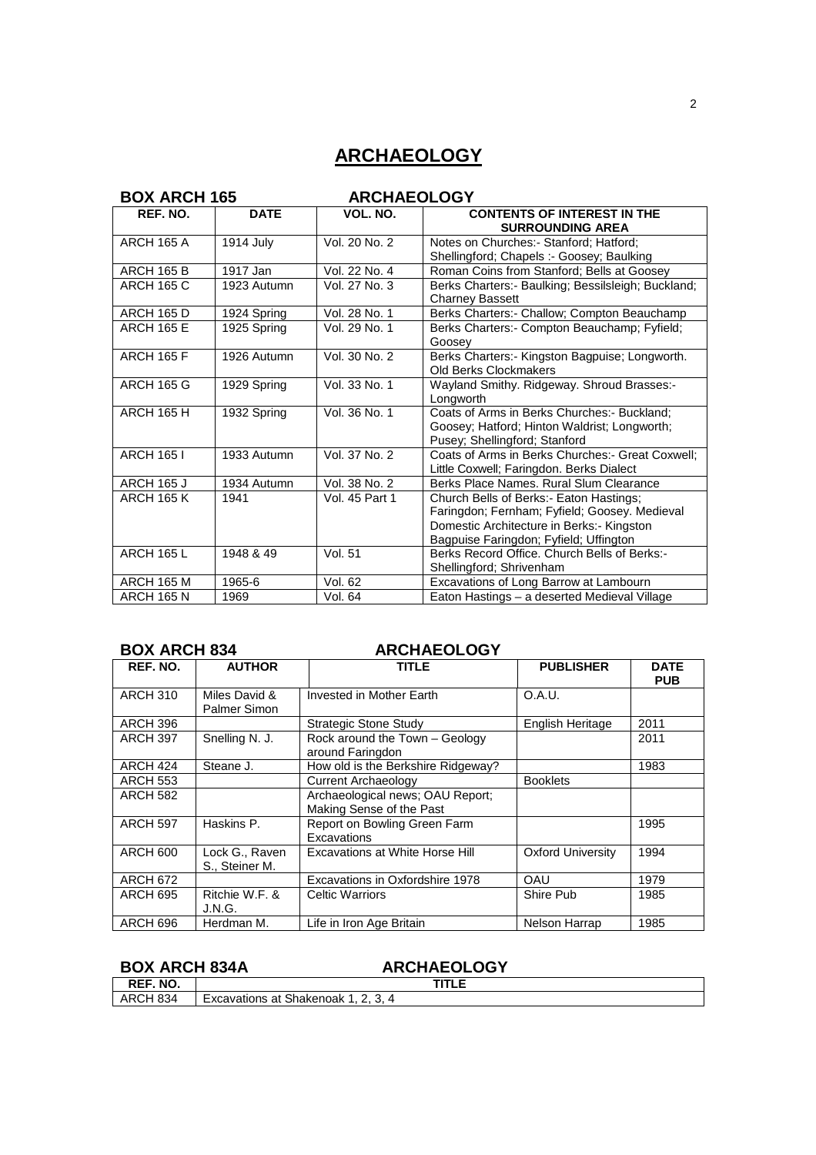# **ARCHAEOLOGY**

|                   | <b>BOX ARCH 165</b><br><b>ARCHAEOLOGY</b> |                |                                                                                                                                                                                 |  |
|-------------------|-------------------------------------------|----------------|---------------------------------------------------------------------------------------------------------------------------------------------------------------------------------|--|
| REF. NO.          | <b>DATE</b>                               | VOL. NO.       | <b>CONTENTS OF INTEREST IN THE</b><br><b>SURROUNDING AREA</b>                                                                                                                   |  |
| <b>ARCH 165 A</b> | 1914 July                                 | Vol. 20 No. 2  | Notes on Churches: - Stanford: Hatford:<br>Shellingford; Chapels :- Goosey; Baulking                                                                                            |  |
| <b>ARCH 165 B</b> | 1917 Jan                                  | Vol. 22 No. 4  | Roman Coins from Stanford; Bells at Goosey                                                                                                                                      |  |
| <b>ARCH 165 C</b> | 1923 Autumn                               | Vol. 27 No. 3  | Berks Charters: - Baulking; Bessilsleigh; Buckland;<br><b>Charney Bassett</b>                                                                                                   |  |
| <b>ARCH 165 D</b> | 1924 Spring                               | Vol. 28 No. 1  | Berks Charters:- Challow; Compton Beauchamp                                                                                                                                     |  |
| <b>ARCH 165 E</b> | 1925 Spring                               | Vol. 29 No. 1  | Berks Charters: - Compton Beauchamp; Fyfield;<br>Goosey                                                                                                                         |  |
| <b>ARCH 165 F</b> | 1926 Autumn                               | Vol. 30 No. 2  | Berks Charters:- Kingston Bagpuise; Longworth.<br>Old Berks Clockmakers                                                                                                         |  |
| <b>ARCH 165 G</b> | 1929 Spring                               | Vol. 33 No. 1  | Wayland Smithy. Ridgeway. Shroud Brasses:-<br>Longworth                                                                                                                         |  |
| <b>ARCH 165 H</b> | 1932 Spring                               | Vol. 36 No. 1  | Coats of Arms in Berks Churches:- Buckland;<br>Goosey; Hatford; Hinton Waldrist; Longworth;<br>Pusey; Shellingford; Stanford                                                    |  |
| <b>ARCH 1651</b>  | 1933 Autumn                               | Vol. 37 No. 2  | Coats of Arms in Berks Churches: - Great Coxwell:<br>Little Coxwell; Faringdon. Berks Dialect                                                                                   |  |
| <b>ARCH 165 J</b> | 1934 Autumn                               | Vol. 38 No. 2  | Berks Place Names, Rural Slum Clearance                                                                                                                                         |  |
| <b>ARCH 165 K</b> | 1941                                      | Vol. 45 Part 1 | Church Bells of Berks:- Eaton Hastings;<br>Faringdon; Fernham; Fyfield; Goosey. Medieval<br>Domestic Architecture in Berks:- Kingston<br>Bagpuise Faringdon; Fyfield; Uffington |  |
| <b>ARCH 165 L</b> | 1948 & 49                                 | Vol. 51        | Berks Record Office. Church Bells of Berks:-<br>Shellingford; Shrivenham                                                                                                        |  |
| <b>ARCH 165 M</b> | 1965-6                                    | Vol. 62        | Excavations of Long Barrow at Lambourn                                                                                                                                          |  |
| <b>ARCH 165 N</b> | 1969                                      | Vol. 64        | Eaton Hastings - a deserted Medieval Village                                                                                                                                    |  |

### **BOX ARCH 834 ARCHAEOLOGY**

| REF. NO.        | <b>AUTHOR</b>                        | <b>TITLE</b>                                                 | <b>PUBLISHER</b>         | <b>DATE</b><br><b>PUB</b> |
|-----------------|--------------------------------------|--------------------------------------------------------------|--------------------------|---------------------------|
| <b>ARCH 310</b> | Miles David &<br><b>Palmer Simon</b> | Invested in Mother Earth                                     | O.A.U.                   |                           |
| ARCH 396        |                                      | Strategic Stone Study                                        | English Heritage         | 2011                      |
| ARCH 397        | Snelling N. J.                       | Rock around the Town - Geology<br>around Faringdon           |                          | 2011                      |
| ARCH 424        | Steane J.                            | How old is the Berkshire Ridgeway?                           |                          | 1983                      |
| <b>ARCH 553</b> |                                      | Current Archaeology                                          | <b>Booklets</b>          |                           |
| <b>ARCH 582</b> |                                      | Archaeological news; OAU Report;<br>Making Sense of the Past |                          |                           |
| <b>ARCH 597</b> | Haskins P.                           | Report on Bowling Green Farm<br>Excavations                  |                          | 1995                      |
| <b>ARCH 600</b> | Lock G., Raven<br>S., Steiner M.     | Excavations at White Horse Hill                              | <b>Oxford University</b> | 1994                      |
| <b>ARCH 672</b> |                                      | Excavations in Oxfordshire 1978                              | OAU                      | 1979                      |
| ARCH 695        | Ritchie W.F. &<br>J.N.G.             | <b>Celtic Warriors</b>                                       | Shire Pub                | 1985                      |
| ARCH 696        | Herdman M.                           | Life in Iron Age Britain                                     | Nelson Harrap            | 1985                      |

## **BOX ARCH 834A ARCHAEOLOGY**

| NO.<br>DEE<br>יי |                                                      |  |
|------------------|------------------------------------------------------|--|
| 834<br>△⊷<br>-   | Shakenoak<br>$-200^\circ$<br>at<br>Excavations<br>J. |  |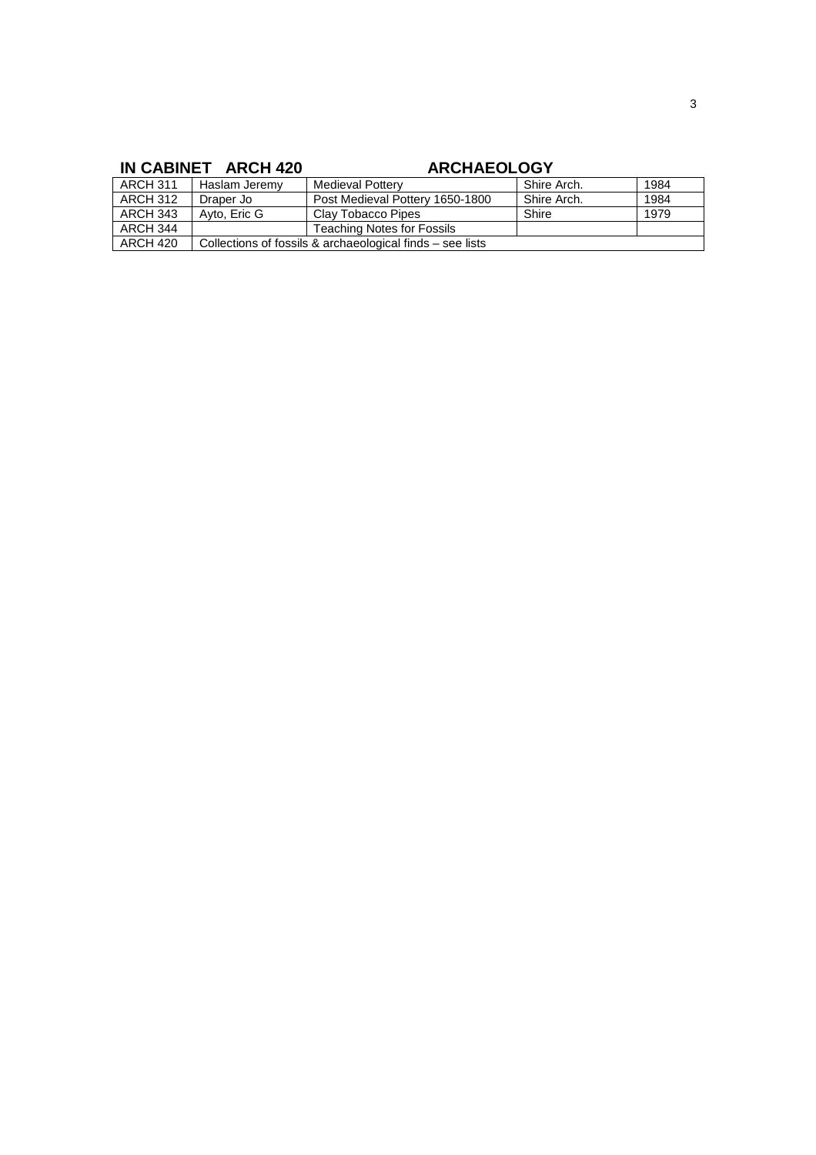## IN CABINET ARCH 420 **ARCHAEOLOGY**

| ARCH 311        | Haslam Jeremv                                               | <b>Medieval Pottery</b>           | Shire Arch. | 1984 |
|-----------------|-------------------------------------------------------------|-----------------------------------|-------------|------|
| <b>ARCH 312</b> | Draper Jo                                                   | Post Medieval Pottery 1650-1800   | Shire Arch. | 1984 |
| <b>ARCH 343</b> | Avto, Eric G                                                | Clav Tobacco Pipes                | Shire       | 1979 |
| ARCH 344        |                                                             | <b>Teaching Notes for Fossils</b> |             |      |
| ARCH 420        | Collections of fossils & archaeological finds $-$ see lists |                                   |             |      |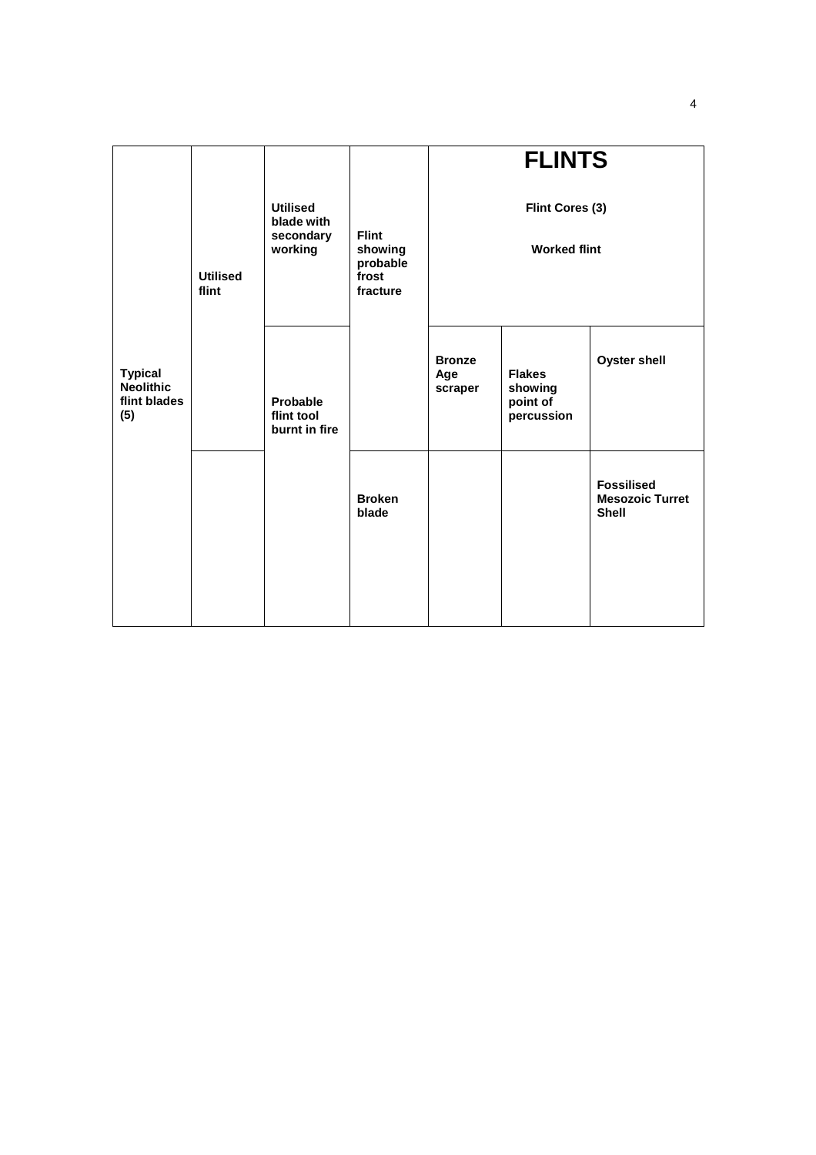|                                                           | <b>Utilised</b><br>flint | <b>Utilised</b><br>blade with<br>secondary<br>working | <b>Flint</b><br>showing<br>probable<br>frost<br>fracture | <b>FLINTS</b><br>Flint Cores (3)<br><b>Worked flint</b> |                                                    |                                                             |
|-----------------------------------------------------------|--------------------------|-------------------------------------------------------|----------------------------------------------------------|---------------------------------------------------------|----------------------------------------------------|-------------------------------------------------------------|
| <b>Typical</b><br><b>Neolithic</b><br>flint blades<br>(5) |                          | Probable<br>flint tool<br>burnt in fire               |                                                          | <b>Bronze</b><br>Age<br>scraper                         | <b>Flakes</b><br>showing<br>point of<br>percussion | <b>Oyster shell</b>                                         |
|                                                           |                          |                                                       | <b>Broken</b><br>blade                                   |                                                         |                                                    | <b>Fossilised</b><br><b>Mesozoic Turret</b><br><b>Shell</b> |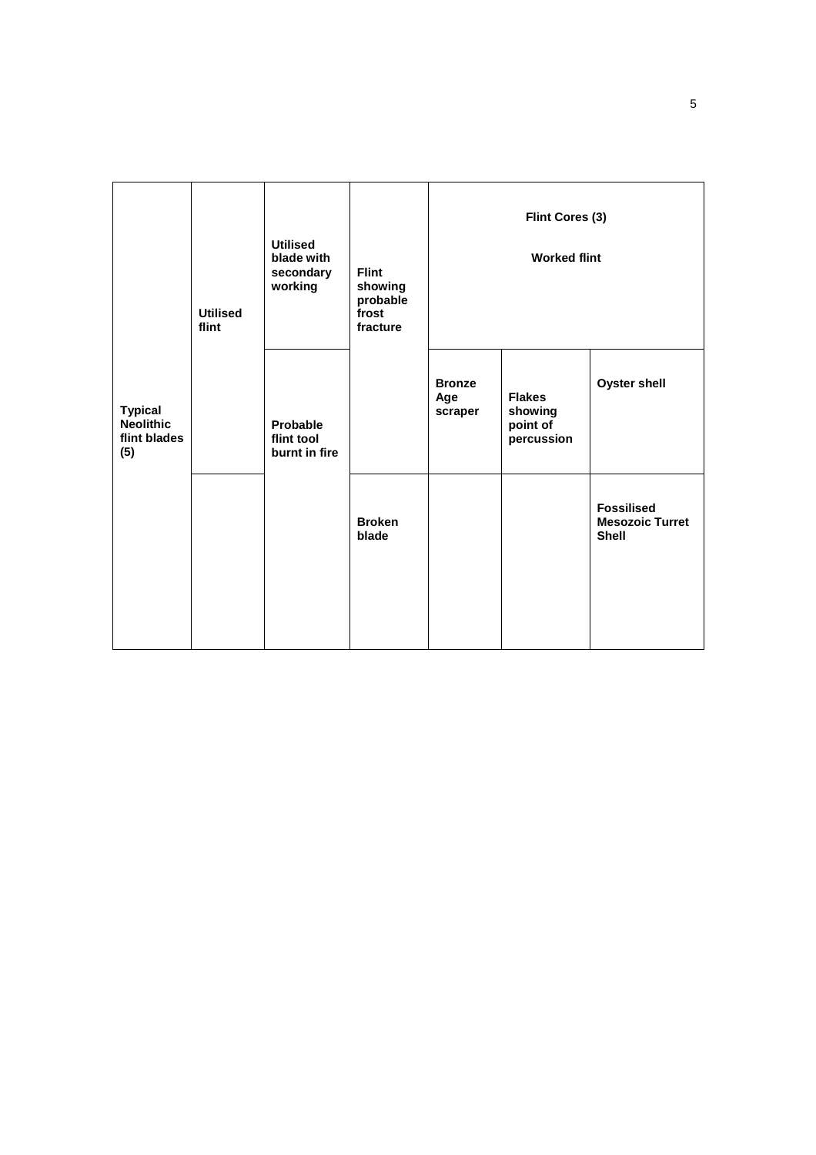|                                                           | <b>Utilised</b><br>flint | <b>Utilised</b><br>blade with<br>secondary<br>working | <b>Flint</b><br>showing<br>probable<br>frost<br>fracture |                                 | Flint Cores (3)<br><b>Worked flint</b>             |                                                             |
|-----------------------------------------------------------|--------------------------|-------------------------------------------------------|----------------------------------------------------------|---------------------------------|----------------------------------------------------|-------------------------------------------------------------|
| <b>Typical</b><br><b>Neolithic</b><br>flint blades<br>(5) |                          | Probable<br>flint tool<br>burnt in fire               |                                                          | <b>Bronze</b><br>Age<br>scraper | <b>Flakes</b><br>showing<br>point of<br>percussion | <b>Oyster shell</b>                                         |
|                                                           |                          |                                                       | <b>Broken</b><br>blade                                   |                                 |                                                    | <b>Fossilised</b><br><b>Mesozoic Turret</b><br><b>Shell</b> |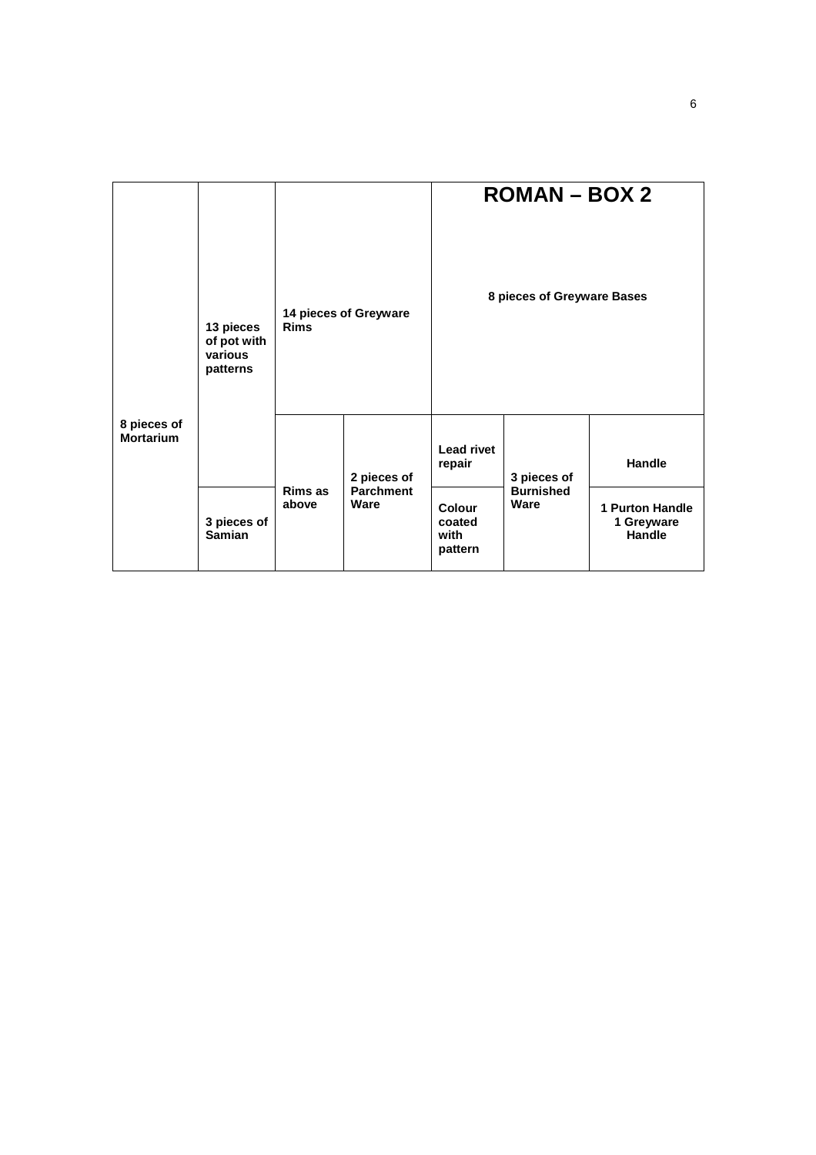|                                 |                                                 |                                      |                          |                                     | $ROMAN - BOX 2$          |                                                |
|---------------------------------|-------------------------------------------------|--------------------------------------|--------------------------|-------------------------------------|--------------------------|------------------------------------------------|
|                                 | 13 pieces<br>of pot with<br>various<br>patterns | 14 pieces of Greyware<br><b>Rims</b> |                          | 8 pieces of Greyware Bases          |                          |                                                |
| 8 pieces of<br><b>Mortarium</b> |                                                 |                                      | 2 pieces of              | <b>Lead rivet</b><br>repair         | 3 pieces of              | <b>Handle</b>                                  |
|                                 | 3 pieces of<br><b>Samian</b>                    | Rims as<br>above                     | <b>Parchment</b><br>Ware | Colour<br>coated<br>with<br>pattern | <b>Burnished</b><br>Ware | <b>1 Purton Handle</b><br>1 Greyware<br>Handle |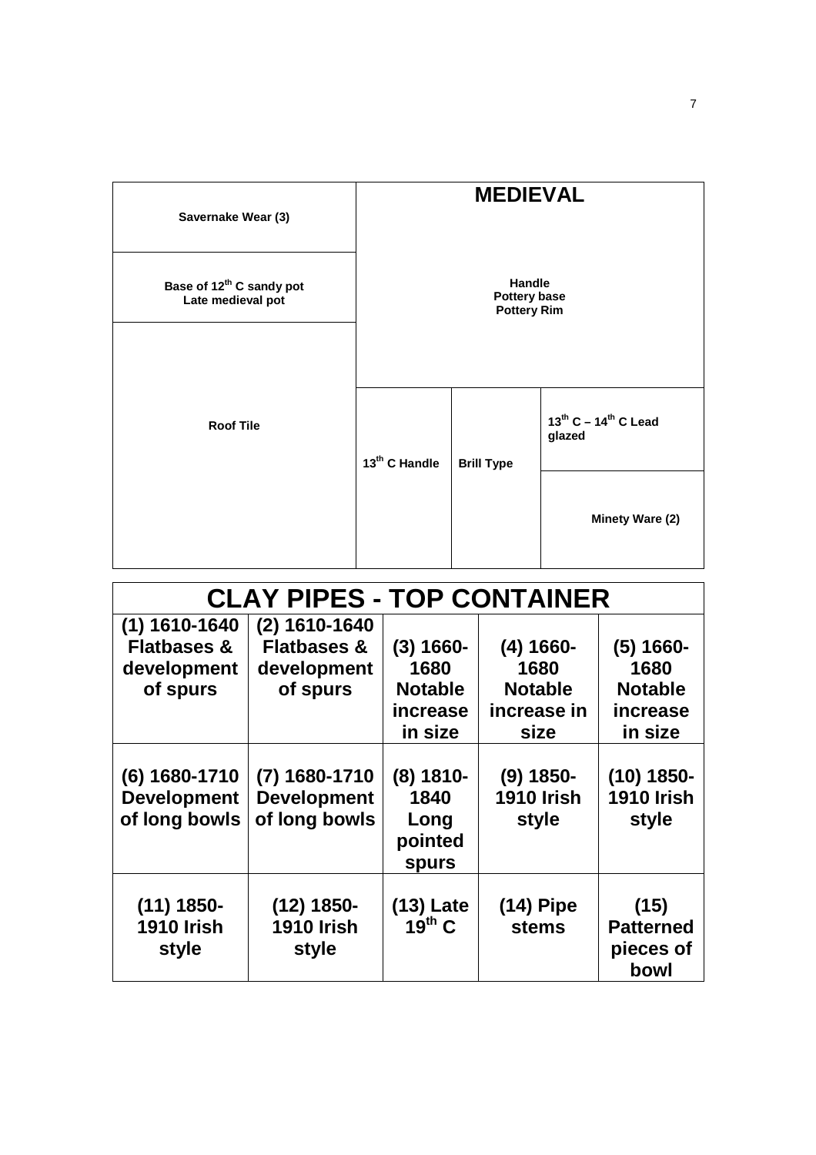| Savernake Wear (3)                                        |                           | <b>MEDIEVAL</b>                                     |                                          |
|-----------------------------------------------------------|---------------------------|-----------------------------------------------------|------------------------------------------|
| Base of 12 <sup>th</sup> C sandy pot<br>Late medieval pot |                           | <b>Handle</b><br>Pottery base<br><b>Pottery Rim</b> |                                          |
|                                                           |                           |                                                     |                                          |
| <b>Roof Tile</b>                                          | 13 <sup>th</sup> C Handle | <b>Brill Type</b>                                   | $13^{th}$ C – $14^{th}$ C Lead<br>glazed |
|                                                           |                           |                                                     | Minety Ware (2)                          |

|                                                      | <b>CLAY PIPES - TOP CONTAINER</b>                      |                                                               |                                                               |                                                              |  |  |
|------------------------------------------------------|--------------------------------------------------------|---------------------------------------------------------------|---------------------------------------------------------------|--------------------------------------------------------------|--|--|
| $(1)$ 1610-1640                                      | $(2)$ 1610-1640                                        |                                                               |                                                               |                                                              |  |  |
| <b>Flatbases &amp;</b><br>development<br>of spurs    | <b>Flatbases &amp;</b><br>development<br>of spurs      | $(3) 1660 -$<br>1680<br><b>Notable</b><br>increase<br>in size | $(4) 1660 -$<br>1680<br><b>Notable</b><br>increase in<br>size | $(5)$ 1660-<br>1680<br><b>Notable</b><br>increase<br>in size |  |  |
| (6) 1680-1710<br><b>Development</b><br>of long bowls | $(7)$ 1680-1710<br><b>Development</b><br>of long bowls | $(8)$ 1810-<br>1840<br>Long<br>pointed<br><b>spurs</b>        | $(9)$ 1850-<br><b>1910 Irish</b><br>style                     | $(10) 1850 -$<br><b>1910 Irish</b><br>style                  |  |  |
| $(11) 1850 -$<br><b>1910 Irish</b><br>style          | $(12) 1850 -$<br><b>1910 Irish</b><br>style            | $(13)$ Late<br>$19^{th}$ C                                    | $(14)$ Pipe<br><b>stems</b>                                   | (15)<br><b>Patterned</b><br>pieces of<br>bowl                |  |  |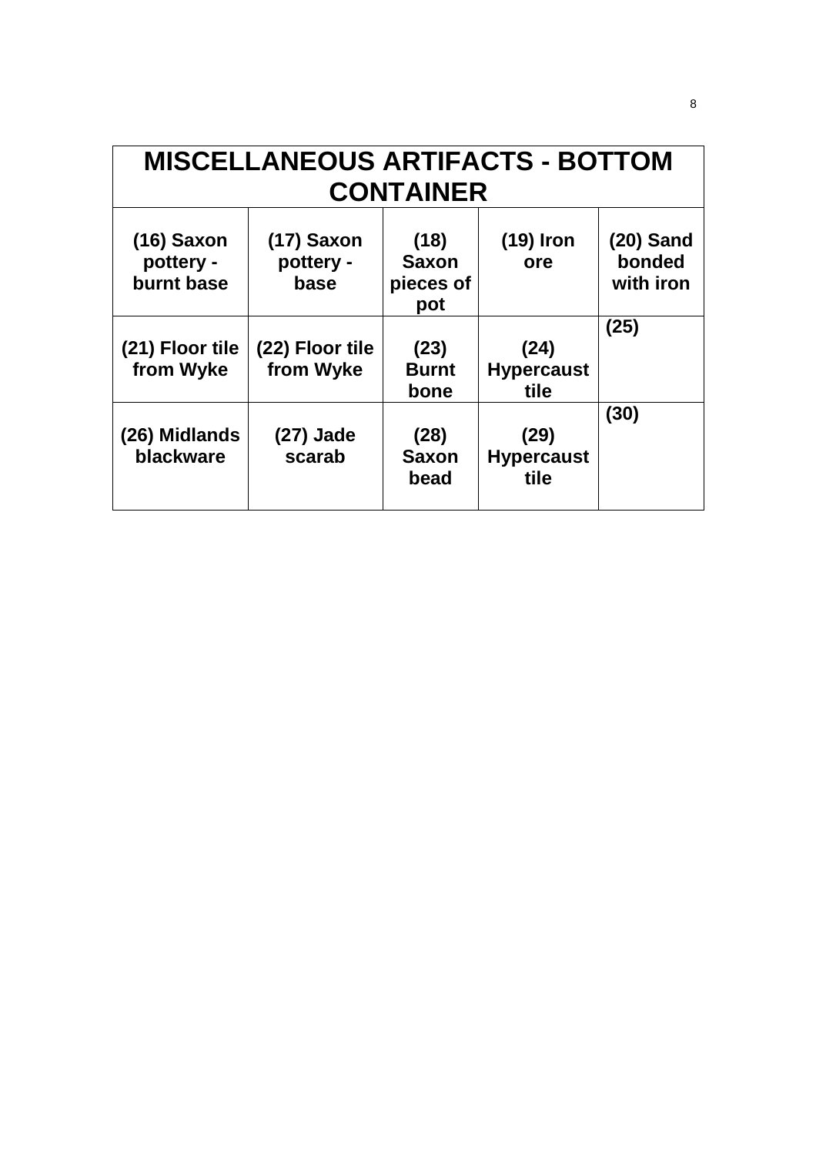| <b>MISCELLANEOUS ARTIFACTS - BOTTOM</b><br><b>CONTAINER</b> |                                 |                                          |                                   |                                    |  |
|-------------------------------------------------------------|---------------------------------|------------------------------------------|-----------------------------------|------------------------------------|--|
| $(16)$ Saxon<br>pottery -<br>burnt base                     | (17) Saxon<br>pottery -<br>base | (18)<br><b>Saxon</b><br>pieces of<br>pot | $(19)$ Iron<br>ore                | $(20)$ Sand<br>bonded<br>with iron |  |
| (21) Floor tile<br>from Wyke                                | (22) Floor tile<br>from Wyke    | (23)<br><b>Burnt</b><br>bone             | (24)<br><b>Hypercaust</b><br>tile | (25)                               |  |
| (26) Midlands<br>blackware                                  | (27) Jade<br>scarab             | (28)<br><b>Saxon</b><br>bead             | (29)<br><b>Hypercaust</b><br>tile | (30)                               |  |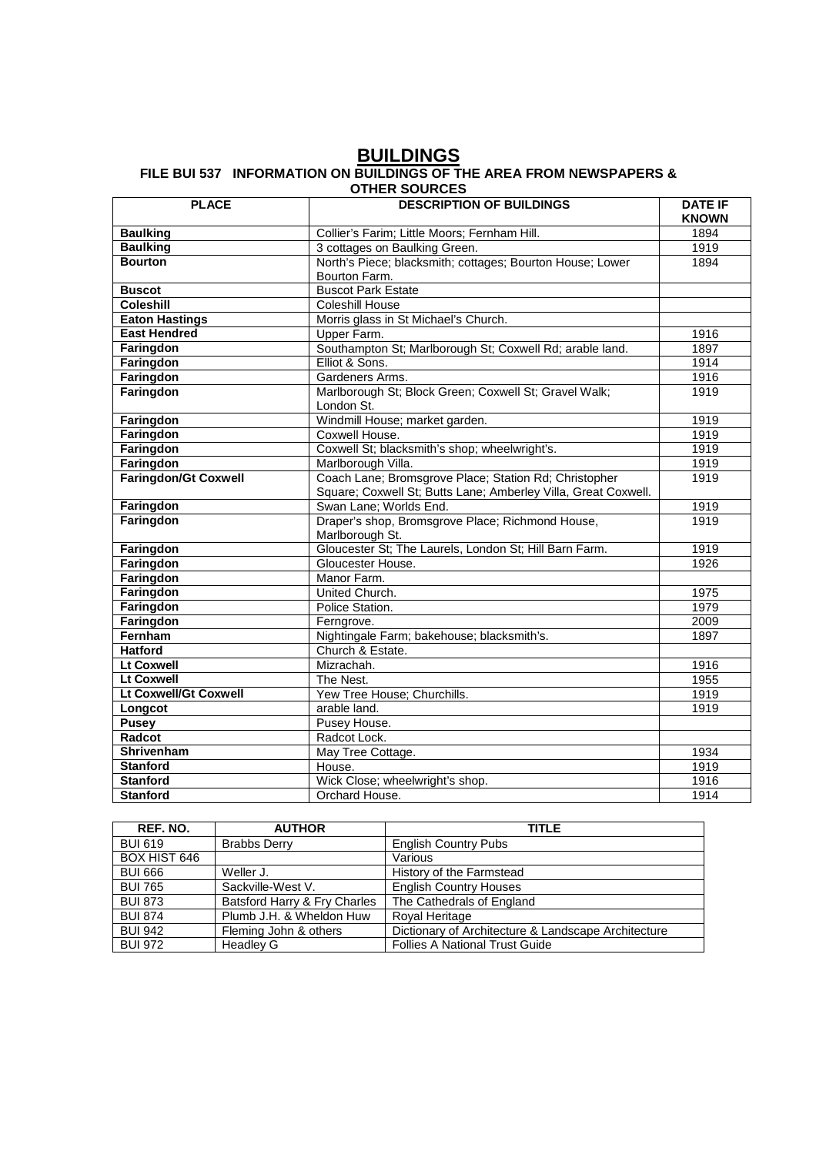### **BUILDINGS FILE BUI 537 INFORMATION ON BUILDINGS OF THE AREA FROM NEWSPAPERS & OTHER SOURCES**

| <b>PLACE</b>                | <b>DESCRIPTION OF BUILDINGS</b>                                | <b>DATE IF</b><br><b>KNOWN</b> |
|-----------------------------|----------------------------------------------------------------|--------------------------------|
| <b>Baulking</b>             | Collier's Farim; Little Moors; Fernham Hill.                   | 1894                           |
| <b>Baulking</b>             | 3 cottages on Baulking Green.                                  | 1919                           |
| <b>Bourton</b>              | North's Piece; blacksmith; cottages; Bourton House; Lower      | 1894                           |
|                             | Bourton Farm.                                                  |                                |
| <b>Buscot</b>               | <b>Buscot Park Estate</b>                                      |                                |
| <b>Coleshill</b>            | Coleshill House                                                |                                |
| <b>Eaton Hastings</b>       | Morris glass in St Michael's Church.                           |                                |
| <b>East Hendred</b>         | Upper Farm.                                                    | 1916                           |
| Faringdon                   | Southampton St; Marlborough St; Coxwell Rd; arable land.       | 1897                           |
| Faringdon                   | Elliot & Sons.                                                 | 1914                           |
| Faringdon                   | Gardeners Arms.                                                | 1916                           |
| Faringdon                   | Marlborough St; Block Green; Coxwell St; Gravel Walk;          | 1919                           |
|                             | London St.                                                     |                                |
| Faringdon                   | Windmill House; market garden.                                 | 1919                           |
| Faringdon                   | Coxwell House.                                                 | 1919                           |
| Faringdon                   | Coxwell St; blacksmith's shop; wheelwright's.                  | 1919                           |
| Faringdon                   | Marlborough Villa.                                             | 1919                           |
| <b>Faringdon/Gt Coxwell</b> | Coach Lane; Bromsgrove Place; Station Rd; Christopher          | 1919                           |
|                             | Square; Coxwell St; Butts Lane; Amberley Villa, Great Coxwell. |                                |
| Faringdon                   | Swan Lane; Worlds End.                                         | 1919                           |
| Faringdon                   | Draper's shop, Bromsgrove Place; Richmond House,               | 1919                           |
|                             | Marlborough St.                                                |                                |
| Faringdon                   | Gloucester St; The Laurels, London St; Hill Barn Farm.         | 1919                           |
| Faringdon                   | Gloucester House.                                              | 1926                           |
| Faringdon                   | Manor Farm.                                                    |                                |
| Faringdon                   | United Church.                                                 | 1975                           |
| Faringdon                   | Police Station.                                                | 1979                           |
| Faringdon                   | Ferngrove.                                                     | 2009                           |
| Fernham                     | Nightingale Farm; bakehouse; blacksmith's.                     | 1897                           |
| <b>Hatford</b>              | Church & Estate.                                               |                                |
| <b>Lt Coxwell</b>           | Mizrachah.                                                     | 1916                           |
| <b>Lt Coxwell</b>           | The Nest.                                                      | 1955                           |
| Lt Coxwell/Gt Coxwell       | Yew Tree House; Churchills.                                    | 1919                           |
| Longcot                     | arable land.                                                   | 1919                           |
| <b>Pusey</b>                | Pusey House.                                                   |                                |
| Radcot                      | Radcot Lock.                                                   |                                |
| Shrivenham                  | May Tree Cottage.                                              | 1934                           |
| <b>Stanford</b>             | House.                                                         | 1919                           |
| <b>Stanford</b>             | Wick Close; wheelwright's shop.                                | 1916                           |
| <b>Stanford</b>             | Orchard House.                                                 | 1914                           |

| REF. NO.            | <b>AUTHOR</b>                | <b>TITLE</b>                                        |
|---------------------|------------------------------|-----------------------------------------------------|
| <b>BUI 619</b>      | <b>Brabbs Derry</b>          | <b>English Country Pubs</b>                         |
| <b>BOX HIST 646</b> |                              | Various                                             |
| <b>BUI 666</b>      | Weller J.                    | History of the Farmstead                            |
| <b>BUI 765</b>      | Sackville-West V.            | <b>English Country Houses</b>                       |
| <b>BUI 873</b>      | Batsford Harry & Fry Charles | The Cathedrals of England                           |
| <b>BUI 874</b>      | Plumb J.H. & Wheldon Huw     | Roval Heritage                                      |
| <b>BUI 942</b>      | Fleming John & others        | Dictionary of Architecture & Landscape Architecture |
| <b>BUI 972</b>      | Headley G                    | <b>Follies A National Trust Guide</b>               |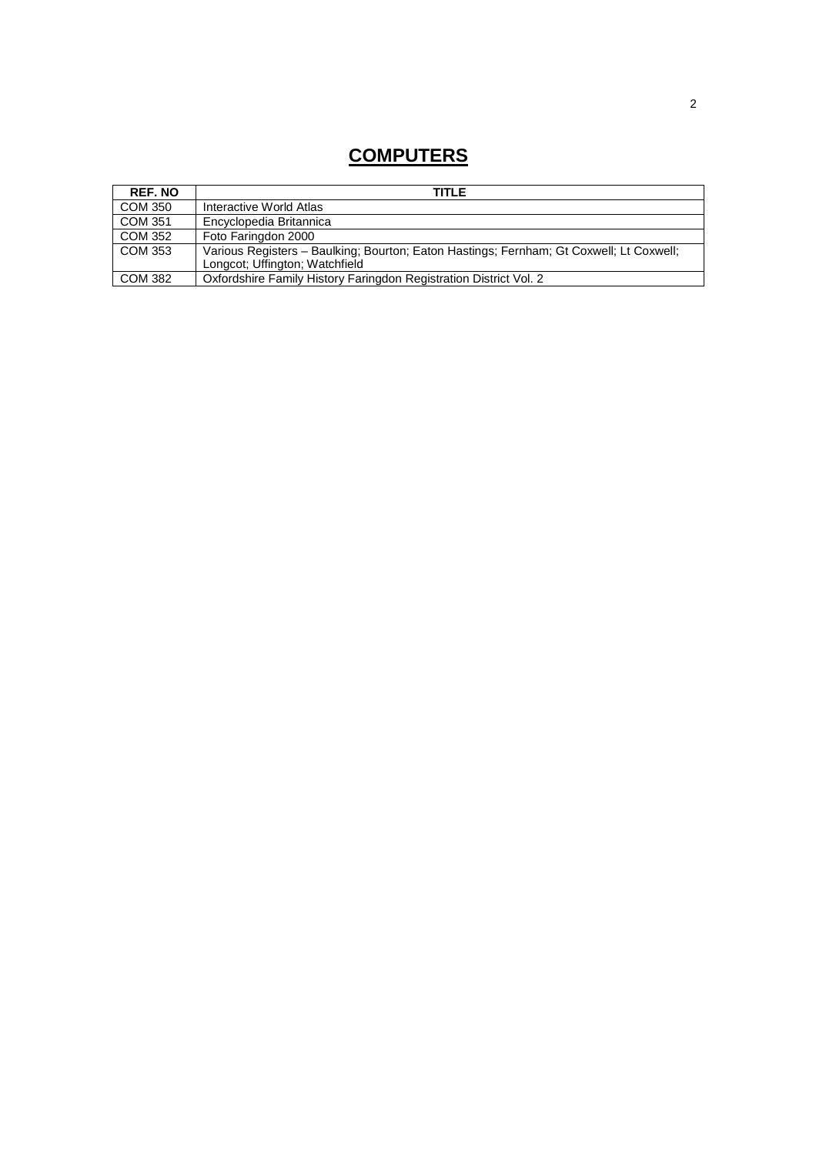# **COMPUTERS**

| <b>REF. NO</b> | <b>TITLE</b>                                                                                                              |
|----------------|---------------------------------------------------------------------------------------------------------------------------|
| COM 350        | Interactive World Atlas                                                                                                   |
| COM 351        | Encyclopedia Britannica                                                                                                   |
| COM 352        | Foto Faringdon 2000                                                                                                       |
| COM 353        | Various Registers - Baulking; Bourton; Eaton Hastings; Fernham; Gt Coxwell; Lt Coxwell;<br>Longcot; Uffington; Watchfield |
| COM 382        | Oxfordshire Family History Faringdon Registration District Vol. 2                                                         |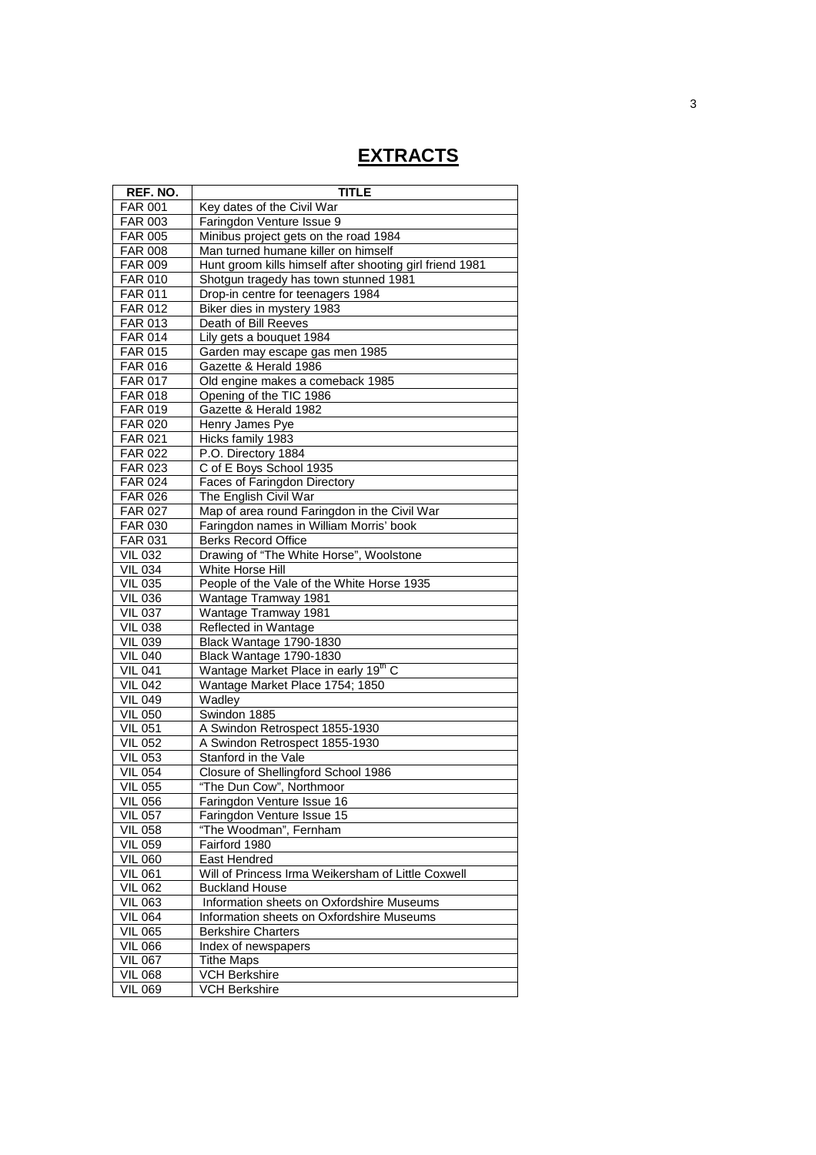# **EXTRACTS**

| REF. NO.                         | <b>TITLE</b>                                             |
|----------------------------------|----------------------------------------------------------|
| <b>FAR 001</b>                   | Key dates of the Civil War                               |
| <b>FAR 003</b>                   | Faringdon Venture Issue 9                                |
| <b>FAR 005</b>                   | Minibus project gets on the road 1984                    |
| <b>FAR 008</b>                   | Man turned humane killer on himself                      |
| FAR 009                          | Hunt groom kills himself after shooting girl friend 1981 |
| <b>FAR 010</b>                   | Shotgun tragedy has town stunned 1981                    |
| <b>FAR 011</b>                   | Drop-in centre for teenagers 1984                        |
| <b>FAR 012</b>                   | Biker dies in mystery 1983                               |
| FAR 013                          | Death of Bill Reeves                                     |
| <b>FAR 014</b>                   | Lily gets a bouquet 1984                                 |
| <b>FAR 015</b>                   | Garden may escape gas men 1985                           |
| <b>FAR 016</b>                   | Gazette & Herald 1986                                    |
| <b>FAR 017</b>                   | Old engine makes a comeback 1985                         |
| <b>FAR 018</b>                   | Opening of the TIC 1986                                  |
| <b>FAR 019</b>                   | Gazette & Herald 1982                                    |
| <b>FAR 020</b>                   | Henry James Pye                                          |
| FAR 021                          | Hicks family 1983                                        |
| <b>FAR 022</b>                   | P.O. Directory 1884                                      |
| FAR 023                          | C of E Boys School 1935                                  |
| <b>FAR 024</b>                   | <b>Faces of Faringdon Directory</b>                      |
| <b>FAR 026</b>                   | The English Civil War                                    |
| <b>FAR 027</b>                   | Map of area round Faringdon in the Civil War             |
| <b>FAR 030</b>                   | Faringdon names in William Morris' book                  |
| FAR 031                          | <b>Berks Record Office</b>                               |
| <b>VIL 032</b>                   | Drawing of "The White Horse", Woolstone                  |
| <b>VIL 034</b>                   | White Horse Hill                                         |
| <b>VIL 035</b>                   | People of the Vale of the White Horse 1935               |
| <b>VIL 036</b>                   | Wantage Tramway 1981                                     |
| <b>VIL 037</b><br><b>VIL 038</b> | <b>Wantage Tramway 1981</b><br>Reflected in Wantage      |
| <b>VIL 039</b>                   | Black Wantage 1790-1830                                  |
| <b>VIL 040</b>                   | Black Wantage 1790-1830                                  |
| <b>VIL 041</b>                   | Wantage Market Place in early 19 <sup>th</sup> C         |
| <b>VIL 042</b>                   | Wantage Market Place 1754; 1850                          |
| <b>VIL 049</b>                   | Wadley                                                   |
| <b>VIL 050</b>                   | Swindon 1885                                             |
| <b>VIL 051</b>                   | A Swindon Retrospect 1855-1930                           |
| <b>VIL 052</b>                   | A Swindon Retrospect 1855-1930                           |
| <b>VIL 053</b>                   | Stanford in the Vale                                     |
| <b>VIL 054</b>                   | Closure of Shellingford School 1986                      |
| <b>VIL 055</b>                   | "The Dun Cow", Northmoor                                 |
| VIL 056                          | Faringdon Venture Issue 16                               |
| <b>VIL 057</b>                   | Faringdon Venture Issue 15                               |
| <b>VIL 058</b>                   | "The Woodman", Fernham                                   |
| <b>VIL 059</b>                   | Fairford 1980                                            |
| <b>VIL 060</b>                   | East Hendred                                             |
| <b>VIL 061</b>                   | Will of Princess Irma Weikersham of Little Coxwell       |
| <b>VIL 062</b>                   | <b>Buckland House</b>                                    |
| <b>VIL 063</b>                   | Information sheets on Oxfordshire Museums                |
| <b>VIL 064</b>                   | Information sheets on Oxfordshire Museums                |
| <b>VIL 065</b>                   | <b>Berkshire Charters</b>                                |
| <b>VIL 066</b>                   | Index of newspapers                                      |
| <b>VIL 067</b>                   | <b>Tithe Maps</b>                                        |
| <b>VIL 068</b>                   | <b>VCH Berkshire</b>                                     |
| <b>VIL 069</b>                   | <b>VCH Berkshire</b>                                     |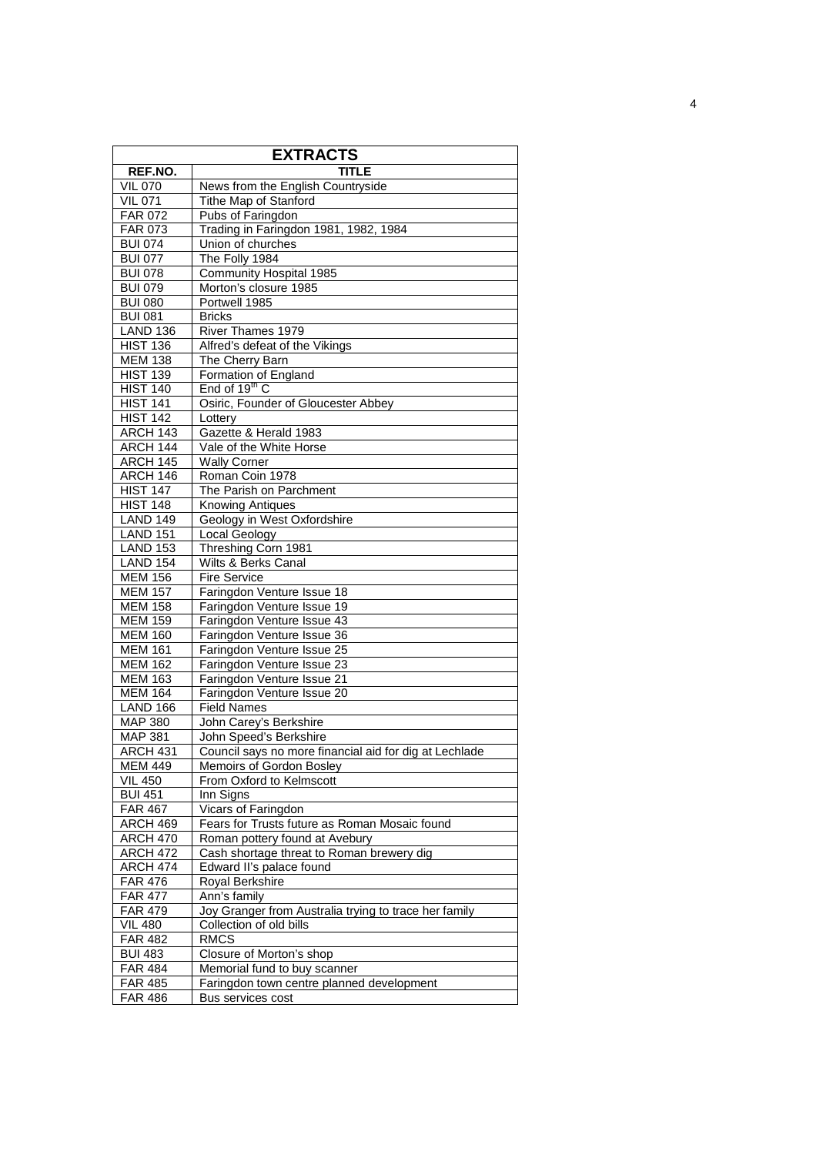| <b>EXTRACTS</b>                    |                                                        |  |  |
|------------------------------------|--------------------------------------------------------|--|--|
| REF.NO.                            | <b>TITLE</b>                                           |  |  |
| <b>VIL 070</b>                     | News from the English Countryside                      |  |  |
| <b>VIL 071</b>                     | Tithe Map of Stanford                                  |  |  |
| <b>FAR 072</b>                     | Pubs of Faringdon                                      |  |  |
| <b>FAR 073</b>                     | Trading in Faringdon 1981, 1982, 1984                  |  |  |
| <b>BUI 074</b>                     | Union of churches                                      |  |  |
| <b>BUI 077</b>                     | The Folly 1984                                         |  |  |
| <b>BUI 078</b>                     | <b>Community Hospital 1985</b>                         |  |  |
| <b>BUI 079</b>                     | Morton's closure 1985                                  |  |  |
| <b>BUI 080</b>                     | Portwell 1985                                          |  |  |
| <b>BUI 081</b>                     | <b>Bricks</b>                                          |  |  |
| <b>LAND 136</b>                    | River Thames 1979                                      |  |  |
| <b>HIST 136</b>                    | Alfred's defeat of the Vikings                         |  |  |
| <b>MEM 138</b>                     | The Cherry Barn                                        |  |  |
| <b>HIST 139</b>                    | Formation of England                                   |  |  |
| <b>HIST 140</b>                    | End of 19 <sup>th</sup> C                              |  |  |
| HIST $1\overline{41}$              | Osiric, Founder of Gloucester Abbey                    |  |  |
| HIST $1\overline{42}$              | Lottery                                                |  |  |
| <b>ARCH 143</b>                    | Gazette & Herald 1983                                  |  |  |
| ARCH 144                           | Vale of the White Horse                                |  |  |
| ARCH 145                           | <b>Wally Corner</b>                                    |  |  |
| ARCH 146                           | Roman Coin 1978                                        |  |  |
| <b>HIST 147</b>                    | The Parish on Parchment                                |  |  |
| <b>HIST 148</b>                    | <b>Knowing Antiques</b>                                |  |  |
| <b>LAND 149</b>                    | Geology in West Oxfordshire                            |  |  |
| <b>LAND 151</b>                    | Local Geology                                          |  |  |
| <b>LAND 153</b><br><b>LAND 154</b> | Threshing Corn 1981<br>Wilts & Berks Canal             |  |  |
| <b>MEM 156</b>                     | Fire Service                                           |  |  |
| <b>MEM 157</b>                     | Faringdon Venture Issue 18                             |  |  |
| <b>MEM 158</b>                     | Faringdon Venture Issue 19                             |  |  |
| <b>MEM 159</b>                     | Faringdon Venture Issue 43                             |  |  |
| <b>MEM 160</b>                     | Faringdon Venture Issue 36                             |  |  |
| <b>MEM 161</b>                     | Faringdon Venture Issue 25                             |  |  |
| <b>MEM 162</b>                     | Faringdon Venture Issue 23                             |  |  |
| <b>MEM 163</b>                     | Faringdon Venture Issue 21                             |  |  |
| <b>MEM 164</b>                     | Faringdon Venture Issue 20                             |  |  |
| <b>LAND 166</b>                    | <b>Field Names</b>                                     |  |  |
| <b>MAP 380</b>                     | John Carey's Berkshire                                 |  |  |
| MAP 381                            | John Speed's Berkshire                                 |  |  |
| <b>ARCH 431</b>                    | Council says no more financial aid for dig at Lechlade |  |  |
| <b>MEM 449</b>                     | Memoirs of Gordon Bosley                               |  |  |
| <b>VIL 450</b>                     | From Oxford to Kelmscott                               |  |  |
| <b>BUI 451</b>                     | Inn Signs                                              |  |  |
| <b>FAR 467</b>                     | Vicars of Faringdon                                    |  |  |
| <b>ARCH 469</b>                    | Fears for Trusts future as Roman Mosaic found          |  |  |
| <b>ARCH 470</b>                    | Roman pottery found at Avebury                         |  |  |
| <b>ARCH 472</b>                    | Cash shortage threat to Roman brewery dig              |  |  |
| ARCH 474                           | Edward II's palace found                               |  |  |
| <b>FAR 476</b>                     | Royal Berkshire                                        |  |  |
| <b>FAR 477</b>                     | Ann's family                                           |  |  |
| <b>FAR 479</b>                     | Joy Granger from Australia trying to trace her family  |  |  |
| <b>VIL 480</b>                     | Collection of old bills                                |  |  |
| <b>FAR 482</b>                     | <b>RMCS</b>                                            |  |  |
| <b>BUI 483</b>                     | Closure of Morton's shop                               |  |  |
| <b>FAR 484</b>                     | Memorial fund to buy scanner                           |  |  |
| <b>FAR 485</b>                     | Faringdon town centre planned development              |  |  |
| <b>FAR 486</b>                     | Bus services cost                                      |  |  |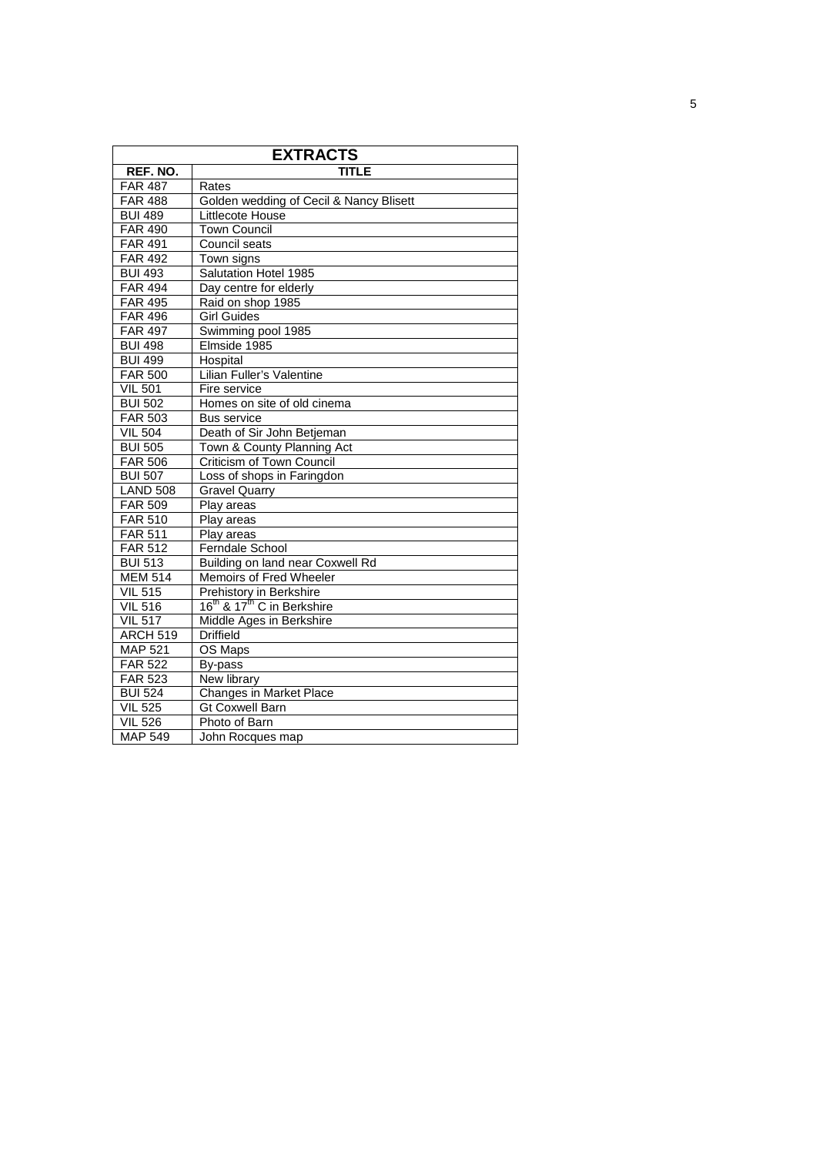| <b>EXTRACTS</b>       |                                                    |  |  |
|-----------------------|----------------------------------------------------|--|--|
| REF. NO.              | <b>TITLE</b>                                       |  |  |
| <b>FAR 487</b>        | Rates                                              |  |  |
| <b>FAR 488</b>        | Golden wedding of Cecil & Nancy Blisett            |  |  |
| <b>BUI 489</b>        | Littlecote House                                   |  |  |
| <b>FAR 490</b>        | <b>Town Council</b>                                |  |  |
| <b>FAR 491</b>        | Council seats                                      |  |  |
| <b>FAR 492</b>        | Town signs                                         |  |  |
| <b>BUI 493</b>        | Salutation Hotel 1985                              |  |  |
| <b>FAR 494</b>        | Day centre for elderly                             |  |  |
| <b>FAR 495</b>        | Raid on shop 1985                                  |  |  |
| <b>FAR 496</b>        | <b>Girl Guides</b>                                 |  |  |
| <b>FAR 497</b>        | Swimming pool 1985                                 |  |  |
| <b>BUI 498</b>        | Elmside 1985                                       |  |  |
| <b>BUI 499</b>        | Hospital                                           |  |  |
| <b>FAR 500</b>        | Lilian Fuller's Valentine                          |  |  |
| <b>VIL 501</b>        | Fire service                                       |  |  |
| <b>BUI 502</b>        | Homes on site of old cinema                        |  |  |
| FAR 503               | <b>Bus service</b>                                 |  |  |
| $\overline{V}$ IL 504 | Death of Sir John Betjeman                         |  |  |
| <b>BUI 505</b>        | Town & County Planning Act                         |  |  |
| <b>FAR 506</b>        | Criticism of Town Council                          |  |  |
| <b>BUI 507</b>        | Loss of shops in Faringdon                         |  |  |
| <b>LAND 508</b>       | <b>Gravel Quarry</b>                               |  |  |
| <b>FAR 509</b>        | Play areas                                         |  |  |
| <b>FAR 510</b>        | Play areas                                         |  |  |
| <b>FAR 511</b>        | Play areas                                         |  |  |
| <b>FAR 512</b>        | Ferndale School                                    |  |  |
| <b>BUI 513</b>        | Building on land near Coxwell Rd                   |  |  |
| <b>MEM 514</b>        | Memoirs of Fred Wheeler                            |  |  |
| <b>VIL 515</b>        | <b>Prehistory in Berkshire</b>                     |  |  |
| <b>VIL 516</b>        | 16 <sup>th</sup> & 17 <sup>th</sup> C in Berkshire |  |  |
| <b>VIL 517</b>        | Middle Ages in Berkshire                           |  |  |
| <b>ARCH 519</b>       | <b>Driffield</b>                                   |  |  |
| <b>MAP 521</b>        | OS Maps                                            |  |  |
| <b>FAR 522</b>        | By-pass                                            |  |  |
| FAR 523               | <b>New library</b>                                 |  |  |
| <b>BUI 524</b>        | Changes in Market Place                            |  |  |
| <b>VIL 525</b>        | <b>Gt Coxwell Barn</b>                             |  |  |
| <b>VIL 526</b>        | Photo of Barn                                      |  |  |
| <b>MAP 549</b>        | John Rocques map                                   |  |  |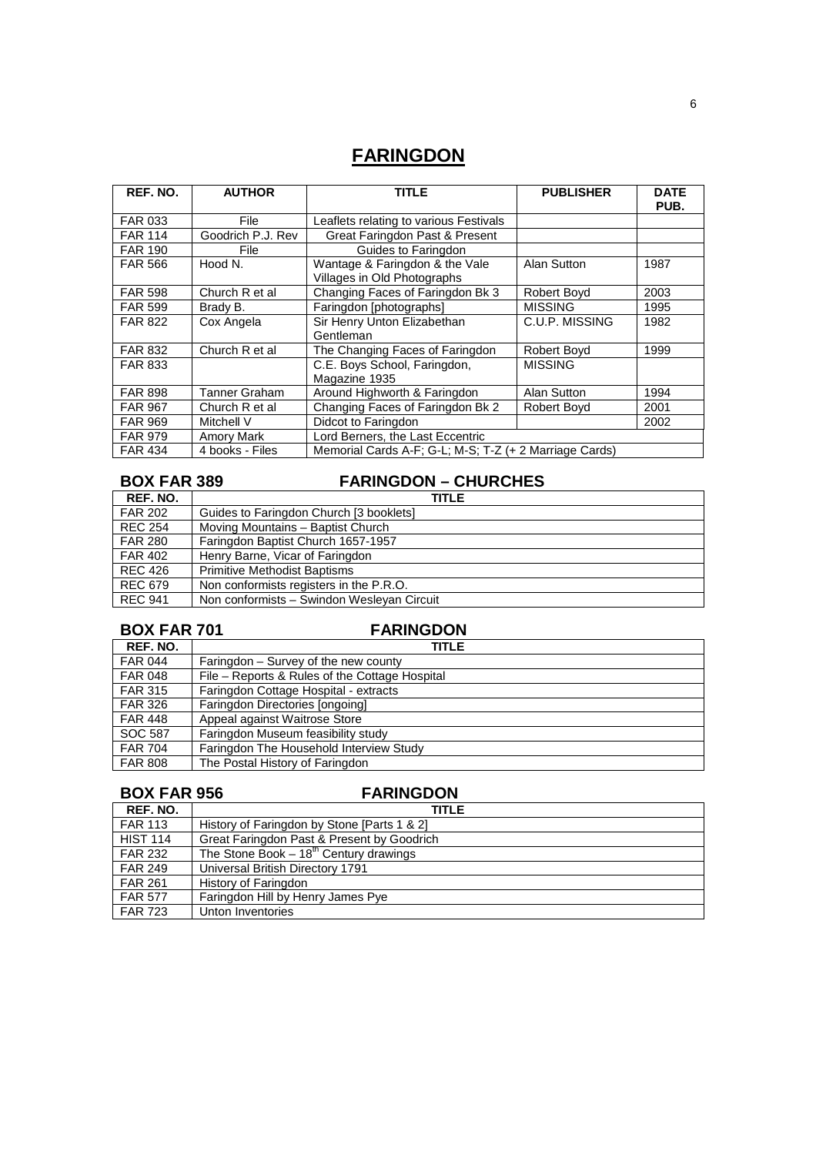# **FARINGDON**

| REF. NO.       | <b>AUTHOR</b>     | <b>TITLE</b>                                                  | <b>PUBLISHER</b> | <b>DATE</b><br>PUB. |
|----------------|-------------------|---------------------------------------------------------------|------------------|---------------------|
| <b>FAR 033</b> | File              | Leaflets relating to various Festivals                        |                  |                     |
| <b>FAR 114</b> | Goodrich P.J. Rev | Great Faringdon Past & Present                                |                  |                     |
| <b>FAR 190</b> | File              | Guides to Faringdon                                           |                  |                     |
| <b>FAR 566</b> | Hood N.           | Wantage & Faringdon & the Vale<br>Villages in Old Photographs | Alan Sutton      | 1987                |
| <b>FAR 598</b> | Church R et al    | Changing Faces of Faringdon Bk 3                              | Robert Bovd      | 2003                |
| <b>FAR 599</b> | Brady B.          | Faringdon [photographs]                                       | <b>MISSING</b>   | 1995                |
| <b>FAR 822</b> | Cox Angela        | Sir Henry Unton Elizabethan<br>Gentleman                      | C.U.P. MISSING   | 1982                |
| <b>FAR 832</b> | Church R et al    | The Changing Faces of Faringdon                               | Robert Boyd      | 1999                |
| <b>FAR 833</b> |                   | C.E. Boys School, Faringdon,<br>Magazine 1935                 | <b>MISSING</b>   |                     |
| <b>FAR 898</b> | Tanner Graham     | Around Highworth & Faringdon                                  | Alan Sutton      | 1994                |
| <b>FAR 967</b> | Church R et al    | Changing Faces of Faringdon Bk 2                              | Robert Boyd      | 2001                |
| <b>FAR 969</b> | Mitchell V        | Didcot to Faringdon                                           |                  | 2002                |
| <b>FAR 979</b> | Amory Mark        | Lord Berners, the Last Eccentric                              |                  |                     |
| <b>FAR 434</b> | 4 books - Files   | Memorial Cards A-F; G-L; M-S; T-Z (+ 2 Marriage Cards)        |                  |                     |

# **BOX FAR 389 FARINGDON – CHURCHES**

| REF. NO.       | <b>TITLE</b>                               |
|----------------|--------------------------------------------|
| <b>FAR 202</b> | Guides to Faringdon Church [3 booklets]    |
| <b>REC 254</b> | Moving Mountains - Baptist Church          |
| <b>FAR 280</b> | Faringdon Baptist Church 1657-1957         |
| <b>FAR 402</b> | Henry Barne, Vicar of Faringdon            |
| <b>REC 426</b> | <b>Primitive Methodist Baptisms</b>        |
| <b>REC 679</b> | Non conformists registers in the P.R.O.    |
| <b>REC 941</b> | Non conformists - Swindon Wesleyan Circuit |

## **BOX FAR 701** FARINGDON

| REF. NO.       | TITLE                                          |
|----------------|------------------------------------------------|
| <b>FAR 044</b> | Faringdon – Survey of the new county           |
| <b>FAR 048</b> | File – Reports & Rules of the Cottage Hospital |
| <b>FAR 315</b> | Faringdon Cottage Hospital - extracts          |
| <b>FAR 326</b> | Faringdon Directories [ongoing]                |
| <b>FAR 448</b> | Appeal against Waitrose Store                  |
| SOC 587        | Faringdon Museum feasibility study             |
| <b>FAR 704</b> | Faringdon The Household Interview Study        |
| <b>FAR 808</b> | The Postal History of Faringdon                |

| <b>BOX FAR 956</b> | <b>FARINGDON</b>                            |
|--------------------|---------------------------------------------|
| REF. NO.           | TITLE                                       |
| <b>FAR 113</b>     | History of Faringdon by Stone [Parts 1 & 2] |
| <b>HIST 114</b>    | Great Faringdon Past & Present by Goodrich  |
| <b>FAR 232</b>     | The Stone Book $-18^{th}$ Century drawings  |
| <b>FAR 249</b>     | Universal British Directory 1791            |
| <b>FAR 261</b>     | History of Faringdon                        |
| <b>FAR 577</b>     | Faringdon Hill by Henry James Pye           |
| <b>FAR 723</b>     | Unton Inventories                           |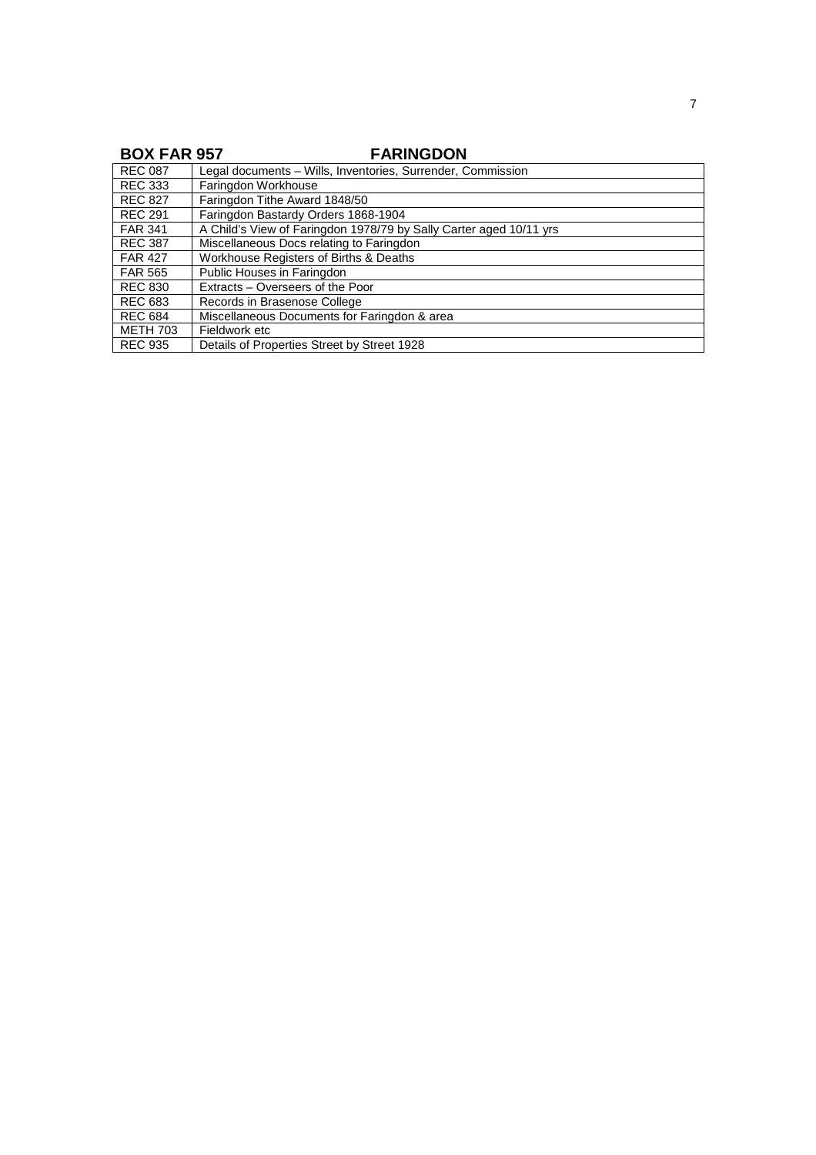## **BOX FAR 957 FARINGDON**

| <b>REC 087</b>  | Legal documents - Wills, Inventories, Surrender, Commission        |
|-----------------|--------------------------------------------------------------------|
| <b>REC 333</b>  | Faringdon Workhouse                                                |
| <b>REC 827</b>  | Faringdon Tithe Award 1848/50                                      |
| <b>REC 291</b>  | Faringdon Bastardy Orders 1868-1904                                |
| <b>FAR 341</b>  | A Child's View of Faringdon 1978/79 by Sally Carter aged 10/11 yrs |
| <b>REC 387</b>  | Miscellaneous Docs relating to Faringdon                           |
| <b>FAR 427</b>  | Workhouse Registers of Births & Deaths                             |
| FAR 565         | Public Houses in Faringdon                                         |
| <b>REC 830</b>  | Extracts – Overseers of the Poor                                   |
| <b>REC 683</b>  | Records in Brasenose College                                       |
| <b>REC 684</b>  | Miscellaneous Documents for Faringdon & area                       |
| <b>METH 703</b> | Fieldwork etc                                                      |
| <b>REC 935</b>  | Details of Properties Street by Street 1928                        |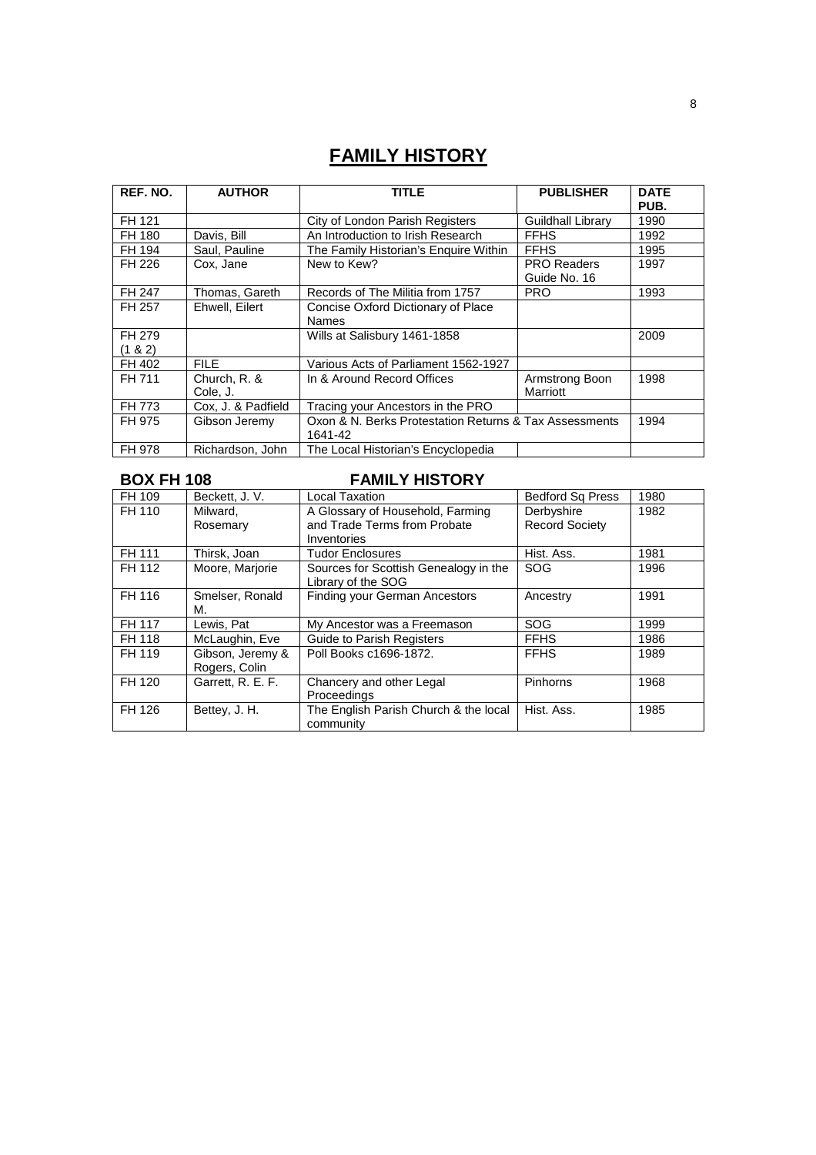# **FAMILY HISTORY**

| REF. NO.             | <b>AUTHOR</b>            | <b>TITLE</b>                                                      | <b>PUBLISHER</b>                   | <b>DATE</b><br>PUB. |
|----------------------|--------------------------|-------------------------------------------------------------------|------------------------------------|---------------------|
| FH 121               |                          | City of London Parish Registers                                   | <b>Guildhall Library</b>           | 1990                |
| FH 180               | Davis, Bill              | An Introduction to Irish Research                                 | <b>FFHS</b>                        | 1992                |
| FH 194               | Saul, Pauline            | The Family Historian's Enguire Within                             | <b>FFHS</b>                        | 1995                |
| FH 226               | Cox, Jane                | New to Kew?                                                       | <b>PRO Readers</b><br>Guide No. 16 | 1997                |
| FH 247               | Thomas, Gareth           | Records of The Militia from 1757                                  | <b>PRO</b>                         | 1993                |
| FH 257               | Ehwell, Eilert           | Concise Oxford Dictionary of Place<br><b>Names</b>                |                                    |                     |
| FH 279<br>$(1 \& 2)$ |                          | Wills at Salisbury 1461-1858                                      |                                    | 2009                |
| FH 402               | <b>FILE</b>              | Various Acts of Parliament 1562-1927                              |                                    |                     |
| FH 711               | Church, R. &<br>Cole, J. | In & Around Record Offices                                        | Armstrong Boon<br>Marriott         | 1998                |
| FH 773               | Cox, J. & Padfield       | Tracing your Ancestors in the PRO                                 |                                    |                     |
| FH 975               | Gibson Jeremy            | Oxon & N. Berks Protestation Returns & Tax Assessments<br>1641-42 |                                    | 1994                |
| FH 978               | Richardson, John         | The Local Historian's Encyclopedia                                |                                    |                     |

## **BOX FH 108** FAMILY HISTORY

| FH 109 | Beckett, J. V.                    | <b>Local Taxation</b>                                                           | <b>Bedford Sq Press</b>             | 1980 |
|--------|-----------------------------------|---------------------------------------------------------------------------------|-------------------------------------|------|
| FH 110 | Milward.<br>Rosemary              | A Glossary of Household, Farming<br>and Trade Terms from Probate<br>Inventories | Derbyshire<br><b>Record Society</b> | 1982 |
| FH 111 | Thirsk, Joan                      | <b>Tudor Enclosures</b>                                                         | Hist. Ass.                          | 1981 |
| FH 112 | Moore, Marjorie                   | Sources for Scottish Genealogy in the<br>Library of the SOG                     | <b>SOG</b>                          | 1996 |
| FH 116 | Smelser, Ronald<br>М.             | <b>Finding your German Ancestors</b>                                            | Ancestry                            | 1991 |
| FH 117 | Lewis, Pat                        | My Ancestor was a Freemason                                                     | <b>SOG</b>                          | 1999 |
| FH 118 | McLaughin, Eve                    | <b>Guide to Parish Registers</b>                                                | <b>FFHS</b>                         | 1986 |
| FH 119 | Gibson, Jeremy &<br>Rogers, Colin | Poll Books c1696-1872.                                                          | <b>FFHS</b>                         | 1989 |
| FH 120 | Garrett, R. E. F.                 | Chancery and other Legal<br>Proceedings                                         | Pinhorns                            | 1968 |
| FH 126 | Bettey, J. H.                     | The English Parish Church & the local<br>community                              | Hist. Ass.                          | 1985 |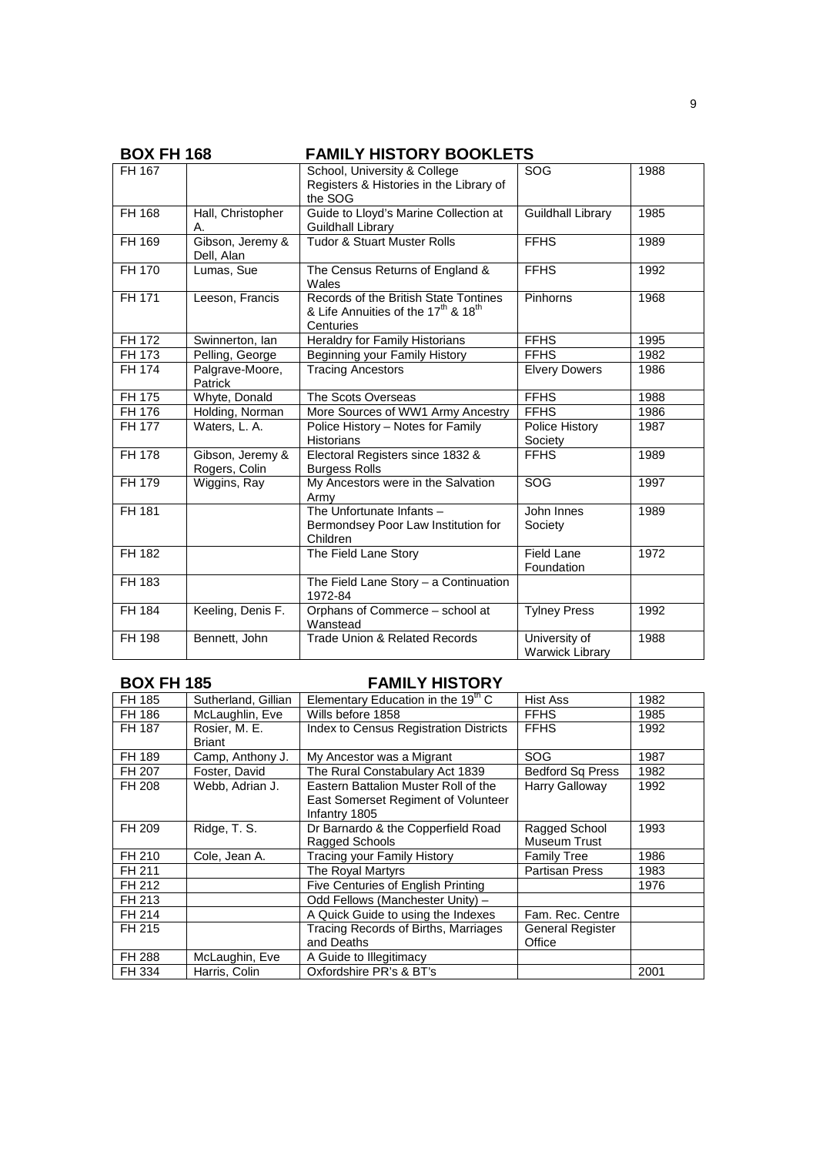| <b>BOX FH 168</b> |                                   | <b>FAMILY HISTORY BOOKLETS</b>                                                                                    |                                         |      |
|-------------------|-----------------------------------|-------------------------------------------------------------------------------------------------------------------|-----------------------------------------|------|
| FH 167            |                                   | School, University & College<br>Registers & Histories in the Library of<br>the SOG                                | <b>SOG</b>                              | 1988 |
| FH 168            | Hall, Christopher<br>А.           | Guide to Lloyd's Marine Collection at<br>Guildhall Library                                                        | <b>Guildhall Library</b>                | 1985 |
| FH 169            | Gibson, Jeremy &<br>Dell, Alan    | <b>Tudor &amp; Stuart Muster Rolls</b>                                                                            | <b>FFHS</b>                             | 1989 |
| FH 170            | Lumas, Sue                        | The Census Returns of England &<br>Wales                                                                          | <b>FFHS</b>                             | 1992 |
| FH 171            | Leeson, Francis                   | Records of the British State Tontines<br>& Life Annuities of the 17 <sup>th</sup> & 18 <sup>th</sup><br>Centuries | Pinhorns                                | 1968 |
| FH 172            | Swinnerton, Ian                   | Heraldry for Family Historians                                                                                    | <b>FFHS</b>                             | 1995 |
| FH 173            | Pelling, George                   | <b>Beginning your Family History</b>                                                                              | <b>FFHS</b>                             | 1982 |
| FH 174            | Palgrave-Moore,<br>Patrick        | <b>Tracing Ancestors</b>                                                                                          | <b>Elvery Dowers</b>                    | 1986 |
| FH 175            | Whyte, Donald                     | The Scots Overseas                                                                                                | <b>FFHS</b>                             | 1988 |
| FH 176            | Holding, Norman                   | More Sources of WW1 Army Ancestry                                                                                 | <b>FFHS</b>                             | 1986 |
| FH 177            | Waters, L. A.                     | Police History - Notes for Family<br><b>Historians</b>                                                            | Police History<br>Society               | 1987 |
| FH 178            | Gibson, Jeremy &<br>Rogers, Colin | Electoral Registers since 1832 &<br><b>Burgess Rolls</b>                                                          | <b>FFHS</b>                             | 1989 |
| FH 179            | Wiggins, Ray                      | My Ancestors were in the Salvation<br>Army                                                                        | SOG                                     | 1997 |
| FH 181            |                                   | The Unfortunate Infants -<br>Bermondsey Poor Law Institution for<br>Children                                      | John Innes<br>Society                   | 1989 |
| FH 182            |                                   | The Field Lane Story                                                                                              | Field Lane<br>Foundation                | 1972 |
| FH 183            |                                   | The Field Lane Story - a Continuation<br>1972-84                                                                  |                                         |      |
| FH 184            | Keeling, Denis F.                 | Orphans of Commerce - school at<br>Wanstead                                                                       | <b>Tylney Press</b>                     | 1992 |
| FH 198            | Bennett, John                     | <b>Trade Union &amp; Related Records</b>                                                                          | University of<br><b>Warwick Library</b> | 1988 |

# **BOX FH 185 FAMILY HISTORY**

| FH 185 | Sutherland, Gillian     | Elementary Education in the $19^{\mathrm{m}}$ C                                              | <b>Hist Ass</b>               | 1982 |
|--------|-------------------------|----------------------------------------------------------------------------------------------|-------------------------------|------|
| FH 186 | McLaughlin, Eve         | Wills before 1858                                                                            | <b>FFHS</b>                   | 1985 |
| FH 187 | Rosier, M. E.<br>Briant | <b>Index to Census Registration Districts</b>                                                | <b>FFHS</b>                   | 1992 |
| FH 189 | Camp, Anthony J.        | My Ancestor was a Migrant                                                                    | SOG                           | 1987 |
| FH 207 | Foster, David           | The Rural Constabulary Act 1839                                                              | <b>Bedford Sq Press</b>       | 1982 |
| FH 208 | Webb, Adrian J.         | Eastern Battalion Muster Roll of the<br>East Somerset Regiment of Volunteer<br>Infantry 1805 | Harry Galloway                | 1992 |
| FH 209 | Ridge, T. S.            | Dr Barnardo & the Copperfield Road<br>Ragged Schools                                         | Ragged School<br>Museum Trust | 1993 |
| FH 210 | Cole, Jean A.           | Tracing your Family History                                                                  | <b>Family Tree</b>            | 1986 |
| FH 211 |                         | The Royal Martyrs                                                                            | <b>Partisan Press</b>         | 1983 |
| FH 212 |                         | Five Centuries of English Printing                                                           |                               | 1976 |
| FH 213 |                         | Odd Fellows (Manchester Unity) -                                                             |                               |      |
| FH 214 |                         | A Quick Guide to using the Indexes                                                           | Fam. Rec. Centre              |      |
| FH 215 |                         | Tracing Records of Births, Marriages<br>and Deaths                                           | General Register<br>Office    |      |
| FH 288 | McLaughin, Eve          | A Guide to Illegitimacy                                                                      |                               |      |
| FH 334 | Harris, Colin           | Oxfordshire PR's & BT's                                                                      |                               | 2001 |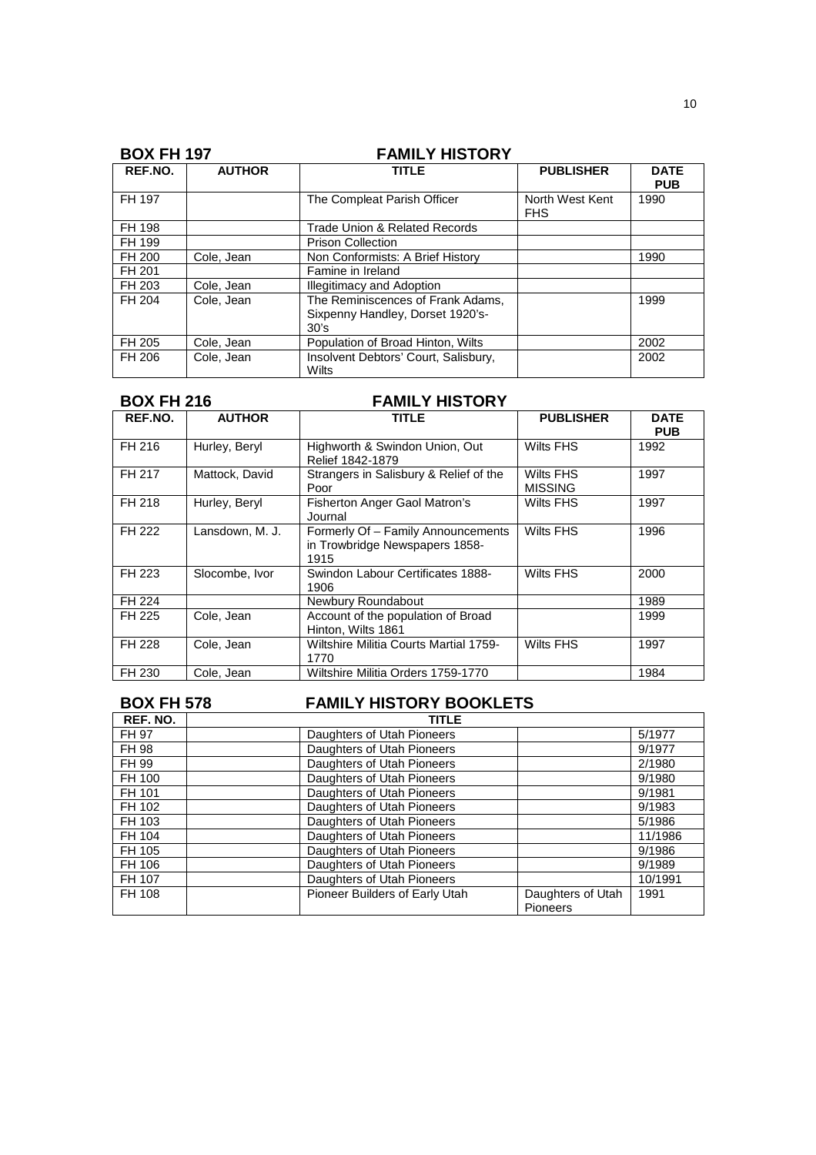| <b>BOX FH 197</b> |               | <b>FAMILY HISTORY</b>                                                         |                               |                           |
|-------------------|---------------|-------------------------------------------------------------------------------|-------------------------------|---------------------------|
| REF.NO.           | <b>AUTHOR</b> | TITLE                                                                         | <b>PUBLISHER</b>              | <b>DATE</b><br><b>PUB</b> |
| FH 197            |               | The Compleat Parish Officer                                                   | North West Kent<br><b>FHS</b> | 1990                      |
| FH 198            |               | Trade Union & Related Records                                                 |                               |                           |
| FH 199            |               | <b>Prison Collection</b>                                                      |                               |                           |
| FH 200            | Cole, Jean    | Non Conformists: A Brief History                                              |                               | 1990                      |
| FH 201            |               | Famine in Ireland                                                             |                               |                           |
| FH 203            | Cole, Jean    | <b>Illegitimacy and Adoption</b>                                              |                               |                           |
| FH 204            | Cole, Jean    | The Reminiscences of Frank Adams.<br>Sixpenny Handley, Dorset 1920's-<br>30's |                               | 1999                      |
| FH 205            | Cole, Jean    | Population of Broad Hinton, Wilts                                             |                               | 2002                      |
| FH 206            | Cole, Jean    | Insolvent Debtors' Court, Salisbury,<br>Wilts                                 |                               | 2002                      |

|  | <b>BOX FH 216</b> | <b>FAMILY HISTORY</b> |
|--|-------------------|-----------------------|
|--|-------------------|-----------------------|

| REF.NO. | <b>AUTHOR</b>   | TITLE                                                                        | <b>PUBLISHER</b>            | <b>DATE</b><br><b>PUB</b> |
|---------|-----------------|------------------------------------------------------------------------------|-----------------------------|---------------------------|
| FH 216  | Hurley, Beryl   | Highworth & Swindon Union, Out<br>Relief 1842-1879                           | Wilts FHS                   | 1992                      |
| FH 217  | Mattock, David  | Strangers in Salisbury & Relief of the<br>Poor                               | Wilts FHS<br><b>MISSING</b> | 1997                      |
| FH 218  | Hurley, Beryl   | Fisherton Anger Gaol Matron's<br>Journal                                     | Wilts FHS                   | 1997                      |
| FH 222  | Lansdown, M. J. | Formerly Of - Family Announcements<br>in Trowbridge Newspapers 1858-<br>1915 | <b>Wilts FHS</b>            | 1996                      |
| FH 223  | Slocombe, Ivor  | Swindon Labour Certificates 1888-<br>1906                                    | <b>Wilts FHS</b>            | 2000                      |
| FH 224  |                 | Newbury Roundabout                                                           |                             | 1989                      |
| FH 225  | Cole, Jean      | Account of the population of Broad<br>Hinton, Wilts 1861                     |                             | 1999                      |
| FH 228  | Cole, Jean      | Wiltshire Militia Courts Martial 1759-<br>1770                               | <b>Wilts FHS</b>            | 1997                      |
| FH 230  | Cole, Jean      | Wiltshire Militia Orders 1759-1770                                           |                             | 1984                      |

# **BOX FH 578 FAMILY HISTORY BOOKLETS**

| REF. NO. | <b>TITLE</b>                                                           |         |
|----------|------------------------------------------------------------------------|---------|
| FH 97    | Daughters of Utah Pioneers                                             | 5/1977  |
| FH 98    | Daughters of Utah Pioneers                                             | 9/1977  |
| FH 99    | Daughters of Utah Pioneers                                             | 2/1980  |
| FH 100   | Daughters of Utah Pioneers                                             | 9/1980  |
| FH 101   | Daughters of Utah Pioneers                                             | 9/1981  |
| FH 102   | Daughters of Utah Pioneers                                             | 9/1983  |
| FH 103   | Daughters of Utah Pioneers                                             | 5/1986  |
| FH 104   | Daughters of Utah Pioneers                                             | 11/1986 |
| FH 105   | Daughters of Utah Pioneers                                             | 9/1986  |
| FH 106   | Daughters of Utah Pioneers                                             | 9/1989  |
| FH 107   | Daughters of Utah Pioneers                                             | 10/1991 |
| FH 108   | Pioneer Builders of Early Utah<br>Daughters of Utah<br><b>Pioneers</b> | 1991    |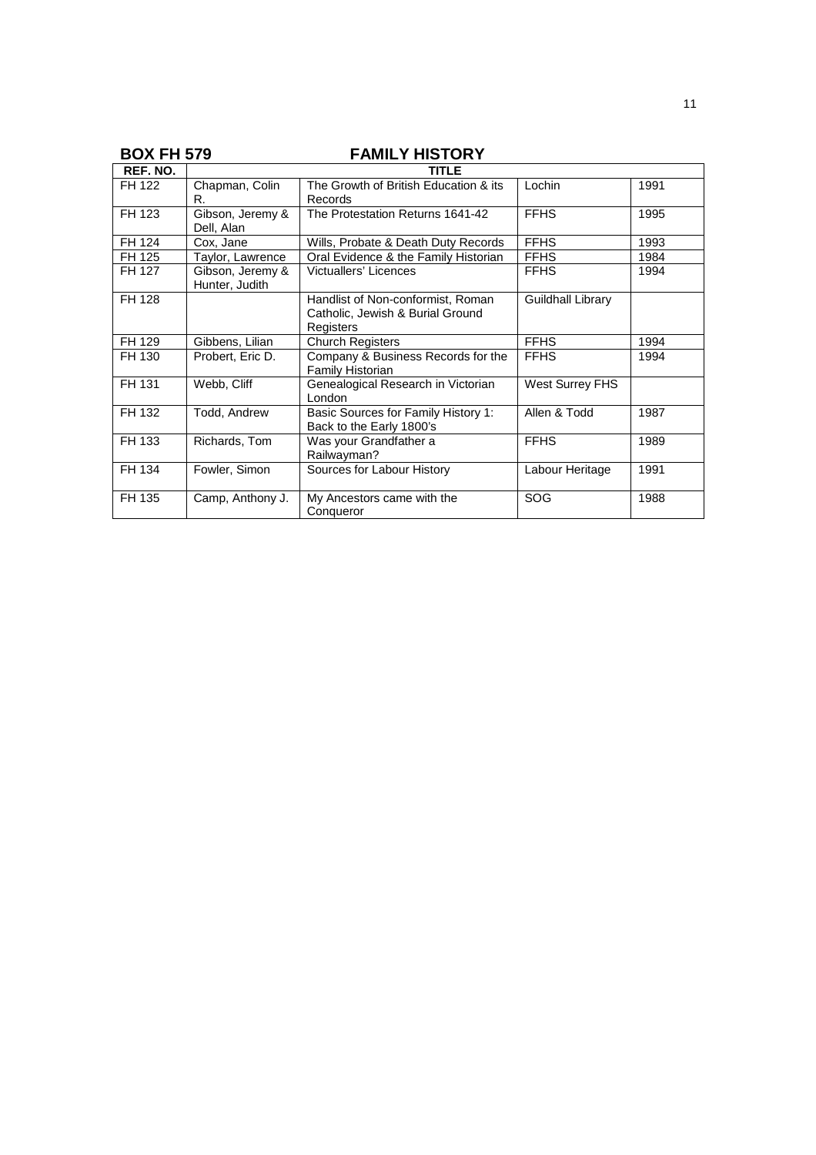# **BOX FH 579 FAMILY HISTORY**

| REF. NO. |                                    | TITLE                                                                              |                        |      |
|----------|------------------------------------|------------------------------------------------------------------------------------|------------------------|------|
| FH 122   | Chapman, Colin<br>R.               | The Growth of British Education & its<br>Records                                   | Lochin                 | 1991 |
| FH 123   | Gibson, Jeremy &<br>Dell, Alan     | The Protestation Returns 1641-42                                                   | <b>FFHS</b>            | 1995 |
| FH 124   | Cox, Jane                          | Wills, Probate & Death Duty Records                                                | <b>FFHS</b>            | 1993 |
| FH 125   | Taylor, Lawrence                   | Oral Evidence & the Family Historian                                               | <b>FFHS</b>            | 1984 |
| FH 127   | Gibson, Jeremy &<br>Hunter, Judith | Victuallers' Licences                                                              | <b>FFHS</b>            | 1994 |
| FH 128   |                                    | Handlist of Non-conformist, Roman<br>Catholic, Jewish & Burial Ground<br>Registers | Guildhall Library      |      |
| FH 129   | Gibbens, Lilian                    | <b>Church Registers</b>                                                            | <b>FFHS</b>            | 1994 |
| FH 130   | Probert, Eric D.                   | Company & Business Records for the<br>Family Historian                             | <b>FFHS</b>            | 1994 |
| FH 131   | Webb, Cliff                        | Genealogical Research in Victorian<br>London                                       | <b>West Surrey FHS</b> |      |
| FH 132   | Todd, Andrew                       | Basic Sources for Family History 1:<br>Back to the Early 1800's                    | Allen & Todd           | 1987 |
| FH 133   | Richards, Tom                      | Was your Grandfather a<br>Railwayman?                                              | <b>FFHS</b>            | 1989 |
| FH 134   | Fowler, Simon                      | Sources for Labour History                                                         | Labour Heritage        | 1991 |
| FH 135   | Camp, Anthony J.                   | My Ancestors came with the<br>Conqueror                                            | SOG                    | 1988 |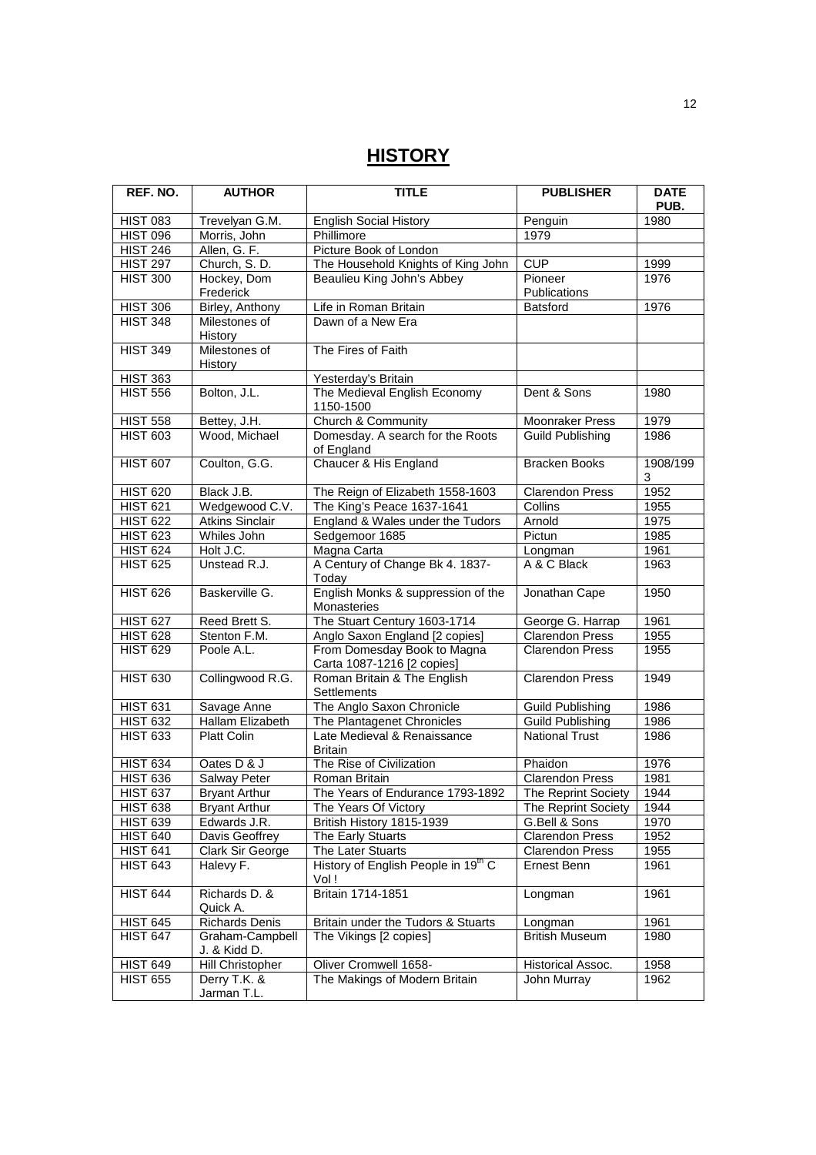# **HISTORY**

| REF. NO.        | <b>AUTHOR</b>                   | <b>TITLE</b>                                              | <b>PUBLISHER</b>        | <b>DATE</b><br>PUB. |
|-----------------|---------------------------------|-----------------------------------------------------------|-------------------------|---------------------|
| <b>HIST 083</b> | Trevelyan G.M.                  | <b>English Social History</b>                             | Penguin                 | 1980                |
| <b>HIST 096</b> | Morris, John                    | Phillimore                                                | 1979                    |                     |
| <b>HIST 246</b> | Allen, G. F.                    | Picture Book of London                                    |                         |                     |
| <b>HIST 297</b> | Church, S.D.                    | The Household Knights of King John                        | CUP                     | 1999                |
| <b>HIST 300</b> | Hockey, Dom<br>Frederick        | Beaulieu King John's Abbey                                | Pioneer<br>Publications | 1976                |
| <b>HIST 306</b> | Birley, Anthony                 | Life in Roman Britain                                     | Batsford                | 1976                |
| <b>HIST 348</b> | Milestones of<br>History        | Dawn of a New Era                                         |                         |                     |
| <b>HIST 349</b> | Milestones of<br>History        | The Fires of Faith                                        |                         |                     |
| <b>HIST 363</b> |                                 | Yesterday's Britain                                       |                         |                     |
| <b>HIST 556</b> | Bolton, J.L.                    | The Medieval English Economy<br>1150-1500                 | Dent & Sons             | 1980                |
| <b>HIST 558</b> | Bettey, J.H.                    | <b>Church &amp; Community</b>                             | Moonraker Press         | 1979                |
| <b>HIST 603</b> | Wood, Michael                   | Domesday. A search for the Roots<br>of England            | <b>Guild Publishing</b> | 1986                |
| <b>HIST 607</b> | Coulton, G.G.                   | Chaucer & His England                                     | <b>Bracken Books</b>    | 1908/199<br>3       |
| <b>HIST 620</b> | Black J.B.                      | The Reign of Elizabeth 1558-1603                          | <b>Clarendon Press</b>  | 1952                |
| <b>HIST 621</b> | Wedgewood C.V.                  | The King's Peace 1637-1641                                | Collins                 | 1955                |
| <b>HIST 622</b> | <b>Atkins Sinclair</b>          | England & Wales under the Tudors                          | Arnold                  | 1975                |
| <b>HIST 623</b> | Whiles John                     | Sedgemoor 1685                                            | Pictun                  | 1985                |
| <b>HIST 624</b> | Holt J.C.                       | Magna Carta                                               | Longman                 | 1961                |
| <b>HIST 625</b> | Unstead R.J.                    | A Century of Change Bk 4. 1837-<br>Today                  | A & C Black             | 1963                |
| <b>HIST 626</b> | Baskerville G.                  | English Monks & suppression of the<br>Monasteries         | Jonathan Cape           | 1950                |
| <b>HIST 627</b> | Reed Brett S.                   | The Stuart Century 1603-1714                              | George G. Harrap        | 1961                |
| <b>HIST 628</b> | Stenton F.M.                    | Anglo Saxon England [2 copies]                            | Clarendon Press         | 1955                |
| <b>HIST 629</b> | Poole A.L.                      | From Domesday Book to Magna<br>Carta 1087-1216 [2 copies] | <b>Clarendon Press</b>  | 1955                |
| <b>HIST 630</b> | Collingwood R.G.                | Roman Britain & The English<br>Settlements                | <b>Clarendon Press</b>  | 1949                |
| <b>HIST 631</b> | Savage Anne                     | The Anglo Saxon Chronicle                                 | <b>Guild Publishing</b> | 1986                |
| <b>HIST 632</b> | Hallam Elizabeth                | The Plantagenet Chronicles                                | Guild Publishing        | 1986                |
| <b>HIST 633</b> | <b>Platt Colin</b>              | Late Medieval & Renaissance<br><b>Britain</b>             | <b>National Trust</b>   | 1986                |
| <b>HIST 634</b> | Oates D & J                     | The Rise of Civilization                                  | Phaidon                 | 1976                |
| <b>HIST 636</b> | <b>Salway Peter</b>             | Roman Britain                                             | <b>Clarendon Press</b>  | 1981                |
| <b>HIST 637</b> | <b>Bryant Arthur</b>            | The Years of Endurance 1793-1892                          | The Reprint Society     | 1944                |
| <b>HIST 638</b> | <b>Bryant Arthur</b>            | The Years Of Victory                                      | The Reprint Society     | 1944                |
| <b>HIST 639</b> | Edwards J.R.                    | British History 1815-1939                                 | G.Bell & Sons           | 1970                |
| <b>HIST 640</b> | Davis Geoffrey                  | The Early Stuarts                                         | <b>Clarendon Press</b>  | 1952                |
| <b>HIST 641</b> | Clark Sir George                | The Later Stuarts                                         | <b>Clarendon Press</b>  | 1955                |
| <b>HIST 643</b> | Halevy F.                       | History of English People in 19th C<br>Vol !              | Ernest Benn             | 1961                |
| <b>HIST 644</b> | Richards D. &<br>Quick A.       | Britain 1714-1851                                         | Longman                 | 1961                |
| <b>HIST 645</b> | <b>Richards Denis</b>           | Britain under the Tudors & Stuarts                        | Longman                 | 1961                |
| <b>HIST 647</b> | Graham-Campbell<br>J. & Kidd D. | The Vikings [2 copies]                                    | <b>British Museum</b>   | 1980                |
| <b>HIST 649</b> | Hill Christopher                | Oliver Cromwell 1658-                                     | Historical Assoc.       | 1958                |
| <b>HIST 655</b> | Derry T.K. &<br>Jarman T.L.     | The Makings of Modern Britain                             | John Murray             | 1962                |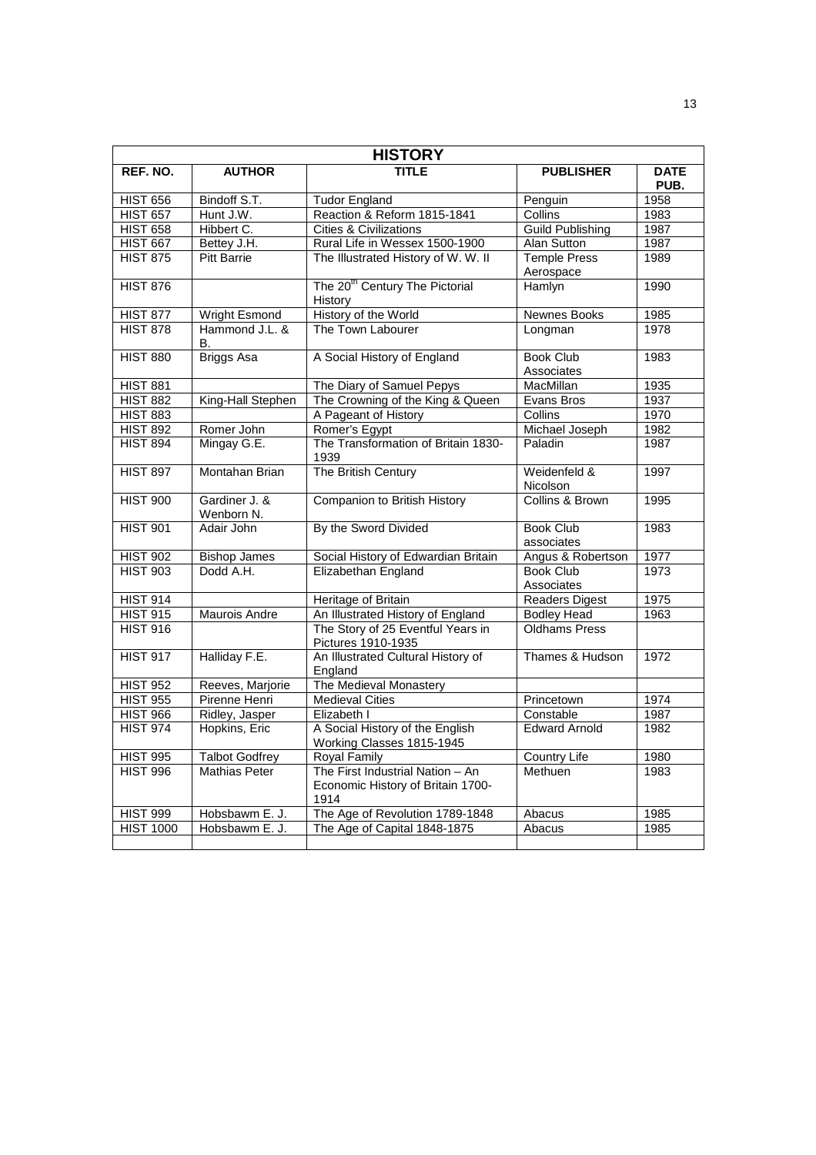| <b>HISTORY</b>        |                             |                                                                               |                                  |                     |
|-----------------------|-----------------------------|-------------------------------------------------------------------------------|----------------------------------|---------------------|
| REF. NO.              | <b>AUTHOR</b>               | TITLE                                                                         | <b>PUBLISHER</b>                 | <b>DATE</b><br>PUB. |
| <b>HIST 656</b>       | Bindoff S.T.                | <b>Tudor England</b>                                                          | Penguin                          | 1958                |
| <b>HIST 657</b>       | Hunt J.W.                   | Reaction & Reform 1815-1841                                                   | Collins                          | 1983                |
| <b>HIST 658</b>       | Hibbert C.                  | <b>Cities &amp; Civilizations</b>                                             | <b>Guild Publishing</b>          | 1987                |
| <b>HIST 667</b>       | Bettey J.H.                 | Rural Life in Wessex 1500-1900                                                | Alan Sutton                      | 1987                |
| <b>HIST 875</b>       | <b>Pitt Barrie</b>          | The Illustrated History of W. W. II                                           | <b>Temple Press</b><br>Aerospace | 1989                |
| <b>HIST 876</b>       |                             | The 20 <sup>th</sup> Century The Pictorial<br>History                         | Hamlyn                           | 1990                |
| <b>HIST 877</b>       | <b>Wright Esmond</b>        | History of the World                                                          | <b>Newnes Books</b>              | 1985                |
| <b>HIST 878</b>       | Hammond J.L. &<br>В.        | The Town Labourer                                                             | Longman                          | 1978                |
| <b>HIST 880</b>       | <b>Briggs Asa</b>           | A Social History of England                                                   | <b>Book Club</b><br>Associates   | 1983                |
| <b>HIST 881</b>       |                             | The Diary of Samuel Pepys                                                     | <b>MacMillan</b>                 | 1935                |
| <b>HIST 882</b>       | King-Hall Stephen           | The Crowning of the King & Queen                                              | Evans Bros                       | 1937                |
| <b>HIST 883</b>       |                             | A Pageant of History                                                          | Collins                          | 1970                |
| <b>HIST 892</b>       | Romer John                  | Romer's Egypt                                                                 | Michael Joseph                   | 1982                |
| <b>HIST 894</b>       | Mingay G.E.                 | The Transformation of Britain 1830-<br>1939                                   | Paladin                          | 1987                |
| <b>HIST 897</b>       | Montahan Brian              | The British Century                                                           | Weidenfeld &<br>Nicolson         | 1997                |
| <b>HIST 900</b>       | Gardiner J. &<br>Wenborn N. | Companion to British History                                                  | Collins & Brown                  | 1995                |
| <b>HIST 901</b>       | Adair John                  | By the Sword Divided                                                          | <b>Book Club</b><br>associates   | 1983                |
| <b>HIST 902</b>       | <b>Bishop James</b>         | Social History of Edwardian Britain                                           | Angus & Robertson                | 1977                |
| <b>HIST 903</b>       | Dodd A.H.                   | Elizabethan England                                                           | <b>Book Club</b><br>Associates   | 1973                |
| <b>HIST 914</b>       |                             | Heritage of Britain                                                           | Readers Digest                   | 1975                |
| HIST $9\overline{15}$ | <b>Maurois Andre</b>        | An Illustrated History of England                                             | <b>Bodley Head</b>               | 1963                |
| <b>HIST 916</b>       |                             | The Story of 25 Eventful Years in<br>Pictures 1910-1935                       | <b>Oldhams Press</b>             |                     |
| <b>HIST 917</b>       | Halliday F.E.               | An Illustrated Cultural History of<br>England                                 | Thames & Hudson                  | 1972                |
| <b>HIST 952</b>       | Reeves, Marjorie            | The Medieval Monastery                                                        |                                  |                     |
| <b>HIST 955</b>       | Pirenne Henri               | <b>Medieval Cities</b>                                                        | Princetown                       | 1974                |
| <b>HIST 966</b>       | Ridley, Jasper              | Elizabeth I                                                                   | Constable                        | 1987                |
| <b>HIST 974</b>       | Hopkins, Eric               | A Social History of the English<br>Working Classes 1815-1945                  | <b>Edward Arnold</b>             | 1982                |
| <b>HIST 995</b>       | <b>Talbot Godfrey</b>       | <b>Royal Family</b>                                                           | <b>Country Life</b>              | 1980                |
| <b>HIST 996</b>       | <b>Mathias Peter</b>        | The First Industrial Nation - An<br>Economic History of Britain 1700-<br>1914 | Methuen                          | 1983                |
| <b>HIST 999</b>       | Hobsbawm E. J.              | The Age of Revolution 1789-1848                                               | Abacus                           | 1985                |
| <b>HIST 1000</b>      | Hobsbawm E. J.              | The Age of Capital 1848-1875                                                  | Abacus                           | 1985                |
|                       |                             |                                                                               |                                  |                     |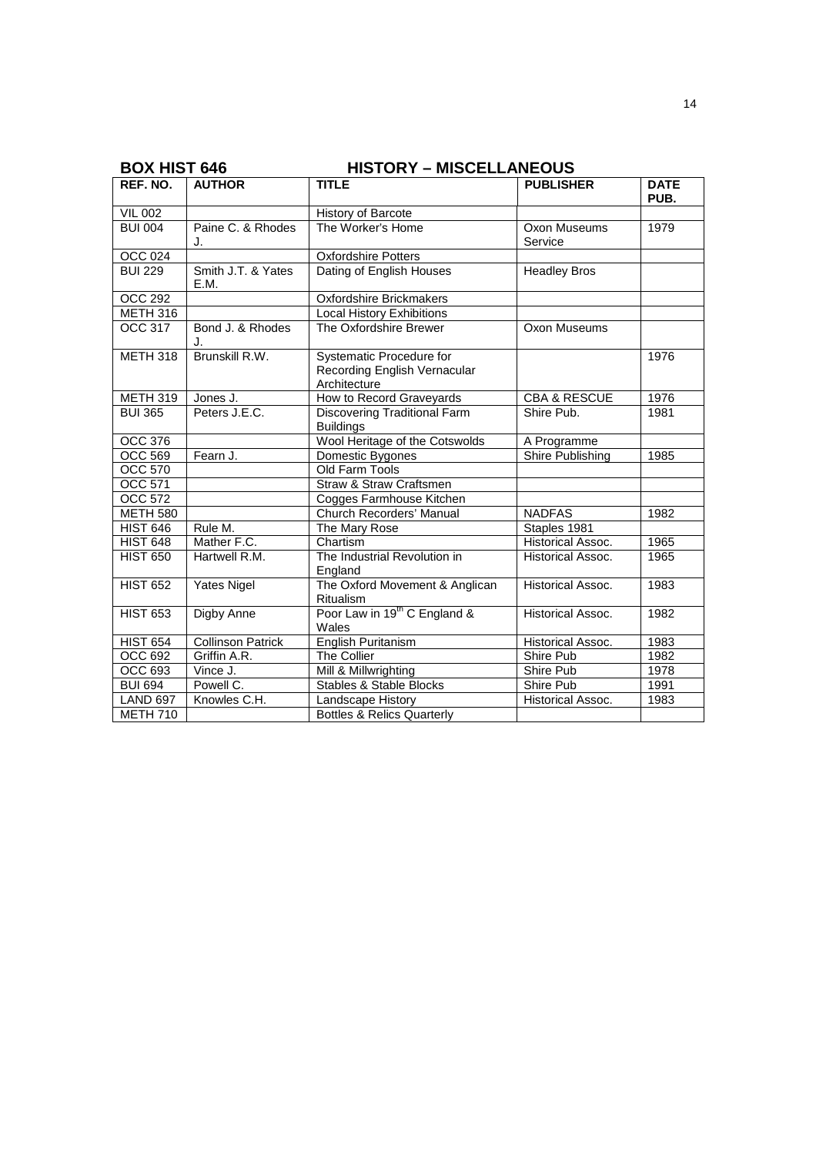|                              | ט <del>ו</del> יט וטוו אש<br>TIISTOINT – MISCLLLANLOUS |                                                                          |                          |                     |
|------------------------------|--------------------------------------------------------|--------------------------------------------------------------------------|--------------------------|---------------------|
| REF. NO.                     | <b>AUTHOR</b>                                          | <b>TITLE</b>                                                             | <b>PUBLISHER</b>         | <b>DATE</b><br>PUB. |
| <b>VIL 002</b>               |                                                        | <b>History of Barcote</b>                                                |                          |                     |
| <b>BUI 004</b>               | Paine C. & Rhodes<br>J.                                | The Worker's Home                                                        | Oxon Museums<br>Service  | 1979                |
| <b>OCC 024</b>               |                                                        | <b>Oxfordshire Potters</b>                                               |                          |                     |
| <b>BUI 229</b>               | Smith J.T. & Yates<br>E.M.                             | Dating of English Houses                                                 | <b>Headley Bros</b>      |                     |
| <b>OCC 292</b>               |                                                        | Oxfordshire Brickmakers                                                  |                          |                     |
| $\overline{\text{METH}}$ 316 |                                                        | <b>Local History Exhibitions</b>                                         |                          |                     |
| OCC 317                      | Bond J. & Rhodes<br>J.                                 | The Oxfordshire Brewer                                                   | Oxon Museums             |                     |
| <b>METH 318</b>              | Brunskill R.W.                                         | Systematic Procedure for<br>Recording English Vernacular<br>Architecture |                          | 1976                |
| <b>METH 319</b>              | Jones J.                                               | How to Record Graveyards                                                 | CBA & RESCUE             | 1976                |
| <b>BUI 365</b>               | Peters J.E.C.                                          | <b>Discovering Traditional Farm</b><br><b>Buildings</b>                  | Shire Pub.               | 1981                |
| <b>OCC 376</b>               |                                                        | Wool Heritage of the Cotswolds                                           | A Programme              |                     |
| <b>OCC 569</b>               | Fearn J.                                               | Domestic Bygones                                                         | <b>Shire Publishing</b>  | 1985                |
| <b>OCC 570</b>               |                                                        | Old Farm Tools                                                           |                          |                     |
| <b>OCC 571</b>               |                                                        | Straw & Straw Craftsmen                                                  |                          |                     |
| <b>OCC 572</b>               |                                                        | Cogges Farmhouse Kitchen                                                 |                          |                     |
| <b>METH 580</b>              |                                                        | Church Recorders' Manual                                                 | <b>NADFAS</b>            | 1982                |
| <b>HIST 646</b>              | Rule M.                                                | The Mary Rose                                                            | Staples 1981             |                     |
| <b>HIST 648</b>              | Mather F.C.                                            | Chartism                                                                 | Historical Assoc.        | 1965                |
| <b>HIST 650</b>              | Hartwell R.M.                                          | The Industrial Revolution in<br>England                                  | <b>Historical Assoc.</b> | 1965                |
| <b>HIST 652</b>              | Yates Nigel                                            | The Oxford Movement & Anglican<br>Ritualism                              | <b>Historical Assoc.</b> | 1983                |
| <b>HIST 653</b>              | Digby Anne                                             | Poor Law in 19 <sup>th</sup> C England &<br>Wales                        | Historical Assoc.        | 1982                |
| <b>HIST 654</b>              | <b>Collinson Patrick</b>                               | English Puritanism                                                       | <b>Historical Assoc.</b> | 1983                |
| OCC 692                      | Griffin A.R.                                           | The Collier                                                              | Shire Pub                | 1982                |
| OCC 693                      | Vince J.                                               | Mill & Millwrighting                                                     | Shire Pub                | 1978                |
| <b>BUI 694</b>               | Powell C.                                              | <b>Stables &amp; Stable Blocks</b>                                       | Shire Pub                | 1991                |
| <b>LAND 697</b>              | Knowles C.H.                                           | Landscape History                                                        | Historical Assoc.        | 1983                |
| <b>METH 710</b>              |                                                        | <b>Bottles &amp; Relics Quarterly</b>                                    |                          |                     |

**BOX HIST 646 HISTORY – MISCELLANEOUS**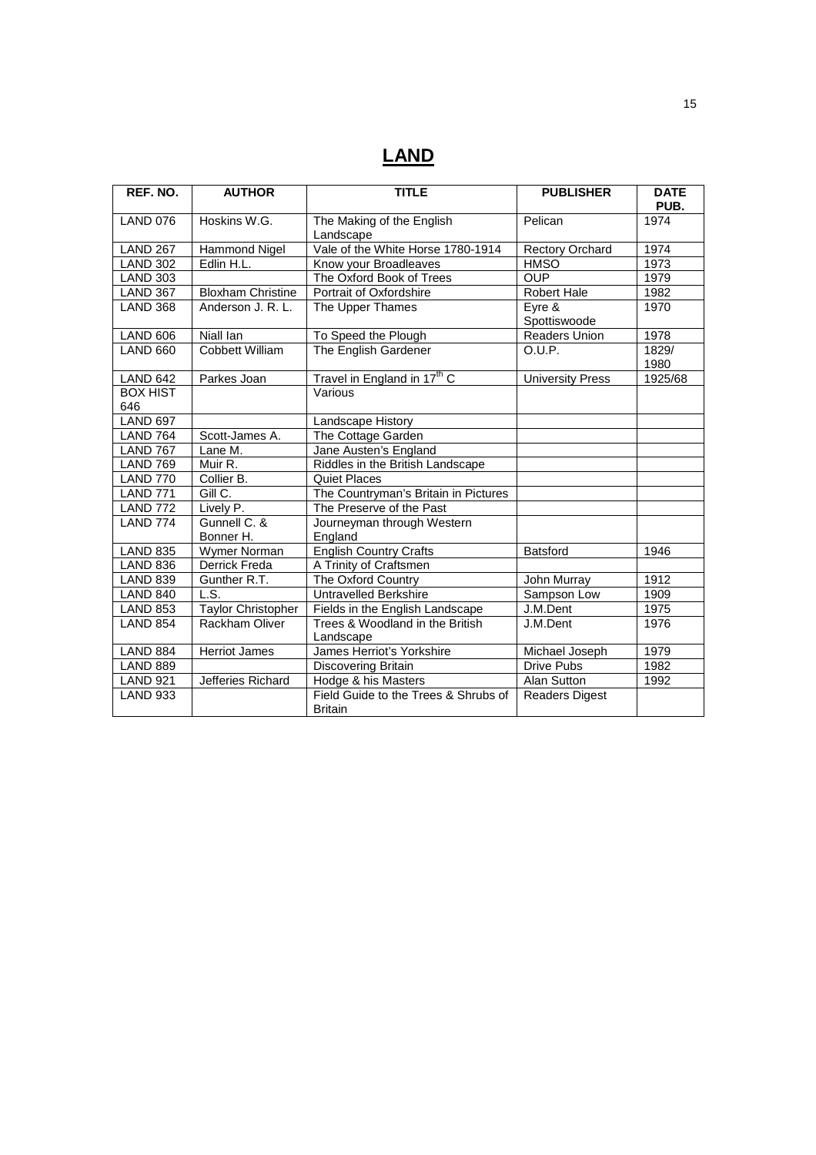# **LAND**

| REF. NO.               | <b>AUTHOR</b>             | <b>TITLE</b>                                           | <b>PUBLISHER</b>        | <b>DATE</b><br>PUB. |
|------------------------|---------------------------|--------------------------------------------------------|-------------------------|---------------------|
| <b>LAND 076</b>        | Hoskins W.G.              | The Making of the English<br>Landscape                 | Pelican                 | 1974                |
| <b>LAND 267</b>        | <b>Hammond Nigel</b>      | Vale of the White Horse 1780-1914                      | <b>Rectory Orchard</b>  | 1974                |
| <b>LAND 302</b>        | Edlin H.L.                | Know your Broadleaves                                  | <b>HMSO</b>             | 1973                |
| <b>LAND 303</b>        |                           | The Oxford Book of Trees                               | <b>OUP</b>              | 1979                |
| <b>LAND 367</b>        | <b>Bloxham Christine</b>  | Portrait of Oxfordshire                                | <b>Robert Hale</b>      | 1982                |
| <b>LAND 368</b>        | Anderson J. R. L.         | The Upper Thames                                       | Eyre &<br>Spottiswoode  | 1970                |
| <b>LAND 606</b>        | Niall lan                 | To Speed the Plough                                    | <b>Readers Union</b>    | 1978                |
| <b>LAND 660</b>        | <b>Cobbett William</b>    | The English Gardener                                   | O.U.P.                  | 1829/<br>1980       |
| <b>LAND 642</b>        | Parkes Joan               | Travel in England in 17 <sup>th</sup> C                | <b>University Press</b> | 1925/68             |
| <b>BOX HIST</b><br>646 |                           | Various                                                |                         |                     |
| <b>LAND 697</b>        |                           | Landscape History                                      |                         |                     |
| <b>LAND 764</b>        | Scott-James A.            | The Cottage Garden                                     |                         |                     |
| <b>LAND 767</b>        | Lane M.                   | Jane Austen's England                                  |                         |                     |
| <b>LAND 769</b>        | Muir R.                   | Riddles in the British Landscape                       |                         |                     |
| <b>LAND 770</b>        | Collier B.                | <b>Quiet Places</b>                                    |                         |                     |
| <b>LAND 771</b>        | Gill C.                   | The Countryman's Britain in Pictures                   |                         |                     |
| <b>LAND 772</b>        | Lively P.                 | The Preserve of the Past                               |                         |                     |
| <b>LAND 774</b>        | Gunnell C. &<br>Bonner H. | Journeyman through Western<br>England                  |                         |                     |
| <b>LAND 835</b>        | Wymer Norman              | <b>English Country Crafts</b>                          | <b>Batsford</b>         | 1946                |
| <b>LAND 836</b>        | Derrick Freda             | A Trinity of Craftsmen                                 |                         |                     |
| <b>LAND 839</b>        | Gunther R.T.              | The Oxford Country                                     | John Murray             | 1912                |
| <b>LAND 840</b>        | L.S.                      | <b>Untravelled Berkshire</b>                           | Sampson Low             | 1909                |
| <b>LAND 853</b>        | <b>Taylor Christopher</b> | Fields in the English Landscape                        | J.M.Dent                | 1975                |
| <b>LAND 854</b>        | Rackham Oliver            | Trees & Woodland in the British<br>Landscape           | J.M.Dent                | 1976                |
| <b>LAND 884</b>        | <b>Herriot James</b>      | James Herriot's Yorkshire                              | Michael Joseph          | 1979                |
| <b>LAND 889</b>        |                           | Discovering Britain                                    | Drive Pubs              | 1982                |
| <b>LAND 921</b>        | Jefferies Richard         | Hodge & his Masters                                    | Alan Sutton             | 1992                |
| <b>LAND 933</b>        |                           | Field Guide to the Trees & Shrubs of<br><b>Britain</b> | <b>Readers Digest</b>   |                     |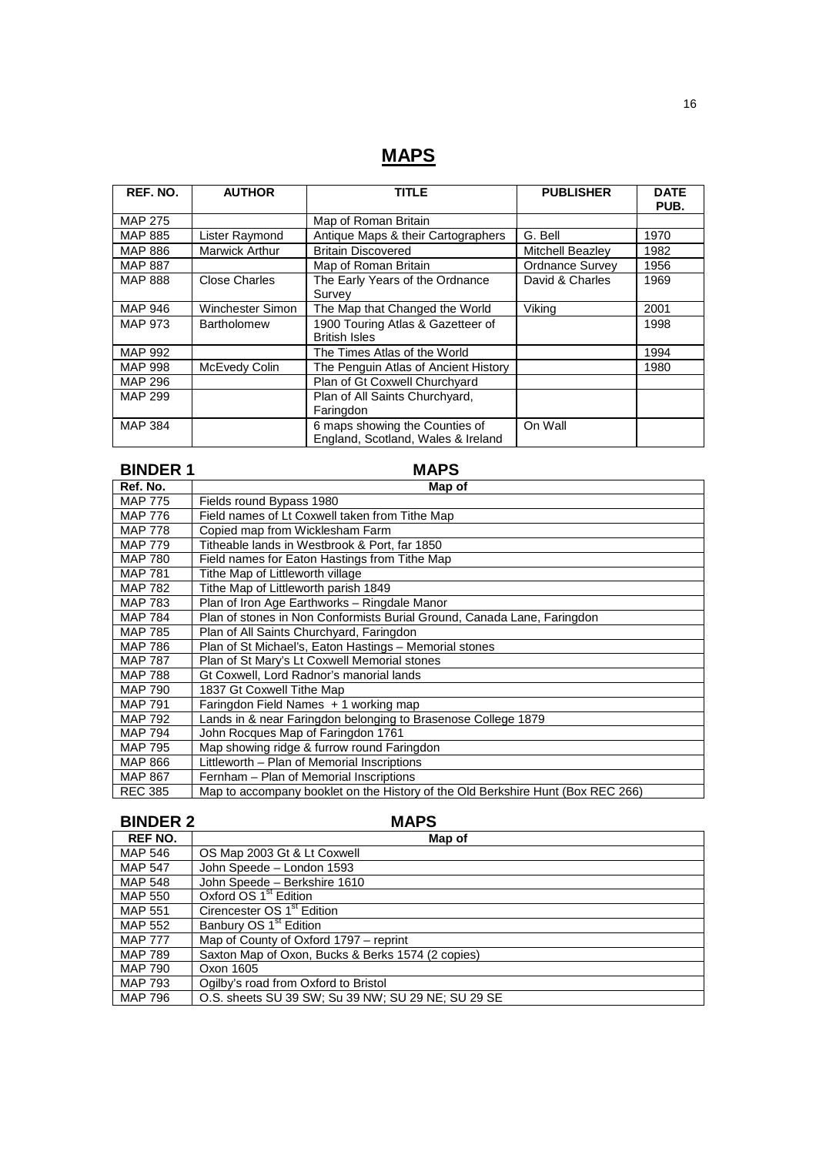# **MAPS**

| REF. NO.       | <b>AUTHOR</b>         | <b>TITLE</b>                                                         | <b>PUBLISHER</b> | <b>DATE</b><br>PUB. |
|----------------|-----------------------|----------------------------------------------------------------------|------------------|---------------------|
| <b>MAP 275</b> |                       | Map of Roman Britain                                                 |                  |                     |
| <b>MAP 885</b> | Lister Raymond        | Antique Maps & their Cartographers                                   | G. Bell          | 1970                |
| <b>MAP 886</b> | <b>Marwick Arthur</b> | <b>Britain Discovered</b>                                            | Mitchell Beazley | 1982                |
| <b>MAP 887</b> |                       | Map of Roman Britain                                                 | Ordnance Survey  | 1956                |
| <b>MAP 888</b> | Close Charles         | The Early Years of the Ordnance<br>Survev                            | David & Charles  | 1969                |
| <b>MAP 946</b> | Winchester Simon      | The Map that Changed the World                                       | Viking           | 2001                |
| <b>MAP 973</b> | <b>Bartholomew</b>    | 1900 Touring Atlas & Gazetteer of<br><b>British Isles</b>            |                  | 1998                |
| <b>MAP 992</b> |                       | The Times Atlas of the World                                         |                  | 1994                |
| <b>MAP 998</b> | McEvedy Colin         | The Penguin Atlas of Ancient History                                 |                  | 1980                |
| <b>MAP 296</b> |                       | Plan of Gt Coxwell Churchyard                                        |                  |                     |
| <b>MAP 299</b> |                       | Plan of All Saints Churchyard,<br>Faringdon                          |                  |                     |
| <b>MAP 384</b> |                       | 6 maps showing the Counties of<br>England, Scotland, Wales & Ireland | On Wall          |                     |

| <b>BINDER 1</b> | <b>MAPS</b>                                                                     |  |  |
|-----------------|---------------------------------------------------------------------------------|--|--|
| Ref. No.        | Map of                                                                          |  |  |
| <b>MAP 775</b>  | Fields round Bypass 1980                                                        |  |  |
| <b>MAP 776</b>  | Field names of Lt Coxwell taken from Tithe Map                                  |  |  |
| <b>MAP 778</b>  | Copied map from Wicklesham Farm                                                 |  |  |
| <b>MAP 779</b>  | Titheable lands in Westbrook & Port, far 1850                                   |  |  |
| <b>MAP 780</b>  | Field names for Eaton Hastings from Tithe Map                                   |  |  |
| <b>MAP 781</b>  | Tithe Map of Littleworth village                                                |  |  |
| <b>MAP 782</b>  | Tithe Map of Littleworth parish 1849                                            |  |  |
| <b>MAP 783</b>  | Plan of Iron Age Earthworks - Ringdale Manor                                    |  |  |
| <b>MAP 784</b>  | Plan of stones in Non Conformists Burial Ground, Canada Lane, Faringdon         |  |  |
| <b>MAP 785</b>  | Plan of All Saints Churchyard, Faringdon                                        |  |  |
| <b>MAP 786</b>  | Plan of St Michael's, Eaton Hastings - Memorial stones                          |  |  |
| <b>MAP 787</b>  | Plan of St Mary's Lt Coxwell Memorial stones                                    |  |  |
| <b>MAP 788</b>  | Gt Coxwell, Lord Radnor's manorial lands                                        |  |  |
| <b>MAP 790</b>  | 1837 Gt Coxwell Tithe Map                                                       |  |  |
| <b>MAP 791</b>  | Faringdon Field Names + 1 working map                                           |  |  |
| MAP 792         | Lands in & near Faringdon belonging to Brasenose College 1879                   |  |  |
| <b>MAP 794</b>  | John Rocques Map of Faringdon 1761                                              |  |  |
| MAP 795         | Map showing ridge & furrow round Faringdon                                      |  |  |
| <b>MAP 866</b>  | Littleworth - Plan of Memorial Inscriptions                                     |  |  |
| <b>MAP 867</b>  | Fernham - Plan of Memorial Inscriptions                                         |  |  |
| <b>REC 385</b>  | Map to accompany booklet on the History of the Old Berkshire Hunt (Box REC 266) |  |  |

## **BINDER 2 MAPS**

| <b>REF NO.</b> | Map of                                             |
|----------------|----------------------------------------------------|
| <b>MAP 546</b> | OS Map 2003 Gt & Lt Coxwell                        |
| <b>MAP 547</b> | John Speede - London 1593                          |
| <b>MAP 548</b> | John Speede - Berkshire 1610                       |
| <b>MAP 550</b> | Oxford OS 1 <sup>st</sup> Edition                  |
| <b>MAP 551</b> | Cirencester OS 1 <sup>st</sup> Edition             |
| <b>MAP 552</b> | Banbury OS 1 <sup>st</sup> Edition                 |
| <b>MAP 777</b> | Map of County of Oxford 1797 – reprint             |
| MAP 789        | Saxton Map of Oxon, Bucks & Berks 1574 (2 copies)  |
| MAP 790        | Oxon 1605                                          |
| <b>MAP 793</b> | Ogilby's road from Oxford to Bristol               |
| MAP 796        | O.S. sheets SU 39 SW; Su 39 NW; SU 29 NE; SU 29 SE |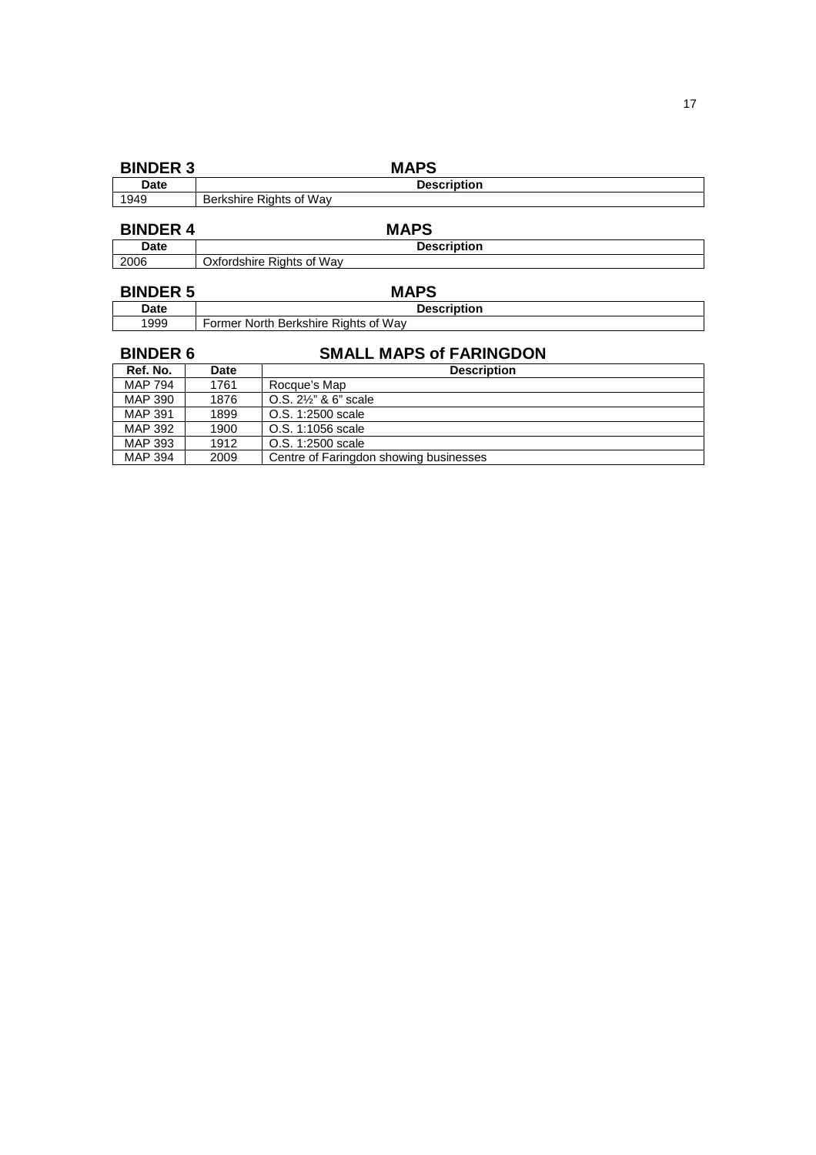| <b>BINDER 3</b> |      | <b>MAPS</b>                            |  |  |
|-----------------|------|----------------------------------------|--|--|
| Date            |      | <b>Description</b>                     |  |  |
| 1949            |      | Berkshire Rights of Way                |  |  |
| <b>BINDER 4</b> |      | <b>MAPS</b>                            |  |  |
|                 |      |                                        |  |  |
| Date            |      | <b>Description</b>                     |  |  |
| 2006            |      | Oxfordshire Rights of Way              |  |  |
|                 |      |                                        |  |  |
| <b>BINDER 5</b> |      | <b>MAPS</b>                            |  |  |
| Date            |      | <b>Description</b>                     |  |  |
| 1999            |      | Former North Berkshire Rights of Way   |  |  |
| <b>BINDER 6</b> |      | <b>SMALL MAPS of FARINGDON</b>         |  |  |
|                 |      |                                        |  |  |
| Ref. No.        | Date | <b>Description</b>                     |  |  |
| MAP 794         | 1761 | Rocque's Map                           |  |  |
| MAP 390         | 1876 | O.S. 2½" & 6" scale                    |  |  |
| <b>MAP 391</b>  | 1899 | O.S. 1:2500 scale                      |  |  |
| <b>MAP 392</b>  | 1900 | O.S. 1:1056 scale                      |  |  |
| MAP 393         | 1912 | O.S. 1:2500 scale                      |  |  |
| MAP 394         | 2009 | Centre of Faringdon showing businesses |  |  |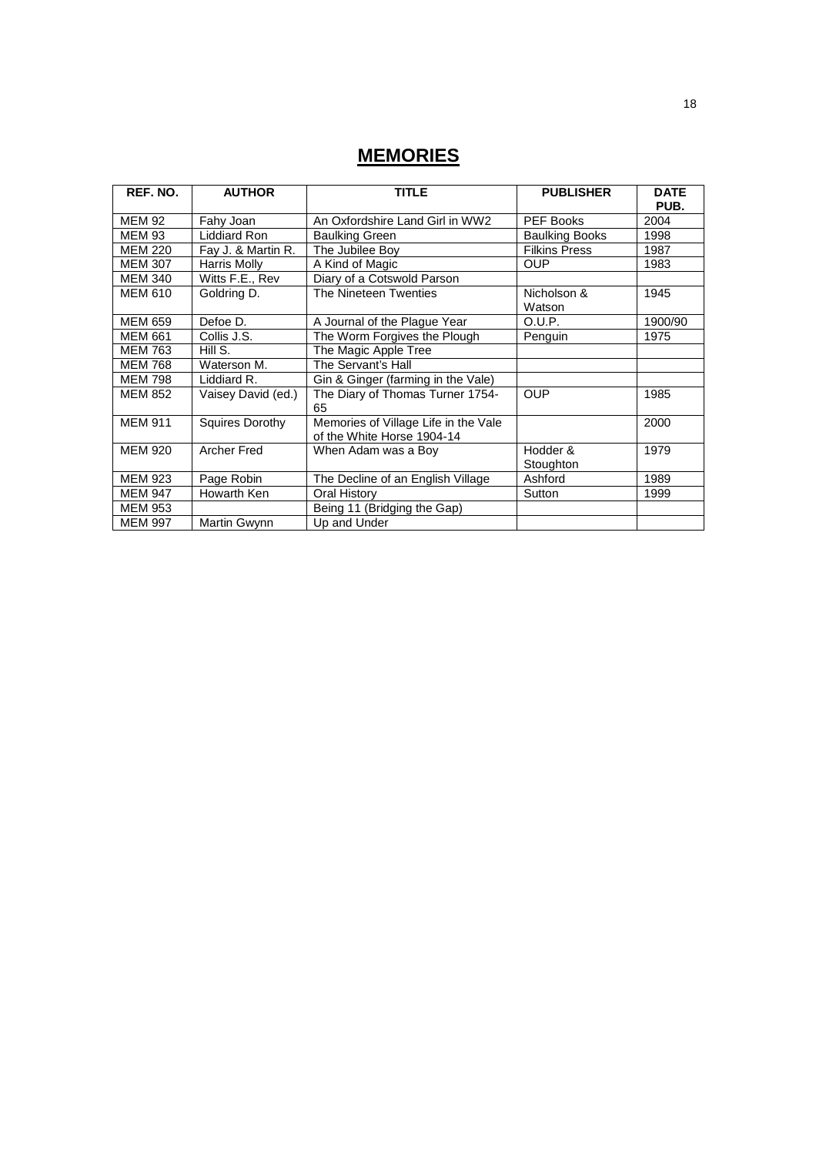# **MEMORIES**

| REF. NO.       | <b>AUTHOR</b>          | <b>TITLE</b>                                                       | <b>PUBLISHER</b>      | <b>DATE</b><br>PUB. |
|----------------|------------------------|--------------------------------------------------------------------|-----------------------|---------------------|
| <b>MEM 92</b>  | Fahy Joan              | An Oxfordshire Land Girl in WW2                                    | <b>PEF Books</b>      | 2004                |
| <b>MEM 93</b>  | Liddiard Ron           | <b>Baulking Green</b>                                              | <b>Baulking Books</b> | 1998                |
| <b>MEM 220</b> | Fay J. & Martin R.     | The Jubilee Boy                                                    | <b>Filkins Press</b>  | 1987                |
| <b>MEM 307</b> | Harris Molly           | A Kind of Magic                                                    | <b>OUP</b>            | 1983                |
| <b>MEM 340</b> | Witts F.E., Rev        | Diary of a Cotswold Parson                                         |                       |                     |
| <b>MEM 610</b> | Goldring D.            | The Nineteen Twenties                                              | Nicholson &<br>Watson | 1945                |
| <b>MEM 659</b> | Defoe D.               | A Journal of the Plague Year                                       | O.U.P.                | 1900/90             |
| <b>MEM 661</b> | Collis J.S.            | The Worm Forgives the Plough                                       | Penguin               | 1975                |
| <b>MEM 763</b> | Hill S.                | The Magic Apple Tree                                               |                       |                     |
| <b>MEM 768</b> | Waterson M.            | The Servant's Hall                                                 |                       |                     |
| <b>MEM 798</b> | Liddiard R.            | Gin & Ginger (farming in the Vale)                                 |                       |                     |
| <b>MEM 852</b> | Vaisey David (ed.)     | The Diary of Thomas Turner 1754-<br>65                             | <b>OUP</b>            | 1985                |
| <b>MEM 911</b> | <b>Squires Dorothy</b> | Memories of Village Life in the Vale<br>of the White Horse 1904-14 |                       | 2000                |
| <b>MEM 920</b> | <b>Archer Fred</b>     | When Adam was a Boy                                                | Hodder &<br>Stoughton | 1979                |
| <b>MEM 923</b> | Page Robin             | The Decline of an English Village                                  | Ashford               | 1989                |
| <b>MEM 947</b> | Howarth Ken            | Oral History                                                       | Sutton                | 1999                |
| <b>MEM 953</b> |                        | Being 11 (Bridging the Gap)                                        |                       |                     |
| <b>MEM 997</b> | Martin Gwynn           | Up and Under                                                       |                       |                     |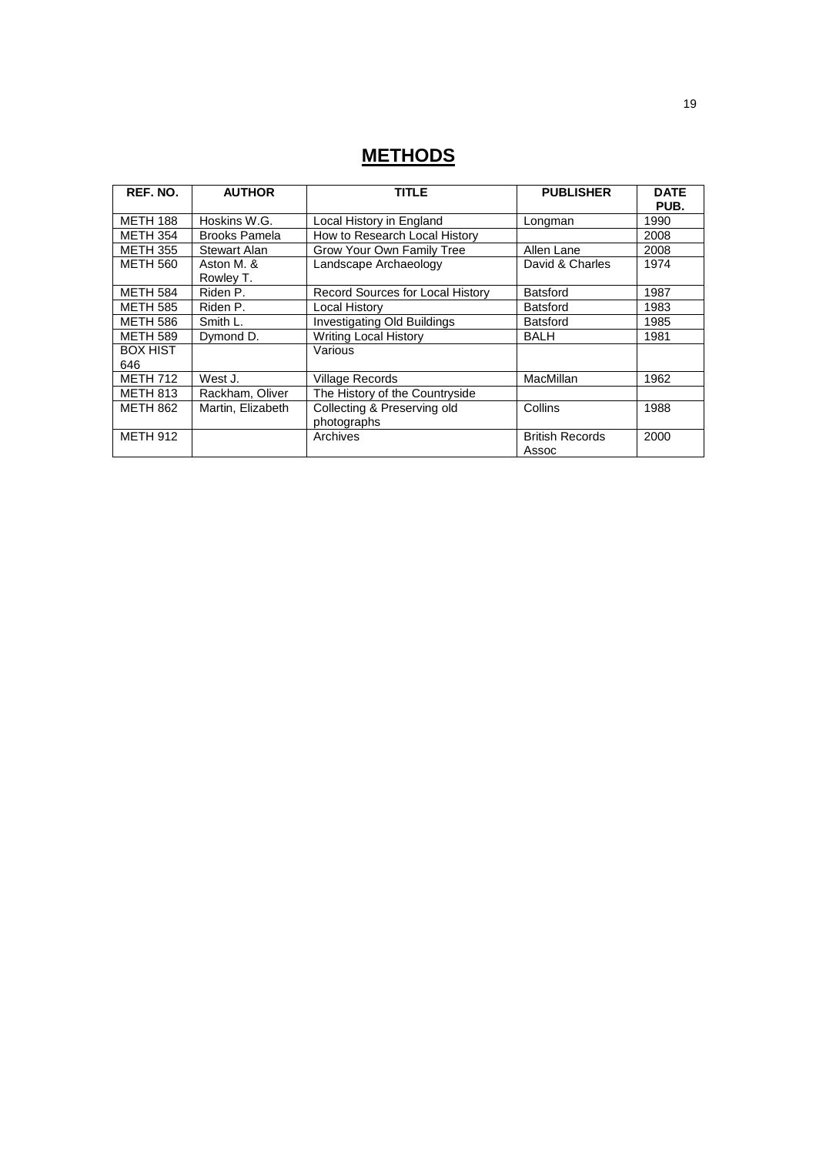# **METHODS**

| REF. NO.               | <b>AUTHOR</b>           | TITLE                                      | <b>PUBLISHER</b>                | <b>DATE</b><br>PUB. |
|------------------------|-------------------------|--------------------------------------------|---------------------------------|---------------------|
| <b>METH 188</b>        | Hoskins W.G.            | Local History in England                   | Longman                         | 1990                |
| <b>METH 354</b>        | <b>Brooks Pamela</b>    | How to Research Local History              |                                 | 2008                |
| <b>METH 355</b>        | Stewart Alan            | Grow Your Own Family Tree                  | Allen Lane                      | 2008                |
| <b>METH 560</b>        | Aston M. &<br>Rowley T. | Landscape Archaeology                      | David & Charles                 | 1974                |
| <b>METH 584</b>        | Riden P.                | Record Sources for Local History           | <b>Batsford</b>                 | 1987                |
| <b>METH 585</b>        | Riden P.                | Local History                              | <b>Batsford</b>                 | 1983                |
| <b>METH 586</b>        | Smith L.                | Investigating Old Buildings                | <b>Batsford</b>                 | 1985                |
| <b>METH 589</b>        | Dymond D.               | <b>Writing Local History</b>               | BALH                            | 1981                |
| <b>BOX HIST</b><br>646 |                         | Various                                    |                                 |                     |
| <b>METH 712</b>        | West J.                 | <b>Village Records</b>                     | MacMillan                       | 1962                |
| <b>METH 813</b>        | Rackham, Oliver         | The History of the Countryside             |                                 |                     |
| <b>METH 862</b>        | Martin, Elizabeth       | Collecting & Preserving old<br>photographs | Collins                         | 1988                |
| <b>METH 912</b>        |                         | Archives                                   | <b>British Records</b><br>Assoc | 2000                |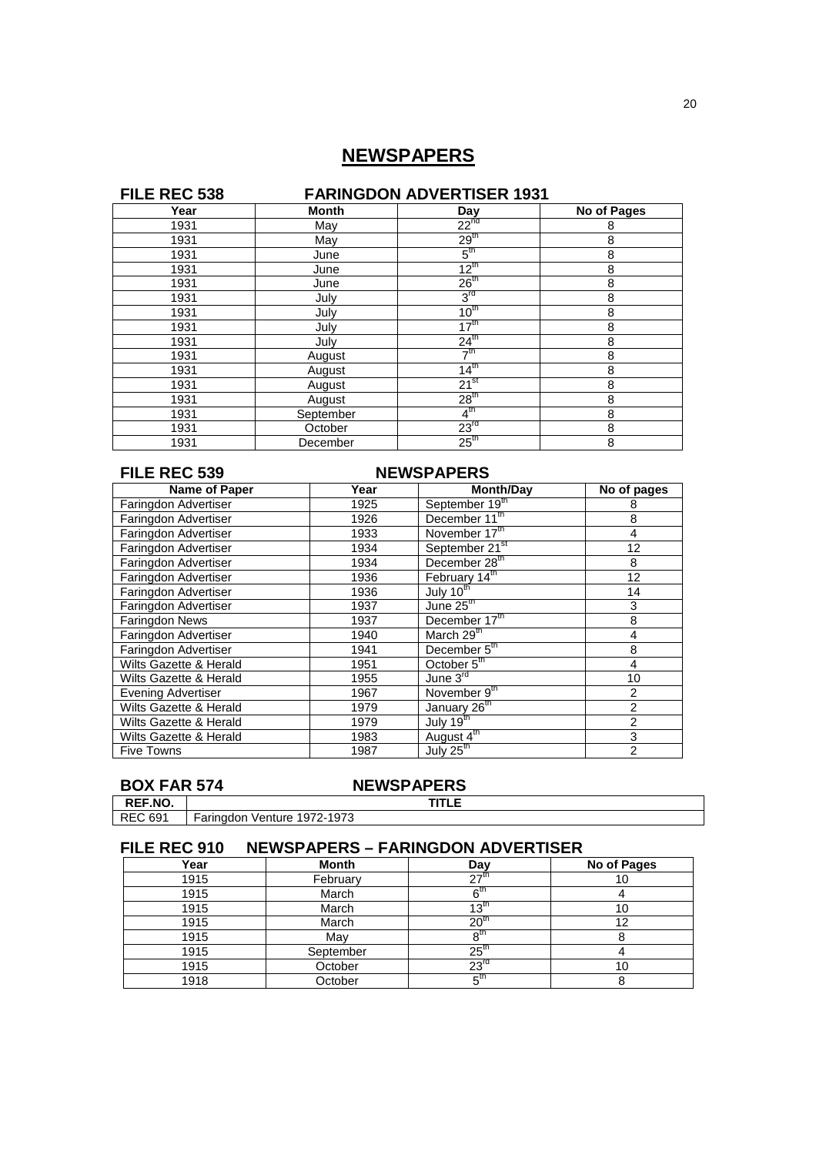## **NEWSPAPERS**

### **FILE REC 538** FARINGDON ADVERTISER 1931<br>
Year
<br>
Year
<br>
The Month
<br>
Month
<br>
The Day **Year Month Day No of Pages**<br>
1931 May 22<sup>nd</sup> 8<br>
1931 May 29<sup>th</sup> 8 1931 May  $22^{\frac{1}{n}}$  8 1931 May  $1931$  8 1931 **June 5<sup>th</sup> 8** 1931 June  $12^{\text{th}}$  8 1931 June  $26^{th}$  8 1931 | July | 3 rd 8 1931 **July 10<sup>th</sup> 8** 1931 **July 17th** 8 1931 July  $31$   $324$ <sup>th</sup>  $3$ 1931 **August**  $7^{\text{th}}$  8 1931 **August** 14<sup>th</sup> 8 1931 August 21<sup>st</sup> 8 1931 **August**  $28^{th}$  8 1931 September  $\frac{4^{\text{th}}}{23^{\text{rd}}}$ <br>1931 October 23<sup>rd</sup><br>1931 December 25<sup>th</sup> th  $\sim$  8 Exptember  $4^{\text{th}}$  8<br>October 23<sup>rd</sup> 8 1931 December 25<sup>th</sup> 8

| FILE REC 539              |      | <b>NEWSPAPERS</b>          |                |
|---------------------------|------|----------------------------|----------------|
| Name of Paper             | Year | <b>Month/Day</b>           | No of pages    |
| Faringdon Advertiser      | 1925 | September 19th             | 8              |
| Faringdon Advertiser      | 1926 | December 11th              | 8              |
| Faringdon Advertiser      | 1933 | November 17th              | $\overline{4}$ |
| Faringdon Advertiser      | 1934 | September 21 <sup>st</sup> | 12             |
| Faringdon Advertiser      | 1934 | December 28 <sup>th</sup>  | 8              |
| Faringdon Advertiser      | 1936 | February 14th              | 12             |
| Faringdon Advertiser      | 1936 | July $10^{\text{th}}$      | 14             |
| Faringdon Advertiser      | 1937 | June $25th$                | 3              |
| <b>Faringdon News</b>     | 1937 | December 17th              | 8              |
| Faringdon Advertiser      | 1940 | March 29 <sup>th</sup>     | 4              |
| Faringdon Advertiser      | 1941 | December 5th               | 8              |
| Wilts Gazette & Herald    | 1951 | October 5 <sup>th</sup>    | 4              |
| Wilts Gazette & Herald    | 1955 | June $3^{rd}$              | 10             |
| <b>Evening Advertiser</b> | 1967 | November 9th               | 2              |
| Wilts Gazette & Herald    | 1979 | January 26 <sup>th</sup>   | $\overline{2}$ |
| Wilts Gazette & Herald    | 1979 | July $19^{\text{th}}$      | $\overline{2}$ |
| Wilts Gazette & Herald    | 1983 | August 4 <sup>th</sup>     | 3              |
| <b>Five Towns</b>         | 1987 | July 25 <sup>th</sup>      | $\overline{2}$ |

# **BOX FAR 574 NEWSPAPERS**<br>REF.NO. | TITLE

**REF.NO.**<br>**REC 691** Faringdon Venture 1972-1973

| FILE REC 910 | <b>NEWSPAPERS - FARINGDON ADVERTISER</b> |                   |             |
|--------------|------------------------------------------|-------------------|-------------|
| Year         | <b>Month</b>                             | Day               | No of Pages |
| 1915         | February                                 | 27 <sup>m</sup>   | 10          |
| 1915         | March                                    | $6^{\text{tr}}$   |             |
| 1915         | March                                    | $13^{\text{th}}$  | 10          |
| 1915         | March                                    | 20 <sup>th</sup>  | 12          |
| 1915         | Mav                                      | 8 <sup>tn</sup>   |             |
| 1915         | September                                | $25^{\mathrm{m}}$ | 4           |
| 1915         | October                                  | 23 <sup>rd</sup>  | 10          |
| 1918         | October                                  | 5 <sup>th</sup>   |             |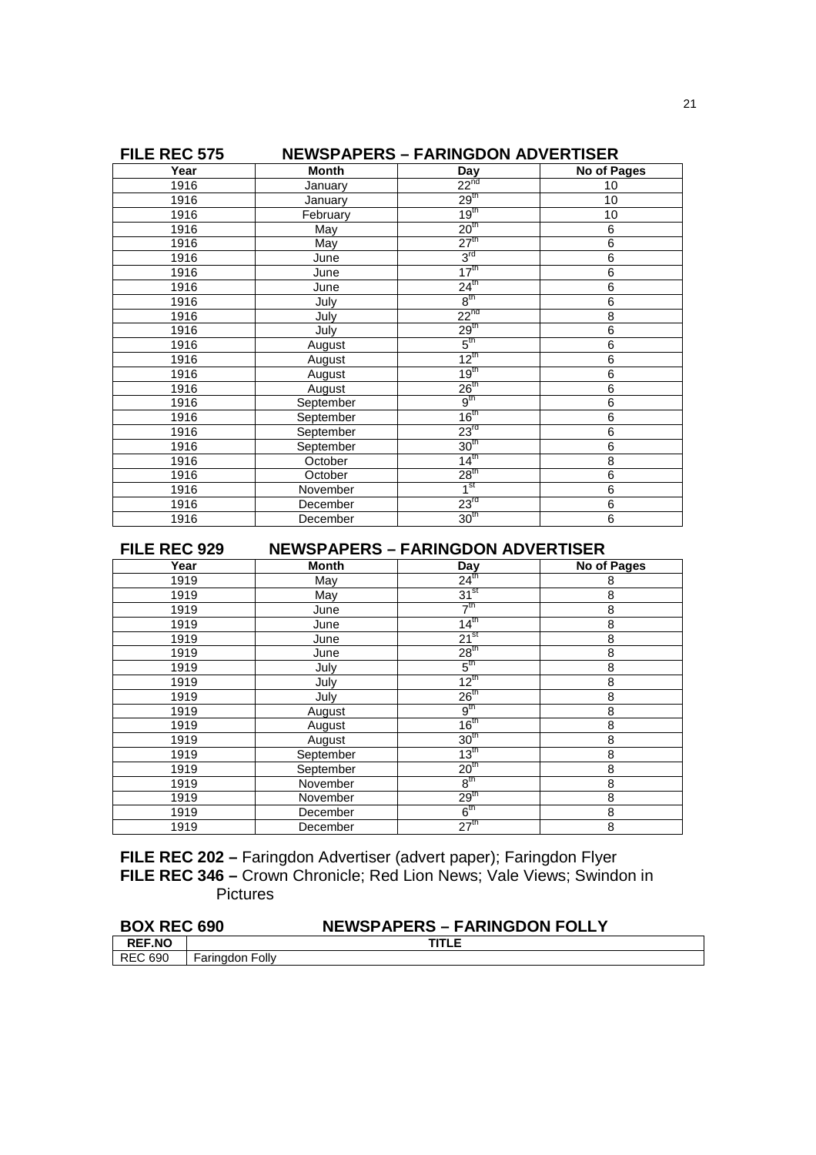| FILE REC 575 |                | <b>NEWSPAPERS - FARINGDON ADVERTISER</b> |                |
|--------------|----------------|------------------------------------------|----------------|
| Year         | <b>Month</b>   | Day                                      | No of Pages    |
| 1916         | January        | $22^{nd}$                                | 10             |
| 1916         | <b>January</b> | 29 <sup>th</sup>                         | 10             |
| 1916         | February       | 19 <sup>th</sup>                         | 10             |
| 1916         | May            | 20 <sup>th</sup>                         | 6              |
| 1916         | May            | 27 <sup>th</sup>                         | $\overline{6}$ |
| 1916         | June           | 3 <sup>rd</sup>                          | 6              |
| 1916         | June           | 17 <sup>th</sup>                         | $\overline{6}$ |
| 1916         | June           | $24^{\text{th}}$                         | 6              |
| 1916         | July           | $8^{\text{th}}$                          | $\overline{6}$ |
| 1916         | July           | $22^{nd}$                                | 8              |
| 1916         | July           | 29 <sup>th</sup>                         | 6              |
| 1916         | August         | 5 <sup>th</sup>                          | $\overline{6}$ |
| 1916         | August         | $12^{\text{th}}$                         | 6              |
| 1916         | August         | 19 <sup>th</sup>                         | 6              |
| 1916         | August         | 26 <sup>th</sup>                         | $\overline{6}$ |
| 1916         | September      | 9 <sup>th</sup>                          | 6              |
| 1916         | September      | 16 <sup>th</sup>                         | 6              |
| 1916         | September      | 23 <sup>rd</sup>                         | 6              |
| 1916         | September      | 30 <sup>th</sup>                         | $\overline{6}$ |
| 1916         | October        | $14^{\text{th}}$                         | 8              |
| 1916         | October        | 28 <sup>th</sup>                         | 6              |
| 1916         | November       | 1 <sup>st</sup>                          | 6              |
| 1916         | December       | 23 <sup>rd</sup>                         | 6              |
| 1916         | December       | 30 <sup>th</sup>                         | $\overline{6}$ |

**FILE REC 929 NEWSPAPERS – FARINGDON ADVERTISER**<br>
Year Month Day No of<br>
1919 May 24<sup>th</sup> **No of Pages** 1919 May  $24^{\text{th}}$  8 1919 May  $\frac{1}{31^{51}}$  8 1919 June | 7 th  $\sim$  8 1919 **June 14<sup>th</sup> 8** 1919 June  $21^{st}$  8 1919 June 28<sup>th</sup> 8 1919 July 5 th  $\sim$  8 1919 **July 12<sup>th</sup> 8** 1919 July  $36<sup>th</sup>$  8 1919 August  $\frac{9^{\text{th}}}{1919}$  August  $\frac{9^{\text{th}}}{16^{\text{th}}}$ <br>1919 August 16<sup>th</sup> 30<sup>th</sup> th  $\sim$  8 1919 August 16th 8 1919 August 30<sup>th</sup> 8 1919 August 30<sup>th</sup> 8<br>
1919 September 13<sup>th</sup> 8<br>
1919 September 20<sup>th</sup> 8 1919 September 20th 8 1919 November 8<sup>th</sup><br>1919 November 29<sup>th</sup> th  $\sim$  8 1919 November 29th 8 1919 December 6<sup>th</sup><br>1919 December 27<sup>th</sup> th  $\sim$  8 1919 **December** 27<sup>th</sup> 8

**FILE REC 202 –** Faringdon Advertiser (advert paper); Faringdon Flyer **FILE REC 346 –** Crown Chronicle; Red Lion News; Vale Views; Swindon in Pictures

| <b>BOX REC 690</b> |                 | <b>NEWSPAPERS - FARINGDON FOLLY</b> |
|--------------------|-----------------|-------------------------------------|
| <b>REF.NO</b>      |                 | <b>TITLE</b>                        |
| I REC 690          | Faringdon Folly |                                     |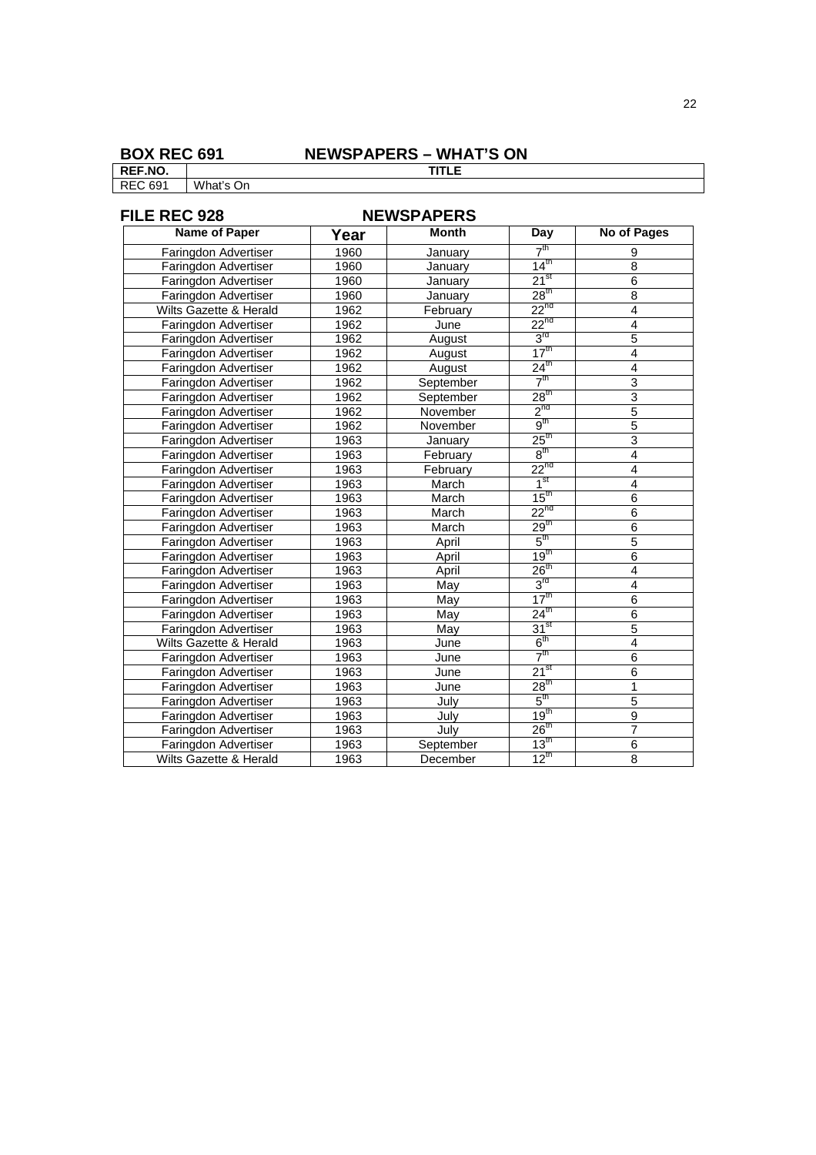### **BOX REC 691 NEWSPAPERS – WHAT'S ON**

**REF.NO. TITLE** REC 691 What's On

### **FILE REC 928 NEWSPAPERS**<br>
Name of Paper | Vear | Month **Name of Paper Year Month** Day No of Pages<br> **Day** No of Pages<br> **Particular Advertiser** 1960 **Day** 2<sup>th</sup> 9 Faringdon Advertiser 1960 January 7<sup>th</sup><br>Faringdon Advertiser 1960 January 14<sup>th</sup> th  $9$ Faringdon Advertiser 1960 January 14<sup>th</sup> 8<br>Faringdon Advertiser 1960 January 21<sup>st</sup> 6 Faringdon Advertiser 1960 January 21<sup>st</sup> 6<br>Faringdon Advertiser 1960 January 28<sup>th</sup> 8 Faringdon Advertiser 1960 January 28<sup>th</sup> 8<br>
Vilts Gazette & Herald 1962 February 2<sup>2ht</sup> 4 Wilts Gazette & Herald 1962 February 22<sup>nd</sup> 4<br>
Faringdon Advertiser 1962 June 2<sup>2nd</sup> 4 Faringdon Advertiser 1962 June 22<sup>nd</sup> 4<br>
Faringdon Advertiser 1962 August 3<sup>rd</sup> 5 Faringdon Advertiser 1962 August 3<sup>rd</sup><br>Faringdon Advertiser 1962 August 17<sup>th</sup>  $\frac{1}{3}$ <sup>rd</sup> Faringdon Advertiser 1962 August 17<sup>th</sup> 4<br>
Faringdon Advertiser 1962 August 24<sup>th</sup> 4 Faringdon Advertiser 1962 August 24<sup>th</sup> 4<br>
Faringdon Advertiser 1962 September 7<sup>th</sup> 3 Faringdon Advertiser 1962 September 7<sup>th</sup><br>Faringdon Advertiser 1962 September 28<sup>th</sup>  $\frac{1}{2}$  3 Faringdon Advertiser 1962 September 28<sup>th</sup> 3<br>Faringdon Advertiser 1962 November 2<sup>0th</sup> 5<sup>nd</sup> Faringdon Advertiser 1962 November 2<sup>no</sup><br>Faringdon Advertiser 1962 November 9<sup>th</sup>  $n$ d 5 Faringdon Advertiser 1962 November 9<sup>th</sup><br>Faringdon Advertiser 1963 January 25<sup>th</sup> th  $5$ Faringdon Advertiser 1963 January 25<sup>th</sup> 3<br>Faringdon Advertiser 1963 February 8<sup>th</sup> 4 Faringdon Advertiser 1963 February 8<sup>th</sup><br>Faringdon Advertiser 1963 February 2<sup>010</sup> th  $4$ Faringdon Advertiser | 1963 | February | 22<sup>nd</sup> | 4 Faringdon Advertiser | 1963 | March | 1<sup>st</sup><br>Faringdon Advertiser | 1963 | March | 15<sup>th</sup>  $\begin{array}{c|c}\n & 4 \\
\hline\n & 4\n\end{array}$ Faringdon Advertiser | 1963 | March | 15<sup>th</sup> | 6<br>
Faringdon Advertiser | 1963 | March | 22<sup>nd</sup> | 6 Faringdon Advertiser 1963 March 22<sup>nd</sup> 6<br>Faringdon Advertiser 1963 March 29<sup>th</sup> 6 Faringdon Advertiser 1963 March 29<sup>th</sup> 6<br>
Faringdon Advertiser 1963 April 5<sup>th</sup> 5<sup>th</sup> 5 Faringdon Advertiser 1963 April 5<sup>th</sup><br>Faringdon Advertiser 1963 April 19<sup>th</sup>  $\frac{t}{5}$ Faringdon Advertiser 1963 April 5<sup>th</sup> 5<br>
Faringdon Advertiser 1963 April 19<sup>th</sup> 6<br>
Faringdon Advertiser 1963 April 26<sup>th</sup> 4 Faringdon Advertiser 1963 April 26<sup>th</sup> 4<br>Faringdon Advertiser 1963 May 3<sup>rd</sup> 4 Faringdon Advertiser 1963 May 3<sup>rd</sup><br>Faringdon Advertiser 1963 May 17<sup>th</sup> rd 4 Faringdon Advertiser 1963 May 17<sup>th</sup> 6<br>
Faringdon Advertiser 1963 May 24<sup>th</sup> 6 Faringdon Advertiser 1963 May 24<sup>th</sup> 6<br>Faringdon Advertiser 1963 May 31<sup>st</sup> 5 Faringdon Advertiser 1963 May 31<sup>st</sup> 5<br>
Wilts Gazette & Herald 1963 June 6<sup>th</sup> 4 Wilts Gazette & Herald 1963 June  $6^{th}$  4<br>Faringdon Advertiser 1963 June  $7^{th}$ Faringdon Advertiser 1963 June 7<sup>th</sup> 6<br>
Faringdon Advertiser 1963 June 21<sup>st</sup> 6 Faringdon Advertiser 1963 June 21<sup>st</sup> 6<br>
Faringdon Advertiser 1963 June 28<sup>th</sup> 1 Faringdon Advertiser 1963 June 28<sup>th</sup> 1<br>
Faringdon Advertiser 1963 July 5<sup>th</sup> 5<sup>th</sup> 5 Faringdon Advertiser 1963 July 5<sup>th</sup><br>Faringdon Advertiser 1963 July 19<sup>th</sup>  $\frac{t}{5}$ Faringdon Advertiser 1963 July 19<sup>th</sup> 9<br>
Faringdon Advertiser 1963 July 26<sup>th</sup> 7 Faringdon Advertiser 1963 July 26<sup>th</sup> 7<br>
Faringdon Advertiser 1963 September 13<sup>th</sup> 6 Faringdon Advertiser 1963 September 13<sup>th</sup> 60 Nits Gazette & Herald 1963 December 12<sup>th</sup> Wilts Gazette & Herald 1963 December  $12^{th}$  8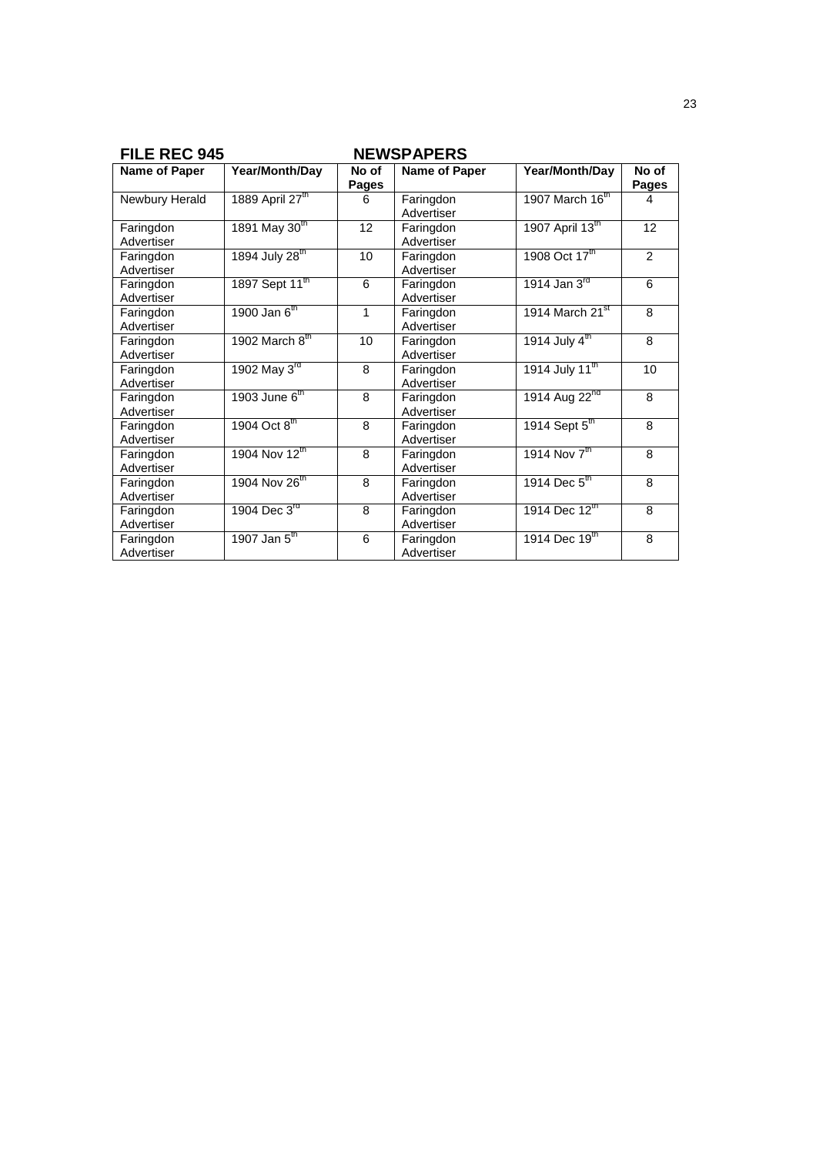| <b>FILE REC 945</b>     |                            |                | <b>NEWSPAPERS</b>       |                             |                       |
|-------------------------|----------------------------|----------------|-------------------------|-----------------------------|-----------------------|
| Name of Paper           | <b>Year/Month/Day</b>      | No of<br>Pages | Name of Paper           | Year/Month/Day              | No of<br><b>Pages</b> |
| Newbury Herald          | 1889 April 27th            | 6              | Faringdon<br>Advertiser | 1907 March 16th             | 4                     |
| Faringdon<br>Advertiser | 1891 May 30 <sup>th</sup>  | 12             | Faringdon<br>Advertiser | 1907 April 13th             | 12                    |
| Faringdon<br>Advertiser | 1894 July 28 <sup>th</sup> | 10             | Faringdon<br>Advertiser | 1908 Oct 17th               | $\overline{2}$        |
| Faringdon<br>Advertiser | 1897 Sept 11 <sup>th</sup> | 6              | Faringdon<br>Advertiser | 1914 Jan 3rd                | 6                     |
| Faringdon<br>Advertiser | $1900$ Jan $6th$           | 1              | Faringdon<br>Advertiser | 1914 March 21 <sup>st</sup> | 8                     |
| Faringdon<br>Advertiser | 1902 March $8th$           | 10             | Faringdon<br>Advertiser | 1914 July $4^{\text{th}}$   | 8                     |
| Faringdon<br>Advertiser | 1902 May 3rd               | 8              | Faringdon<br>Advertiser | 1914 July 11 <sup>th</sup>  | 10                    |
| Faringdon<br>Advertiser | 1903 June $6th$            | 8              | Faringdon<br>Advertiser | 1914 Aug 22 <sup>nd</sup>   | 8                     |
| Faringdon<br>Advertiser | 1904 Oct 8th               | 8              | Faringdon<br>Advertiser | 1914 Sept 5 <sup>th</sup>   | 8                     |
| Faringdon<br>Advertiser | 1904 Nov 12th              | 8              | Faringdon<br>Advertiser | 1914 Nov $7^{\text{th}}$    | 8                     |
| Faringdon<br>Advertiser | 1904 Nov 26th              | 8              | Faringdon<br>Advertiser | $1914$ Dec $5^{\text{th}}$  | $\mathsf{B}$          |
| Faringdon<br>Advertiser | 1904 Dec 3 <sup>rd</sup>   | 8              | Faringdon<br>Advertiser | 1914 Dec 12th               | 8                     |
| Faringdon<br>Advertiser | 1907 Jan $5^{\text{th}}$   | 6              | Faringdon<br>Advertiser | 1914 Dec 19th               | 8                     |

### 23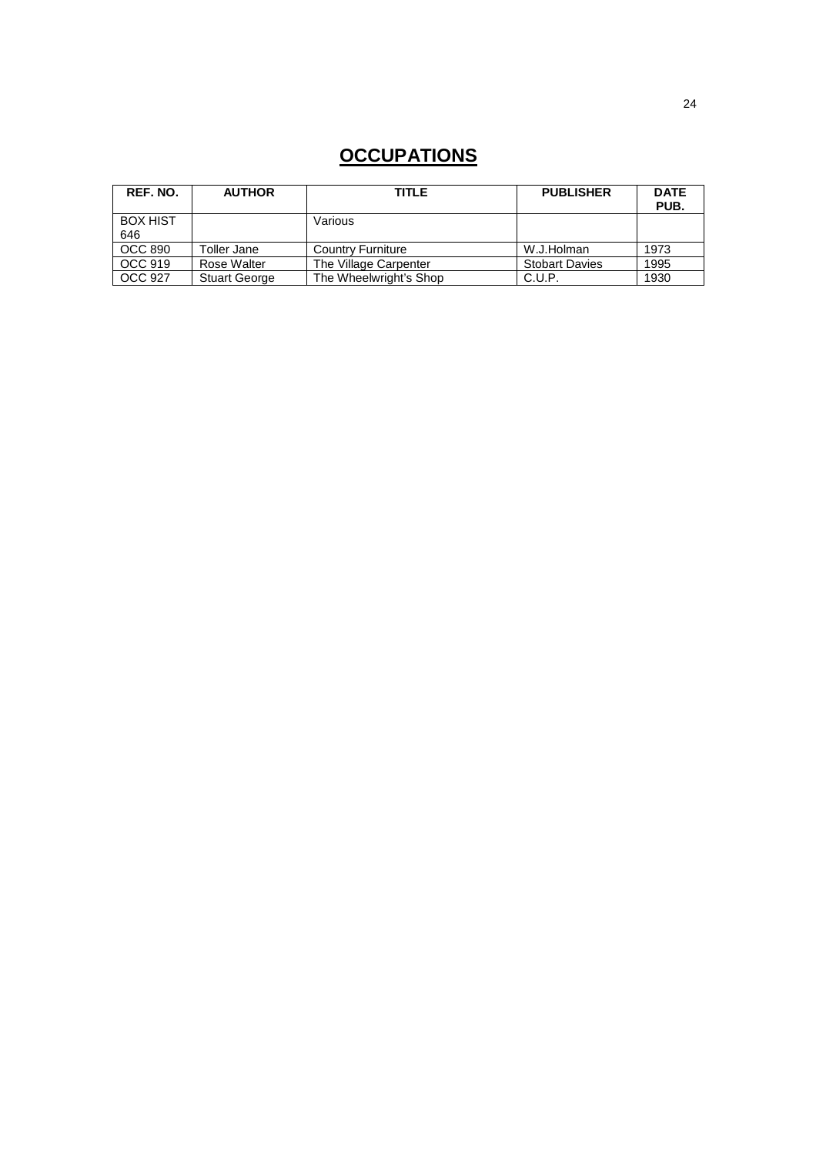# **OCCUPATIONS**

| REF. NO.               | <b>AUTHOR</b>        | <b>TITLE</b>             | <b>PUBLISHER</b>      | <b>DATE</b><br>PUB. |
|------------------------|----------------------|--------------------------|-----------------------|---------------------|
| <b>BOX HIST</b><br>646 |                      | Various                  |                       |                     |
|                        |                      |                          |                       |                     |
| <b>OCC 890</b>         | <b>Toller Jane</b>   | <b>Country Furniture</b> | W.J.Holman            | 1973                |
| OCC 919                | Rose Walter          | The Village Carpenter    | <b>Stobart Davies</b> | 1995                |
| OCC 927                | <b>Stuart George</b> | The Wheelwright's Shop   | C.U.P.                | 1930                |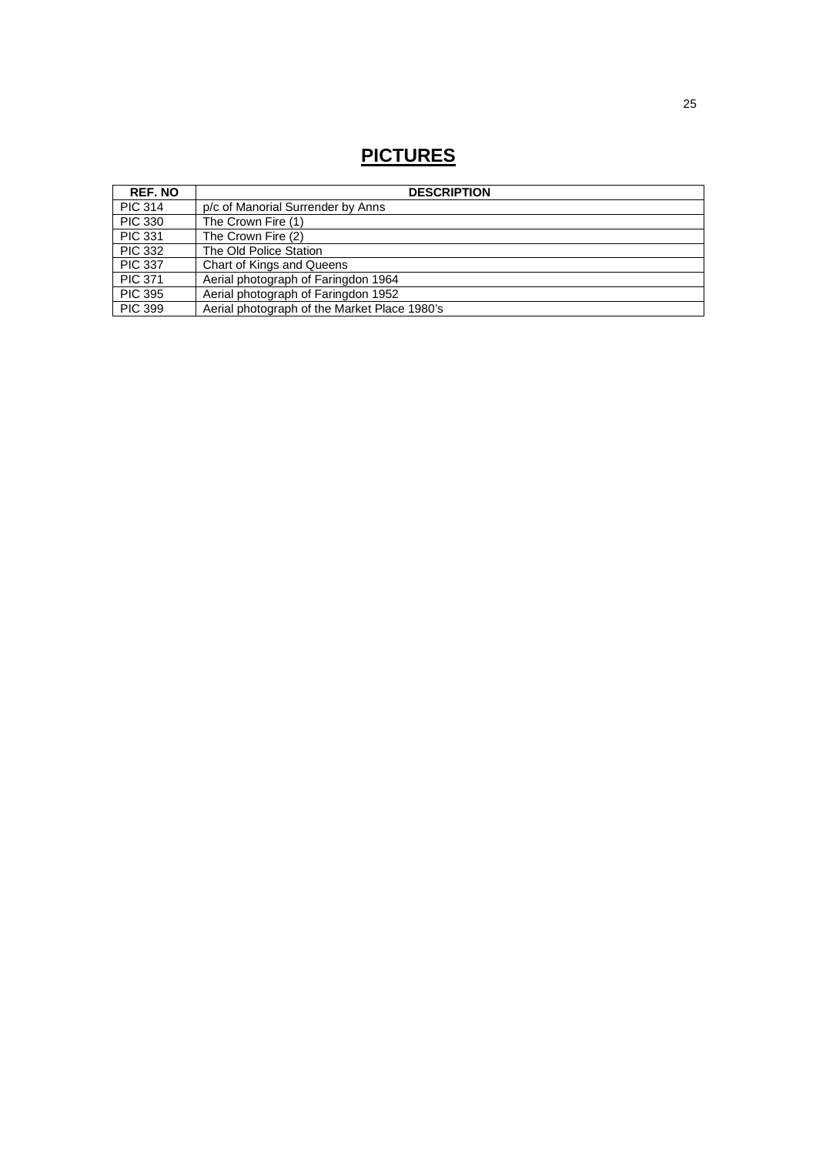# **PICTURES**

| <b>REF. NO</b> | <b>DESCRIPTION</b>                           |
|----------------|----------------------------------------------|
| <b>PIC 314</b> | p/c of Manorial Surrender by Anns            |
| <b>PIC 330</b> | The Crown Fire (1)                           |
| <b>PIC 331</b> | The Crown Fire (2)                           |
| <b>PIC 332</b> | The Old Police Station                       |
| <b>PIC 337</b> | Chart of Kings and Queens                    |
| <b>PIC 371</b> | Aerial photograph of Faringdon 1964          |
| <b>PIC 395</b> | Aerial photograph of Faringdon 1952          |
| <b>PIC 399</b> | Aerial photograph of the Market Place 1980's |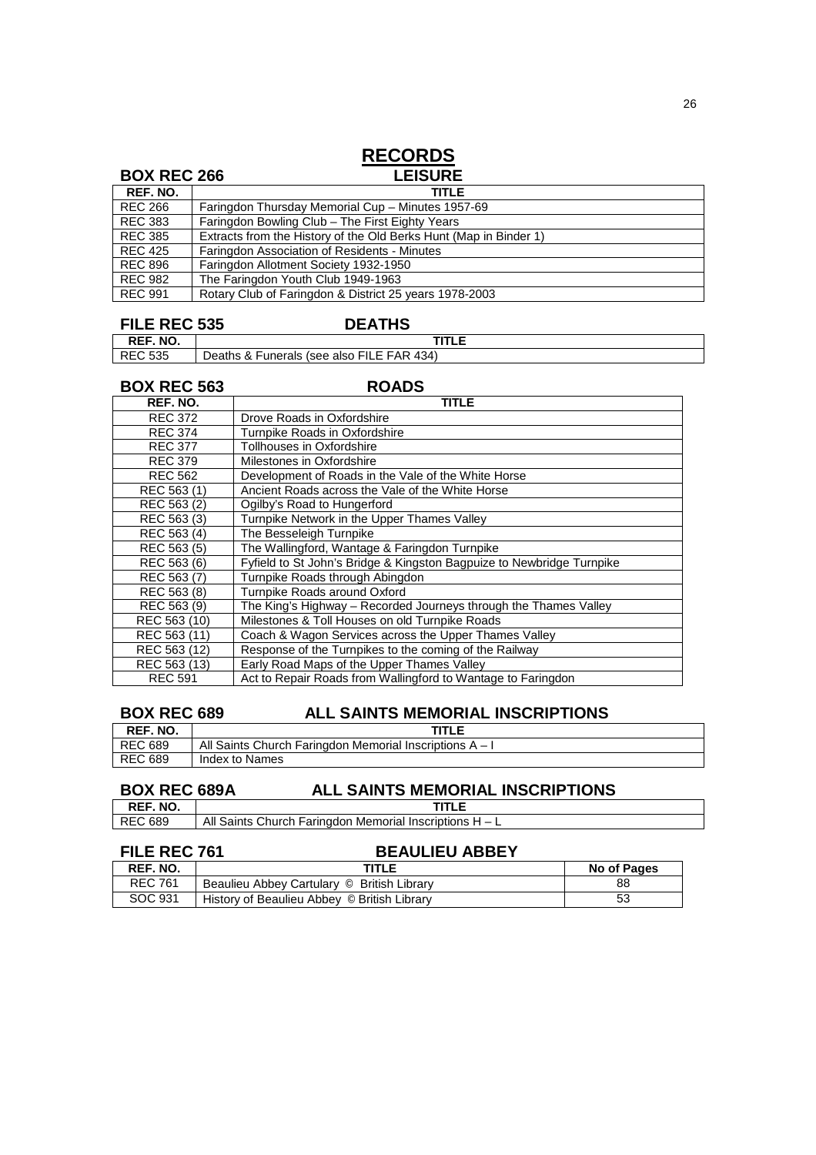### **RECORDS BOX REC 266** LEISURE **REF. NO.**<br>**REC 266**<br>**REC 383** Faringdon Thursday Memorial Cup - Minutes 1957-69 REC 383 Faringdon Bowling Club – The First Eighty Years<br>REC 385 Extracts from the History of the Old Berks Hunt (N REC 385 Extracts from the History of the Old Berks Hunt (Map in Binder 1)<br>REC 425 Faringdon Association of Residents - Minutes REC 425 Faringdon Association of Residents - Minutes<br>REC 896 Faringdon Allotment Society 1932-1950 REC 896 Faringdon Allotment Society 1932-1950<br>REC 982 The Faringdon Youth Club 1949-1963 REC 982 The Faringdon Youth Club 1949-1963<br>REC 991 Rotary Club of Faringdon & District 25 Rotary Club of Faringdon & District 25 years 1978-2003

### **FILE REC 535 DEATHS**

**REF. NO. TITLE**<br>REC 535 Deaths & Funerals (see also FILE FAR 434) Deaths & Funerals (see also FILE FAR 434)

**BOX REC 563 ROADS** 

| REF. NO.       | TITLE                                                                 |
|----------------|-----------------------------------------------------------------------|
| <b>REC 372</b> | Drove Roads in Oxfordshire                                            |
| <b>REC 374</b> | Turnpike Roads in Oxfordshire                                         |
| <b>REC 377</b> | Tollhouses in Oxfordshire                                             |
| <b>REC 379</b> | Milestones in Oxfordshire                                             |
| <b>REC 562</b> | Development of Roads in the Vale of the White Horse                   |
| REC 563 (1)    | Ancient Roads across the Vale of the White Horse                      |
| REC 563 (2)    | Ogilby's Road to Hungerford                                           |
| REC 563 (3)    | Turnpike Network in the Upper Thames Valley                           |
| REC 563 (4)    | The Besseleigh Turnpike                                               |
| REC 563 (5)    | The Wallingford, Wantage & Faringdon Turnpike                         |
| REC 563 (6)    | Fyfield to St John's Bridge & Kingston Bagpuize to Newbridge Turnpike |
| REC 563 (7)    | Turnpike Roads through Abingdon                                       |
| REC 563 (8)    | Turnpike Roads around Oxford                                          |
| REC 563 (9)    | The King's Highway – Recorded Journeys through the Thames Valley      |
| REC 563 (10)   | Milestones & Toll Houses on old Turnpike Roads                        |
| REC 563 (11)   | Coach & Wagon Services across the Upper Thames Valley                 |
| REC 563 (12)   | Response of the Turnpikes to the coming of the Railway                |
| REC 563 (13)   | Early Road Maps of the Upper Thames Valley                            |
| <b>REC 591</b> | Act to Repair Roads from Wallingford to Wantage to Faringdon          |

### **BOX REC 689 ALL SAINTS MEMORIAL INSCRIPTIONS**

| REF. NO.       | TITLE                                                     |
|----------------|-----------------------------------------------------------|
| <b>REC 689</b> | All Saints Church Faringdon Memorial Inscriptions $A - I$ |
| REC 689        | Index to Names                                            |

# **BOX REC 689A ALL SAINTS MEMORIAL INSCRIPTIONS**<br>REF. NO. |

**REF. NO.**<br>REC 689 All Saints Church Faringdon Memorial Inscriptions  $H - L$ 

### FILE REC 761 BEAULIEU ABBEY

| REF. NO.       | TITLE                                       | No of Pages |
|----------------|---------------------------------------------|-------------|
| <b>REC 761</b> | Beaulieu Abbey Cartulary © British Library  | 88          |
| SOC 931        | History of Beaulieu Abbey © British Library | 53          |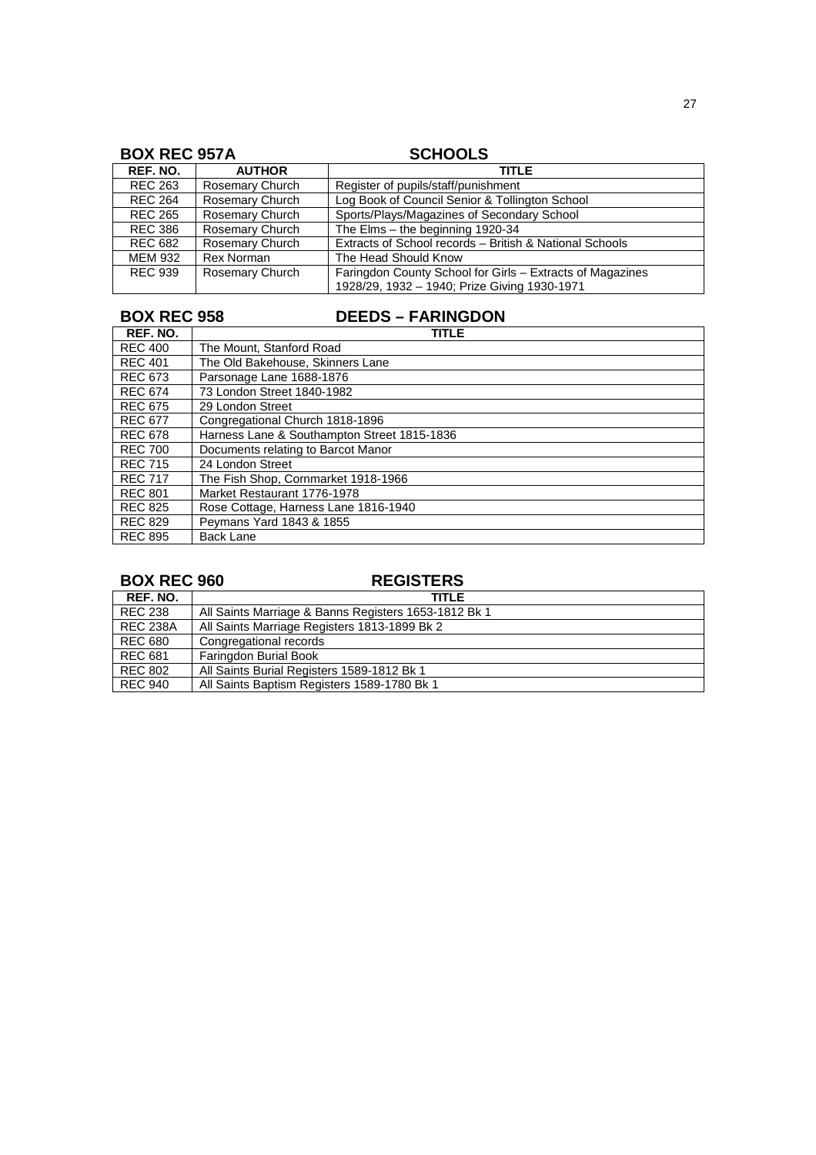| <b>BOX REC 957A</b> |                        | <b>SCHOOLS</b>                                            |  |  |
|---------------------|------------------------|-----------------------------------------------------------|--|--|
| <b>REF. NO.</b>     | <b>AUTHOR</b>          | TITLE                                                     |  |  |
| <b>REC 263</b>      | <b>Rosemary Church</b> | Register of pupils/staff/punishment                       |  |  |
| <b>REC 264</b>      | <b>Rosemary Church</b> | Log Book of Council Senior & Tollington School            |  |  |
| <b>REC 265</b>      | <b>Rosemary Church</b> | Sports/Plays/Magazines of Secondary School                |  |  |
| <b>REC 386</b>      | <b>Rosemary Church</b> | The Elms $-$ the beginning 1920-34                        |  |  |
| <b>REC 682</b>      | Rosemary Church        | Extracts of School records - British & National Schools   |  |  |
| MEM 932             | Rex Norman             | The Head Should Know                                      |  |  |
| <b>REC 939</b>      | Rosemary Church        | Faringdon County School for Girls - Extracts of Magazines |  |  |
|                     |                        | 1928/29, 1932 - 1940; Prize Giving 1930-1971              |  |  |

## **BOX REC 958 DEEDS – FARINGDON**

| REF. NO.       | <b>TITLE</b>                                |
|----------------|---------------------------------------------|
| <b>REC 400</b> | The Mount. Stanford Road                    |
| <b>REC 401</b> | The Old Bakehouse, Skinners Lane            |
| <b>REC 673</b> | Parsonage Lane 1688-1876                    |
| <b>REC 674</b> | 73 London Street 1840-1982                  |
| <b>REC 675</b> | 29 London Street                            |
| <b>REC 677</b> | Congregational Church 1818-1896             |
| <b>REC 678</b> | Harness Lane & Southampton Street 1815-1836 |
| <b>REC 700</b> | Documents relating to Barcot Manor          |
| <b>REC 715</b> | 24 London Street                            |
| <b>REC 717</b> | The Fish Shop, Cornmarket 1918-1966         |
| <b>REC 801</b> | Market Restaurant 1776-1978                 |
| <b>REC 825</b> | Rose Cottage, Harness Lane 1816-1940        |
| <b>REC 829</b> | Peymans Yard 1843 & 1855                    |
| <b>REC 895</b> | <b>Back Lane</b>                            |

## **BOX REC 960 REGISTERS**

| REF. NO.        | <b>TITLE</b>                                         |
|-----------------|------------------------------------------------------|
| <b>REC 238</b>  | All Saints Marriage & Banns Registers 1653-1812 Bk 1 |
| <b>REC 238A</b> | All Saints Marriage Registers 1813-1899 Bk 2         |
| REC 680         | Congregational records                               |
| <b>REC 681</b>  | Faringdon Burial Book                                |
| <b>REC 802</b>  | All Saints Burial Registers 1589-1812 Bk 1           |
| REC 940         | All Saints Baptism Registers 1589-1780 Bk 1          |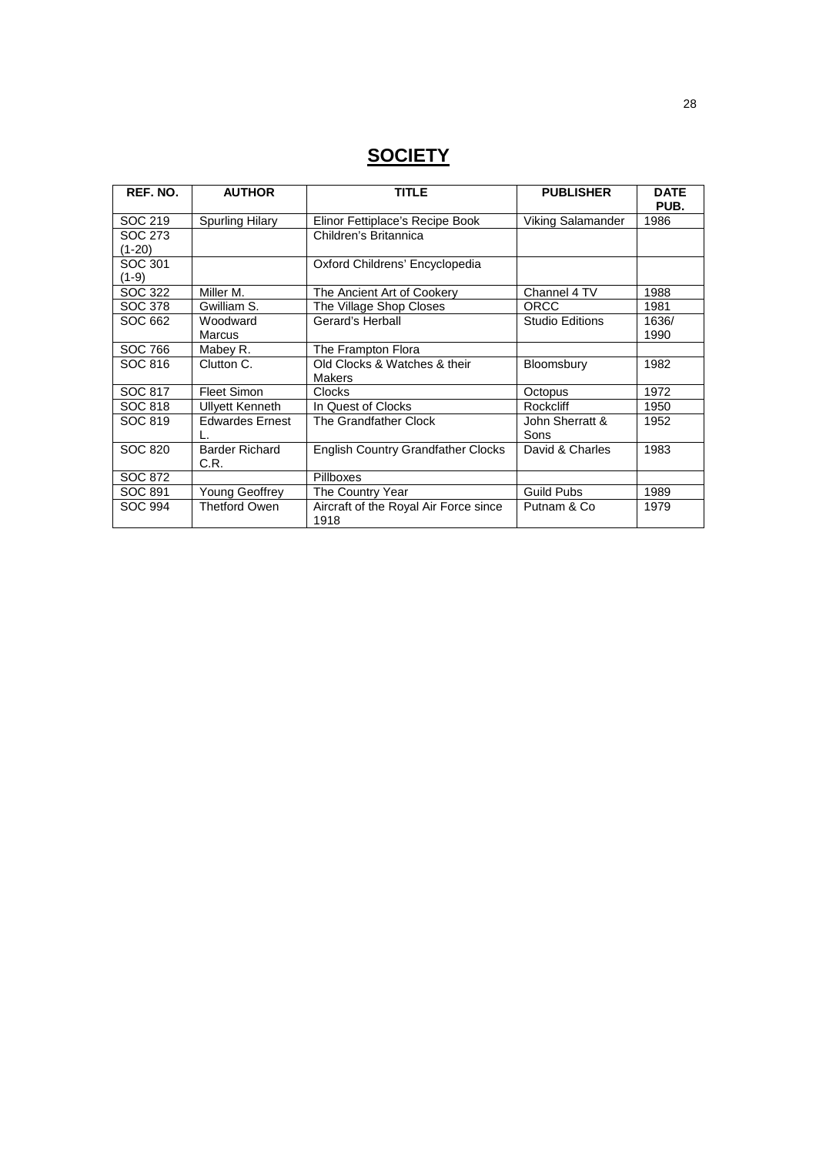# **SOCIETY**

| REF. NO.       | <b>AUTHOR</b>                 | <b>TITLE</b>                                  | <b>PUBLISHER</b>         | <b>DATE</b><br>PUB. |
|----------------|-------------------------------|-----------------------------------------------|--------------------------|---------------------|
| SOC 219        | <b>Spurling Hilary</b>        | Elinor Fettiplace's Recipe Book               | <b>Viking Salamander</b> | 1986                |
| SOC 273        |                               | Children's Britannica                         |                          |                     |
| $(1-20)$       |                               |                                               |                          |                     |
| SOC 301        |                               | Oxford Childrens' Encyclopedia                |                          |                     |
| $(1-9)$        |                               |                                               |                          |                     |
| SOC 322        | Miller M.                     | The Ancient Art of Cookery                    | Channel 4 TV             | 1988                |
| SOC 378        | Gwilliam S.                   | The Village Shop Closes                       | <b>ORCC</b>              | 1981                |
| SOC 662        | Woodward                      | Gerard's Herball                              | <b>Studio Editions</b>   | 1636/               |
|                | <b>Marcus</b>                 |                                               |                          | 1990                |
| SOC 766        | Mabey R.                      | The Frampton Flora                            |                          |                     |
| SOC 816        | Clutton C.                    | Old Clocks & Watches & their                  | Bloomsbury               | 1982                |
|                |                               | <b>Makers</b>                                 |                          |                     |
| SOC 817        | <b>Fleet Simon</b>            | <b>Clocks</b>                                 | Octopus                  | 1972                |
| SOC 818        | <b>Ullyett Kenneth</b>        | In Quest of Clocks                            | Rockcliff                | 1950                |
| SOC 819        | <b>Edwardes Ernest</b>        | The Grandfather Clock                         | John Sherratt &          | 1952                |
|                |                               |                                               | Sons                     |                     |
| SOC 820        | <b>Barder Richard</b><br>C.R. | <b>English Country Grandfather Clocks</b>     |                          | 1983                |
| SOC 872        |                               | Pillboxes                                     |                          |                     |
| SOC 891        | <b>Young Geoffrey</b>         | The Country Year                              | <b>Guild Pubs</b>        | 1989                |
| <b>SOC 994</b> | <b>Thetford Owen</b>          | Aircraft of the Royal Air Force since<br>1918 | Putnam & Co              | 1979                |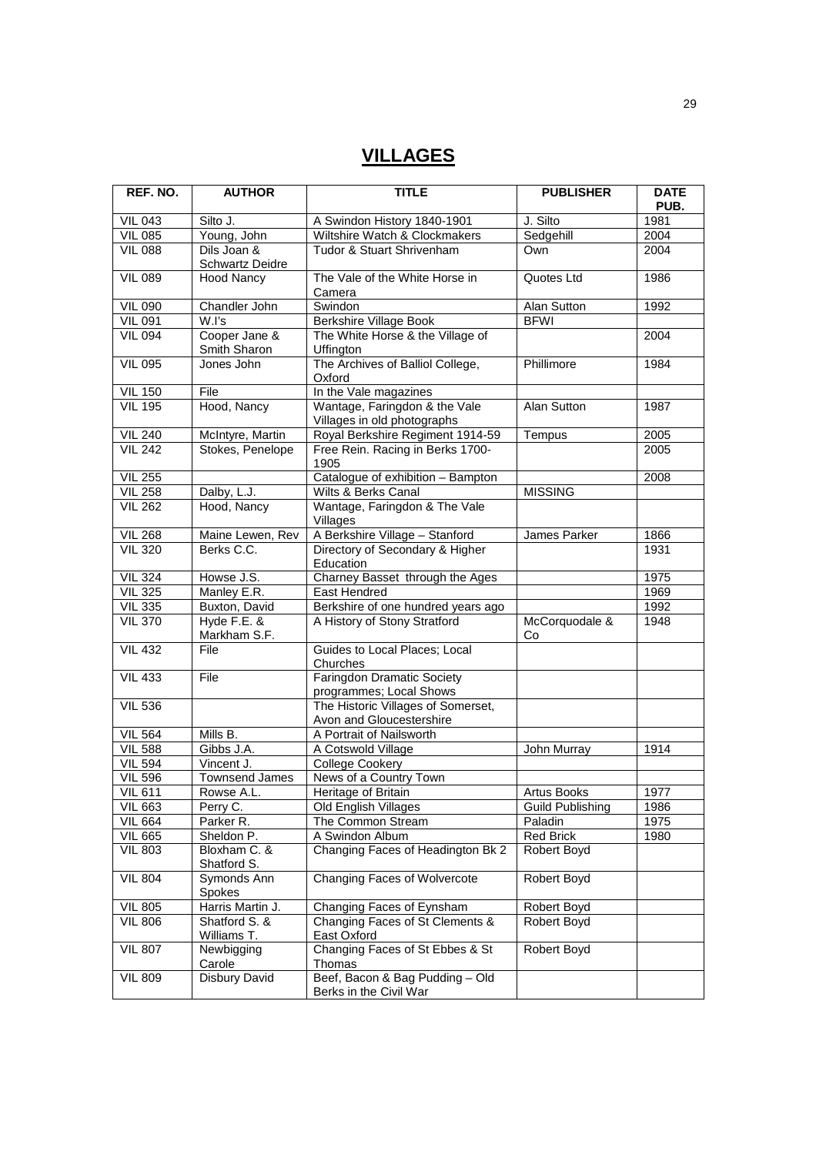# **VILLAGES**

| REF. NO.       | <b>AUTHOR</b>                         | <b>TITLE</b>                                                   | <b>PUBLISHER</b>        | <b>DATE</b><br>PUB. |
|----------------|---------------------------------------|----------------------------------------------------------------|-------------------------|---------------------|
| <b>VIL 043</b> | Silto J.                              | A Swindon History 1840-1901                                    | J. Silto                | 1981                |
| <b>VIL 085</b> | Young, John                           | Wiltshire Watch & Clockmakers                                  | Sedgehill               | 2004                |
| <b>VIL 088</b> | Dils Joan &<br><b>Schwartz Deidre</b> | Tudor & Stuart Shrivenham                                      | Own                     | 2004                |
| <b>VIL 089</b> | <b>Hood Nancy</b>                     | The Vale of the White Horse in<br>Camera                       | Quotes Ltd              | 1986                |
| <b>VIL 090</b> | Chandler John                         | Swindon                                                        | Alan Sutton             | 1992                |
| <b>VIL 091</b> | W.l's                                 | <b>Berkshire Village Book</b>                                  | <b>BFWI</b>             |                     |
| <b>VIL 094</b> | Cooper Jane &<br>Smith Sharon         | The White Horse & the Village of<br>Uffington                  |                         | 2004                |
| <b>VIL 095</b> | Jones John                            | The Archives of Balliol College,<br>Oxford                     | Phillimore              | 1984                |
| <b>VIL 150</b> | File                                  | In the Vale magazines                                          |                         |                     |
| <b>VIL 195</b> | Hood, Nancy                           | Wantage, Faringdon & the Vale<br>Villages in old photographs   | <b>Alan Sutton</b>      | 1987                |
| <b>VIL 240</b> | McIntyre, Martin                      | Royal Berkshire Regiment 1914-59                               | Tempus                  | 2005                |
| <b>VIL 242</b> | Stokes, Penelope                      | Free Rein. Racing in Berks 1700-<br>1905                       |                         | 2005                |
| <b>VIL 255</b> |                                       | Catalogue of exhibition - Bampton                              |                         | 2008                |
| <b>VIL 258</b> | Dalby, L.J.                           | Wilts & Berks Canal                                            | <b>MISSING</b>          |                     |
| <b>VIL 262</b> | Hood, Nancy                           | Wantage, Faringdon & The Vale<br>Villages                      |                         |                     |
| VIL 268        | Maine Lewen, Rev                      | A Berkshire Village - Stanford                                 | James Parker            | 1866                |
| <b>VIL 320</b> | Berks C.C.                            | Directory of Secondary & Higher<br>Education                   |                         | 1931                |
| <b>VIL 324</b> | Howse J.S.                            | Charney Basset through the Ages                                |                         | 1975                |
| <b>VIL 325</b> | Manley E.R.                           | East Hendred                                                   |                         | 1969                |
| <b>VIL 335</b> | Buxton, David                         | Berkshire of one hundred years ago                             |                         | 1992                |
| <b>VIL 370</b> | Hyde F.E. &<br>Markham S.F.           | A History of Stony Stratford                                   | McCorquodale &<br>Co    | 1948                |
| <b>VIL 432</b> | File                                  | Guides to Local Places; Local<br>Churches                      |                         |                     |
| <b>VIL 433</b> | File                                  | <b>Faringdon Dramatic Society</b><br>programmes; Local Shows   |                         |                     |
| <b>VIL 536</b> |                                       | The Historic Villages of Somerset,<br>Avon and Gloucestershire |                         |                     |
| <b>VIL 564</b> | Mills B.                              | A Portrait of Nailsworth                                       |                         |                     |
| <b>VIL 588</b> | Gibbs J.A.                            | A Cotswold Village                                             | John Murray             | 1914                |
| <b>VIL 594</b> | Vincent J.                            | <b>College Cookery</b>                                         |                         |                     |
| <b>VIL 596</b> | <b>Townsend James</b>                 | News of a Country Town                                         |                         |                     |
| <b>VIL 611</b> | Rowse A.L.                            | Heritage of Britain                                            | <b>Artus Books</b>      | 1977                |
| <b>VIL 663</b> | Perry C.                              | Old English Villages                                           | <b>Guild Publishing</b> | 1986                |
| <b>VIL 664</b> | Parker R.                             | The Common Stream                                              | Paladin                 | 1975                |
| <b>VIL 665</b> | Sheldon P.                            | A Swindon Album                                                | <b>Red Brick</b>        | 1980                |
| <b>VIL 803</b> | Bloxham C. &<br>Shatford S.           | Changing Faces of Headington Bk 2                              | Robert Boyd             |                     |
| <b>VIL 804</b> | Symonds Ann<br>Spokes                 | Changing Faces of Wolvercote                                   | Robert Boyd             |                     |
| <b>VIL 805</b> | Harris Martin J.                      | Changing Faces of Eynsham                                      | Robert Boyd             |                     |
| <b>VIL 806</b> | Shatford S. &<br>Williams T.          | Changing Faces of St Clements &<br>East Oxford                 | Robert Boyd             |                     |
| <b>VIL 807</b> | Newbigging<br>Carole                  | Changing Faces of St Ebbes & St<br>Thomas                      | Robert Boyd             |                     |
| <b>VIL 809</b> | <b>Disbury David</b>                  | Beef, Bacon & Bag Pudding - Old<br>Berks in the Civil War      |                         |                     |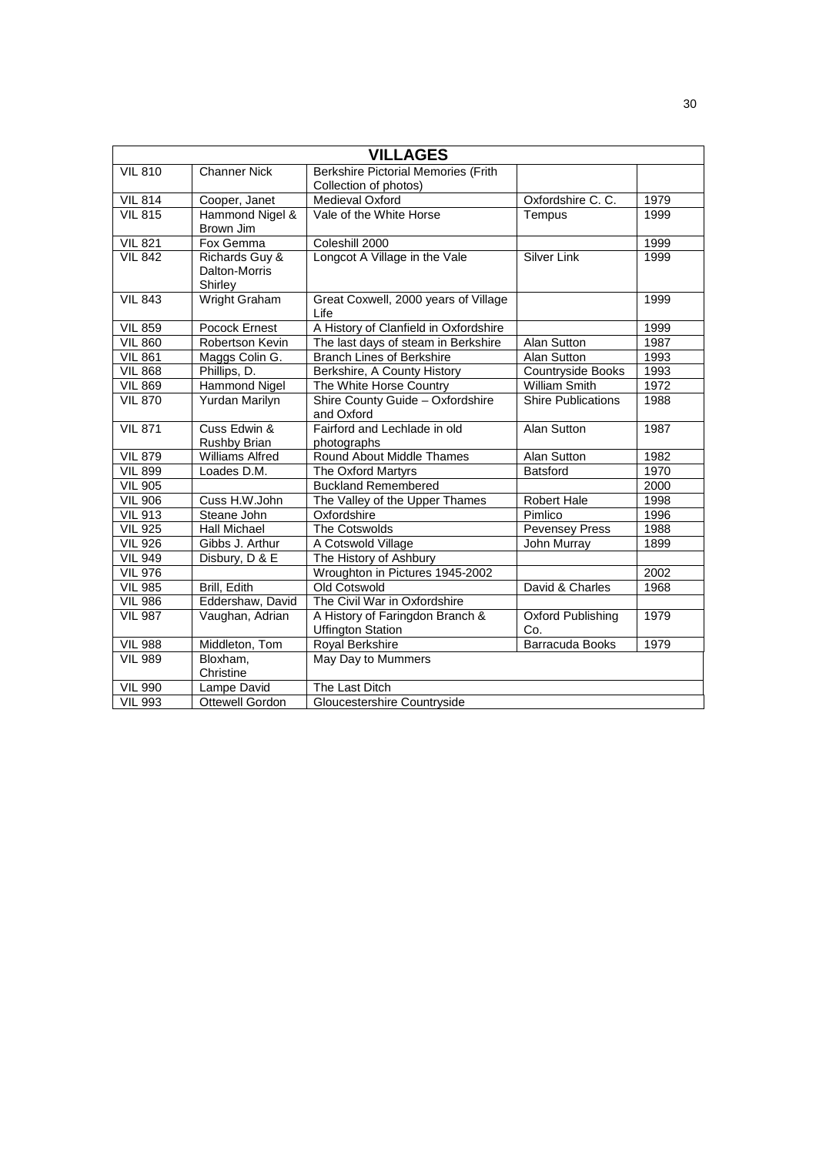|                |                                            | <b>VILLAGES</b>                                             |                           |      |
|----------------|--------------------------------------------|-------------------------------------------------------------|---------------------------|------|
| <b>VIL 810</b> | <b>Channer Nick</b>                        | <b>Berkshire Pictorial Memories (Frith</b>                  |                           |      |
|                |                                            | Collection of photos)                                       |                           |      |
| <b>VIL 814</b> | Cooper, Janet                              | Medieval Oxford                                             | Oxfordshire C. C.         | 1979 |
| <b>VIL 815</b> | Hammond Nigel &<br>Brown Jim               | Vale of the White Horse                                     | Tempus                    | 1999 |
| <b>VIL 821</b> | Fox Gemma                                  | Coleshill 2000                                              |                           | 1999 |
| <b>VIL 842</b> | Richards Guy &<br>Dalton-Morris<br>Shirley | Longcot A Village in the Vale                               | <b>Silver Link</b>        | 1999 |
| <b>VIL 843</b> | Wright Graham                              | Great Coxwell, 2000 years of Village<br>Life                |                           | 1999 |
| <b>VIL 859</b> | Pocock Ernest                              | A History of Clanfield in Oxfordshire                       |                           | 1999 |
| <b>VIL 860</b> | Robertson Kevin                            | The last days of steam in Berkshire                         | Alan Sutton               | 1987 |
| <b>VIL 861</b> | Maggs Colin G.                             | <b>Branch Lines of Berkshire</b>                            | Alan Sutton               | 1993 |
| <b>VIL 868</b> | Phillips, D.                               | Berkshire, A County History                                 | <b>Countryside Books</b>  | 1993 |
| <b>VIL 869</b> | <b>Hammond Nigel</b>                       | The White Horse Country                                     | <b>William Smith</b>      | 1972 |
| <b>VIL 870</b> | Yurdan Marilyn                             | Shire County Guide - Oxfordshire<br>and Oxford              | <b>Shire Publications</b> | 1988 |
| <b>VIL 871</b> | Cuss Edwin &<br>Rushby Brian               | Fairford and Lechlade in old<br>photographs                 | Alan Sutton               | 1987 |
| <b>VIL 879</b> | <b>Williams Alfred</b>                     | Round About Middle Thames                                   | Alan Sutton               | 1982 |
| <b>VIL 899</b> | Loades D.M.                                | The Oxford Martyrs                                          | <b>Batsford</b>           | 1970 |
| <b>VIL 905</b> |                                            | <b>Buckland Remembered</b>                                  |                           | 2000 |
| <b>VIL 906</b> | Cuss H.W.John                              | The Valley of the Upper Thames                              | <b>Robert Hale</b>        | 1998 |
| <b>VIL 913</b> | Steane John                                | Oxfordshire                                                 | Pimlico                   | 1996 |
| <b>VIL 925</b> | <b>Hall Michael</b>                        | The Cotswolds                                               | <b>Pevensey Press</b>     | 1988 |
| <b>VIL 926</b> | Gibbs J. Arthur                            | A Cotswold Village                                          | John Murray               | 1899 |
| <b>VIL 949</b> | Disbury, D & E                             | The History of Ashbury                                      |                           |      |
| <b>VIL 976</b> |                                            | Wroughton in Pictures 1945-2002                             |                           | 2002 |
| <b>VIL 985</b> | Brill, Edith                               | Old Cotswold                                                | David & Charles           | 1968 |
| <b>VIL 986</b> | Eddershaw, David                           | The Civil War in Oxfordshire                                |                           |      |
| <b>VIL 987</b> | Vaughan, Adrian                            | A History of Faringdon Branch &<br><b>Uffington Station</b> | Oxford Publishing<br>Co.  | 1979 |
| <b>VIL 988</b> | Middleton, Tom                             | <b>Royal Berkshire</b>                                      | Barracuda Books           | 1979 |
| <b>VIL 989</b> | Bloxham,<br>Christine                      | May Day to Mummers                                          |                           |      |
| <b>VIL 990</b> | Lampe David                                | The Last Ditch                                              |                           |      |
| <b>VIL 993</b> | <b>Ottewell Gordon</b>                     | Gloucestershire Countryside                                 |                           |      |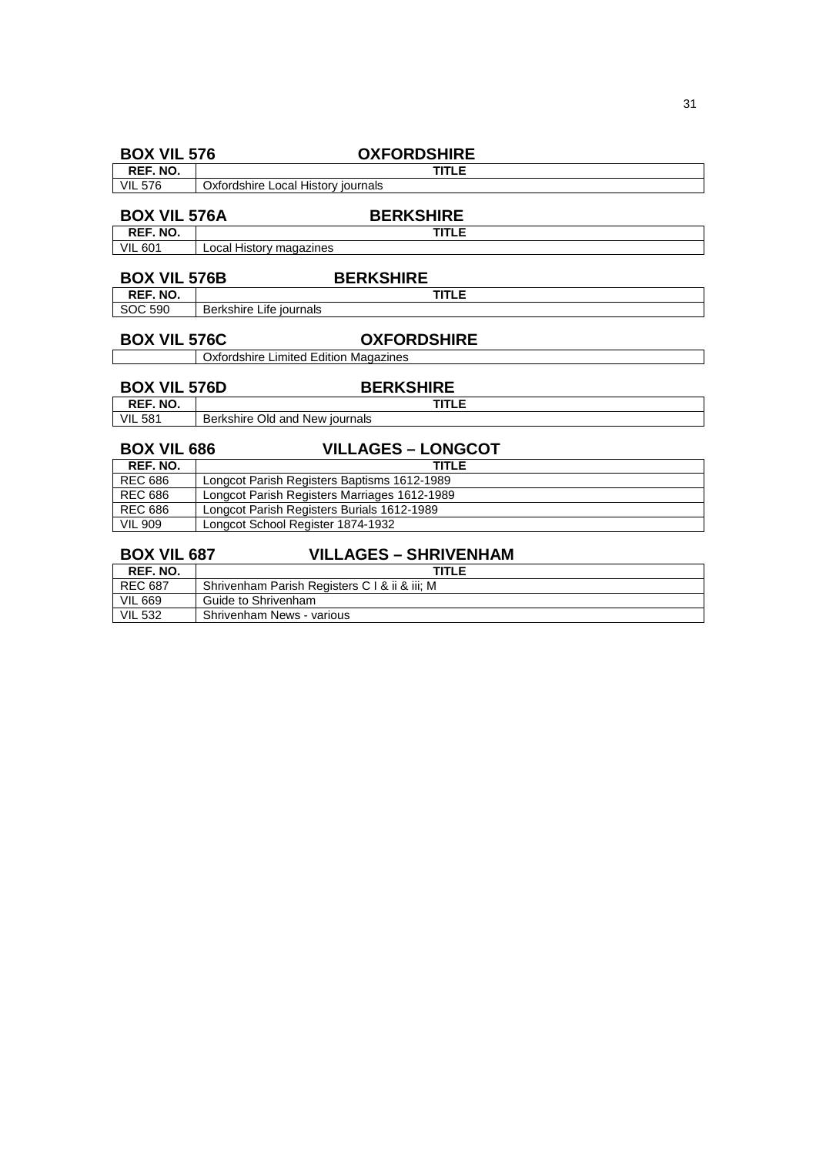| <b>BOX VIL 576</b>  | <b>OXFORDSHIRE</b>                           |  |  |  |  |
|---------------------|----------------------------------------------|--|--|--|--|
| REF. NO.            | <b>TITLE</b>                                 |  |  |  |  |
| <b>VIL 576</b>      | Oxfordshire Local History journals           |  |  |  |  |
|                     |                                              |  |  |  |  |
| <b>BOX VIL 576A</b> | <b>BERKSHIRE</b>                             |  |  |  |  |
| REF. NO.            | <b>TITLE</b>                                 |  |  |  |  |
| <b>VIL 601</b>      | Local History magazines                      |  |  |  |  |
|                     |                                              |  |  |  |  |
| <b>BOX VIL 576B</b> | <b>BERKSHIRE</b>                             |  |  |  |  |
| REF. NO.            | <b>TITLE</b>                                 |  |  |  |  |
| SOC 590             | Berkshire Life journals                      |  |  |  |  |
|                     |                                              |  |  |  |  |
| <b>BOX VIL 576C</b> | <b>OXFORDSHIRE</b>                           |  |  |  |  |
|                     | <b>Oxfordshire Limited Edition Magazines</b> |  |  |  |  |
|                     |                                              |  |  |  |  |
| <b>BOX VIL 576D</b> | <b>BERKSHIRE</b>                             |  |  |  |  |
| REF. NO.            | <b>TITLE</b>                                 |  |  |  |  |
| <b>VIL 581</b>      | Berkshire Old and New journals               |  |  |  |  |
|                     |                                              |  |  |  |  |
| <b>BOX VIL 686</b>  | <b>VILLAGES - LONGCOT</b>                    |  |  |  |  |
| REF. NO.            | <b>TITLE</b>                                 |  |  |  |  |
| <b>REC 686</b>      | Longcot Parish Registers Baptisms 1612-1989  |  |  |  |  |
| <b>REC 686</b>      | Longcot Parish Registers Marriages 1612-1989 |  |  |  |  |
| <b>REC 686</b>      | Longcot Parish Registers Burials 1612-1989   |  |  |  |  |
| <b>VIL 909</b>      | Longcot School Register 1874-1932            |  |  |  |  |
|                     |                                              |  |  |  |  |
| <b>BOX VIL 687</b>  | <b>VILLAGES - SHRIVENHAM</b>                 |  |  |  |  |
| REF. NO.            | <b>TITLE</b>                                 |  |  |  |  |

| REF. NO.       | TITLE                                         |
|----------------|-----------------------------------------------|
| l REC 687      | Shrivenham Parish Registers C I & ii & iii; M |
| <b>VIL 669</b> | Guide to Shrivenham                           |
| <b>VIL 532</b> | Shrivenham News - various                     |

31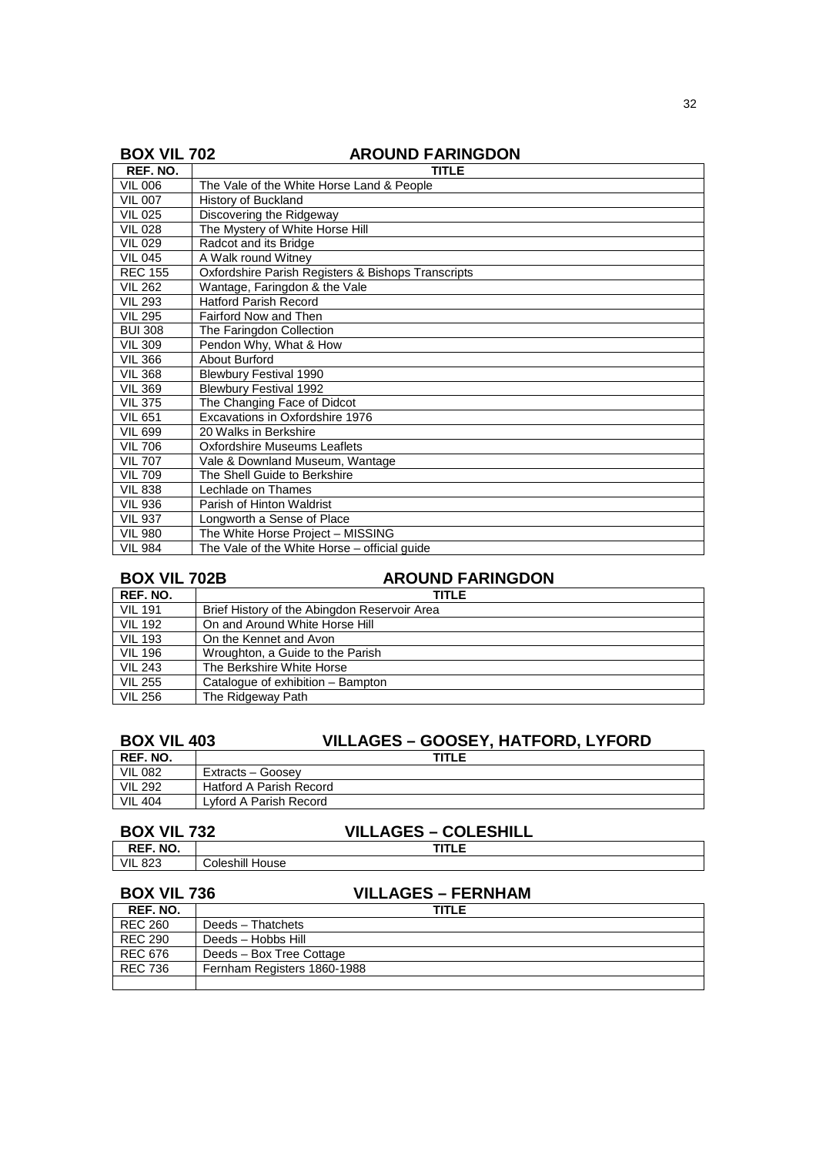|  |  |  | <b>BOX VIL 702</b> |
|--|--|--|--------------------|
|  |  |  |                    |

### **AROUND FARINGDON**

| REF. NO.       | TITLE                                              |  |  |  |  |
|----------------|----------------------------------------------------|--|--|--|--|
| <b>VIL 006</b> | The Vale of the White Horse Land & People          |  |  |  |  |
| <b>VIL 007</b> | <b>History of Buckland</b>                         |  |  |  |  |
| <b>VIL 025</b> | Discovering the Ridgeway                           |  |  |  |  |
| <b>VIL 028</b> | The Mystery of White Horse Hill                    |  |  |  |  |
| <b>VIL 029</b> | Radcot and its Bridge                              |  |  |  |  |
| <b>VIL 045</b> | A Walk round Witney                                |  |  |  |  |
| <b>REC 155</b> | Oxfordshire Parish Registers & Bishops Transcripts |  |  |  |  |
| <b>VIL 262</b> | Wantage, Faringdon & the Vale                      |  |  |  |  |
| <b>VIL 293</b> | <b>Hatford Parish Record</b>                       |  |  |  |  |
| <b>VIL 295</b> | Fairford Now and Then                              |  |  |  |  |
| <b>BUI 308</b> | The Faringdon Collection                           |  |  |  |  |
| <b>VIL 309</b> | Pendon Why, What & How                             |  |  |  |  |
| <b>VIL 366</b> | About Burford                                      |  |  |  |  |
| <b>VIL 368</b> | <b>Blewbury Festival 1990</b>                      |  |  |  |  |
| <b>VIL 369</b> | <b>Blewbury Festival 1992</b>                      |  |  |  |  |
| <b>VIL 375</b> | The Changing Face of Didcot                        |  |  |  |  |
| <b>VIL 651</b> | Excavations in Oxfordshire 1976                    |  |  |  |  |
| <b>VIL 699</b> | 20 Walks in Berkshire                              |  |  |  |  |
| <b>VIL 706</b> | <b>Oxfordshire Museums Leaflets</b>                |  |  |  |  |
| <b>VIL 707</b> | Vale & Downland Museum, Wantage                    |  |  |  |  |
| <b>VIL 709</b> | The Shell Guide to Berkshire                       |  |  |  |  |
| <b>VIL 838</b> | Lechlade on Thames                                 |  |  |  |  |
| <b>VIL 936</b> | Parish of Hinton Waldrist                          |  |  |  |  |
| <b>VIL 937</b> | Longworth a Sense of Place                         |  |  |  |  |
| <b>VIL 980</b> | The White Horse Project - MISSING                  |  |  |  |  |
| <b>VIL 984</b> | The Vale of the White Horse – official guide       |  |  |  |  |

## **BOX VIL 702B AROUND FARINGDON**

| REF. NO.       | <b>TITLE</b>                                 |
|----------------|----------------------------------------------|
| <b>VIL 191</b> | Brief History of the Abingdon Reservoir Area |
| <b>VIL 192</b> | On and Around White Horse Hill               |
| <b>VIL 193</b> | On the Kennet and Avon                       |
| <b>VIL 196</b> | Wroughton, a Guide to the Parish             |
| <b>VIL 243</b> | The Berkshire White Horse                    |
| <b>VIL 255</b> | Catalogue of exhibition - Bampton            |
| <b>VIL 256</b> | The Ridgeway Path                            |

## **BOX VIL 403 VILLAGES – GOOSEY, HATFORD, LYFORD**

| REF. NO.       | <b>TITLE</b>                   |  |  |  |
|----------------|--------------------------------|--|--|--|
| <b>VIL 082</b> | Extracts - Goosey              |  |  |  |
| <b>VIL 292</b> | <b>Hatford A Parish Record</b> |  |  |  |
| <b>VIL 404</b> | Lvford A Parish Record         |  |  |  |

# **BOX VIL 732** VILLAGES – COLESHILL<br>REF. NO. |

**REF. NO.**<br>VIL 823 Coleshill House

| <b>BOX VIL 736</b> | <b>VILLAGES – FERNHAM</b>   |  |  |
|--------------------|-----------------------------|--|--|
| REF. NO.           | TITLE                       |  |  |
| REC 260            | Deeds - Thatchets           |  |  |
| <b>REC 290</b>     | Deeds - Hobbs Hill          |  |  |
| <b>REC 676</b>     | Deeds - Box Tree Cottage    |  |  |
| <b>REC 736</b>     | Fernham Registers 1860-1988 |  |  |
|                    |                             |  |  |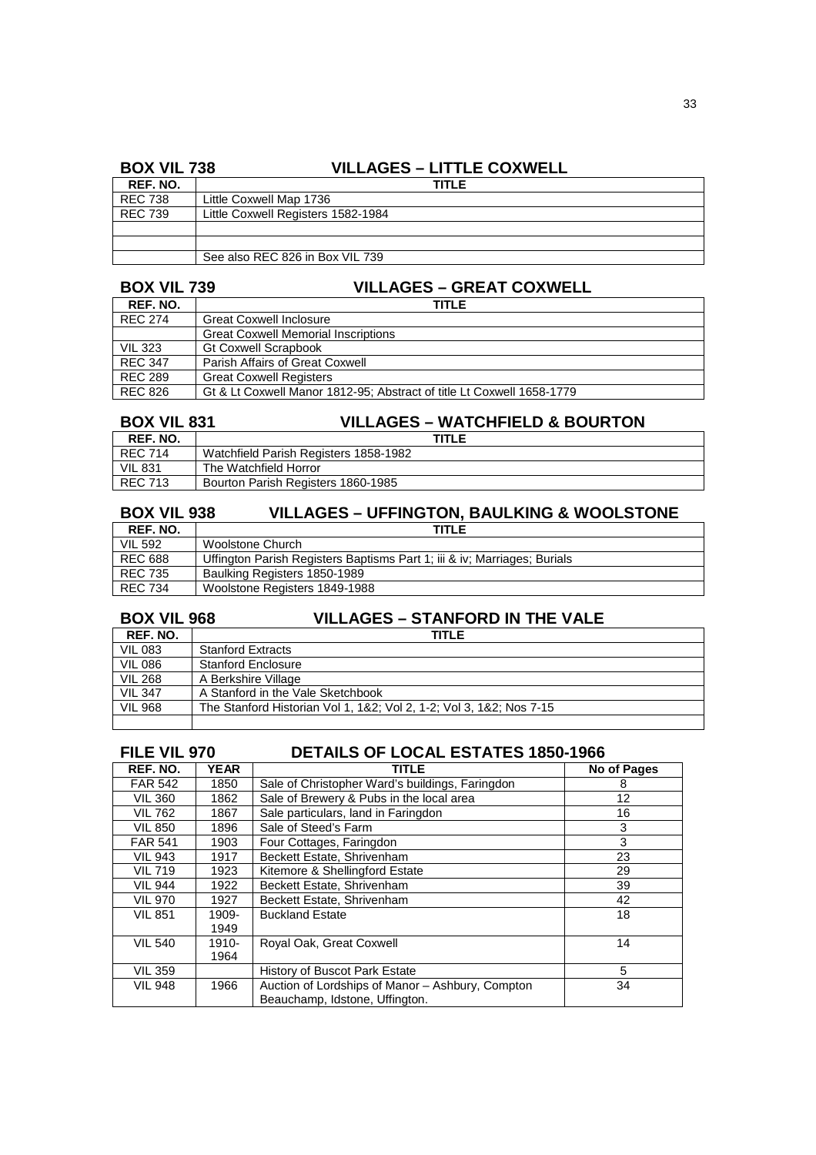### **BOX VIL 738 VILLAGES – LITTLE COXWELL**

| _ _ _ _ _ _ _ _ _ _ |                                    |
|---------------------|------------------------------------|
| REF. NO.            | TITLE                              |
| <b>REC 738</b>      | Little Coxwell Map 1736            |
| <b>REC 739</b>      | Little Coxwell Registers 1582-1984 |
|                     |                                    |
|                     |                                    |
|                     | See also REC 826 in Box VIL 739    |

## **BOX VIL 739 VILLAGES – GREAT COXWELL**

| REF. NO.       | TITI F                                                                |
|----------------|-----------------------------------------------------------------------|
| <b>REC 274</b> | <b>Great Coxwell Inclosure</b>                                        |
|                | <b>Great Coxwell Memorial Inscriptions</b>                            |
| <b>VIL 323</b> | <b>Gt Coxwell Scrapbook</b>                                           |
| <b>REC 347</b> | Parish Affairs of Great Coxwell                                       |
| <b>REC 289</b> | <b>Great Coxwell Registers</b>                                        |
| REC 826        | Gt & Lt Coxwell Manor 1812-95; Abstract of title Lt Coxwell 1658-1779 |

## **BOX VIL 831 VILLAGES – WATCHFIELD & BOURTON**

| REF. NO. | TITLE                                 |  |  |  |  |
|----------|---------------------------------------|--|--|--|--|
| REC 714  | Watchfield Parish Registers 1858-1982 |  |  |  |  |
| VIL 831  | The Watchfield Horror                 |  |  |  |  |
| REC 713  | Bourton Parish Registers 1860-1985    |  |  |  |  |

### **BOX VIL 938 VILLAGES – UFFINGTON, BAULKING & WOOLSTONE**

| REF. NO.       | <b>TITLE</b>                                                             |
|----------------|--------------------------------------------------------------------------|
| <b>VIL 592</b> | Woolstone Church                                                         |
| <b>REC 688</b> | Uffington Parish Registers Baptisms Part 1; iii & iv; Marriages; Burials |
| REC 735        | Baulking Registers 1850-1989                                             |
| <b>REC 734</b> | Woolstone Registers 1849-1988                                            |

## **BOX VIL 968 VILLAGES – STANFORD IN THE VALE**

| REF. NO.       | <b>TITLE</b>                                                        |  |  |  |  |
|----------------|---------------------------------------------------------------------|--|--|--|--|
| <b>VIL 083</b> | <b>Stanford Extracts</b>                                            |  |  |  |  |
| <b>VIL 086</b> | <b>Stanford Enclosure</b>                                           |  |  |  |  |
| <b>VIL 268</b> | A Berkshire Village                                                 |  |  |  |  |
| <b>VIL 347</b> | A Stanford in the Vale Sketchbook                                   |  |  |  |  |
| <b>VIL 968</b> | The Stanford Historian Vol 1, 1&2; Vol 2, 1-2; Vol 3, 1&2; Nos 7-15 |  |  |  |  |
|                |                                                                     |  |  |  |  |

### **FILE VIL 970 DETAILS OF LOCAL ESTATES 1850-1966**

| REF. NO.       | <b>YEAR</b> | TITLE                                            | No of Pages |
|----------------|-------------|--------------------------------------------------|-------------|
| <b>FAR 542</b> | 1850        | Sale of Christopher Ward's buildings, Faringdon  | 8           |
| <b>VIL 360</b> | 1862        | Sale of Brewery & Pubs in the local area         | 12          |
| <b>VIL 762</b> | 1867        | Sale particulars, land in Faringdon              | 16          |
| <b>VIL 850</b> | 1896        | Sale of Steed's Farm                             | 3           |
| <b>FAR 541</b> | 1903        | Four Cottages, Faringdon                         | 3           |
| <b>VIL 943</b> | 1917        | Beckett Estate, Shrivenham                       | 23          |
| <b>VIL 719</b> | 1923        | Kitemore & Shellingford Estate                   | 29          |
| <b>VIL 944</b> | 1922        | Beckett Estate, Shrivenham                       | 39          |
| <b>VIL 970</b> | 1927        | Beckett Estate, Shrivenham                       | 42          |
| <b>VIL 851</b> | 1909-       | <b>Buckland Estate</b>                           | 18          |
|                | 1949        |                                                  |             |
| <b>VIL 540</b> | 1910-       | Royal Oak, Great Coxwell                         | 14          |
|                | 1964        |                                                  |             |
| <b>VIL 359</b> |             | <b>History of Buscot Park Estate</b>             | 5           |
| <b>VIL 948</b> | 1966        | Auction of Lordships of Manor - Ashbury, Compton | 34          |
|                |             | Beauchamp, Idstone, Uffington.                   |             |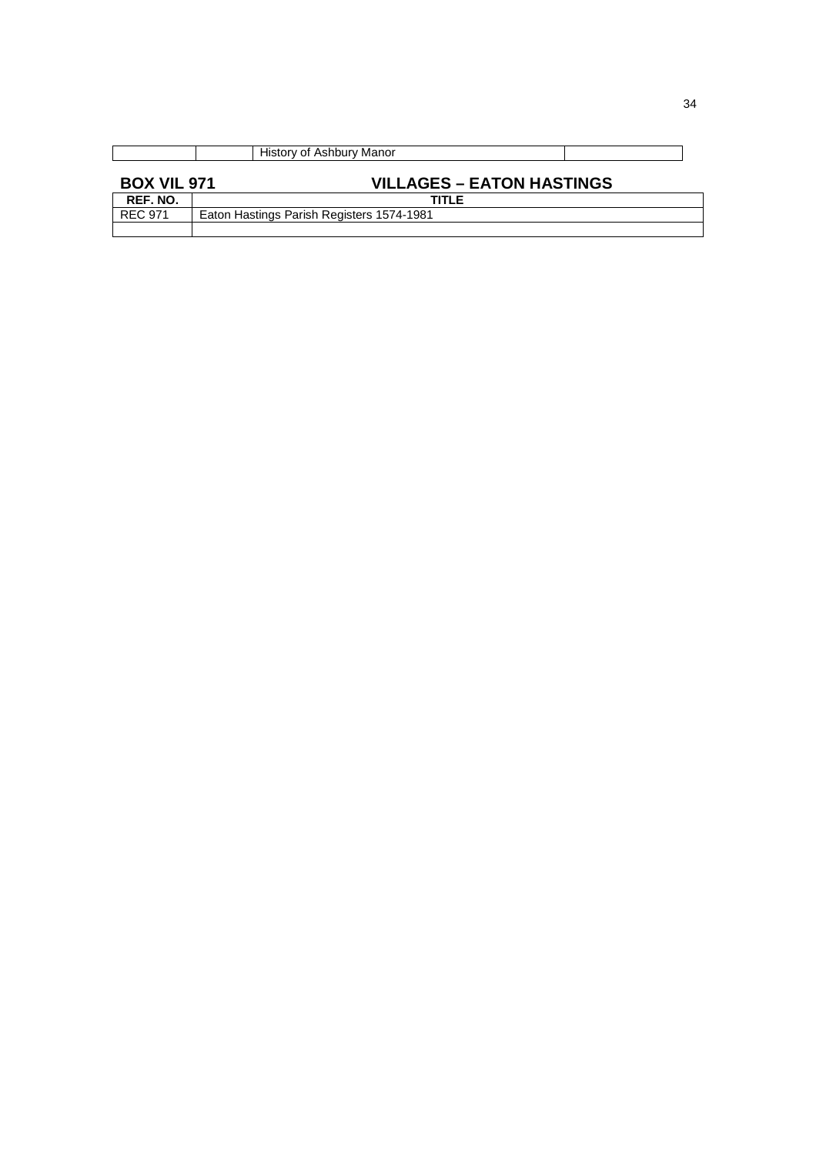|                    | History of Ashbury Manor                  |
|--------------------|-------------------------------------------|
| <b>BOX VIL 971</b> | <b>VILLAGES – EATON HASTINGS</b>          |
| REF. NO.           | TITLE                                     |
| <b>REC 971</b>     | Eaton Hastings Parish Registers 1574-1981 |
|                    |                                           |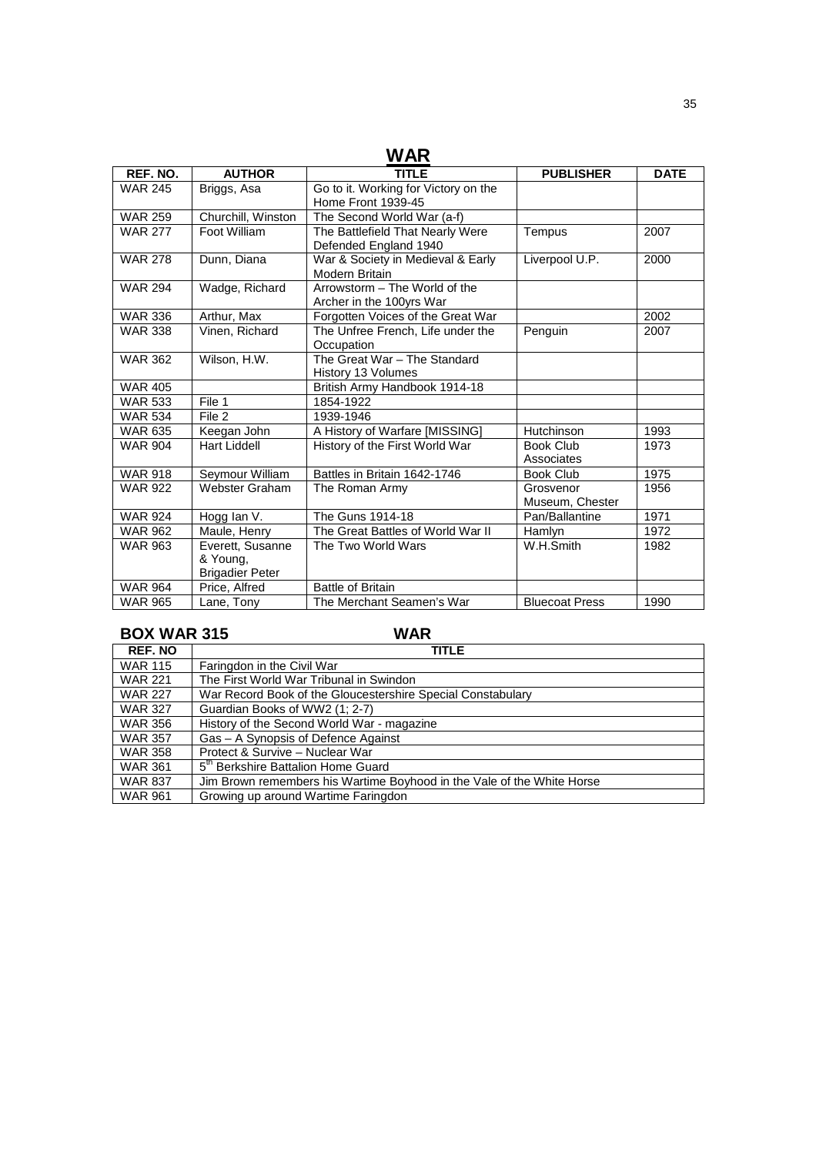| WAR            |                        |                                      |                       |             |  |
|----------------|------------------------|--------------------------------------|-----------------------|-------------|--|
| REF. NO.       | <b>AUTHOR</b>          | TITLE                                | <b>PUBLISHER</b>      | <b>DATE</b> |  |
| <b>WAR 245</b> | Briggs, Asa            | Go to it. Working for Victory on the |                       |             |  |
|                |                        | Home Front 1939-45                   |                       |             |  |
| <b>WAR 259</b> | Churchill, Winston     | The Second World War (a-f)           |                       |             |  |
| <b>WAR 277</b> | Foot William           | The Battlefield That Nearly Were     | Tempus                | 2007        |  |
|                |                        | Defended England 1940                |                       |             |  |
| <b>WAR 278</b> | Dunn, Diana            | War & Society in Medieval & Early    | Liverpool U.P.        | 2000        |  |
|                |                        | Modern Britain                       |                       |             |  |
| <b>WAR 294</b> | Wadge, Richard         | Arrowstorm - The World of the        |                       |             |  |
|                |                        | Archer in the 100yrs War             |                       |             |  |
| <b>WAR 336</b> | Arthur, Max            | Forgotten Voices of the Great War    |                       | 2002        |  |
| <b>WAR 338</b> | Vinen, Richard         | The Unfree French, Life under the    | Penguin               | 2007        |  |
|                |                        | Occupation                           |                       |             |  |
| <b>WAR 362</b> | Wilson, H.W.           | The Great War - The Standard         |                       |             |  |
|                |                        | History 13 Volumes                   |                       |             |  |
| <b>WAR 405</b> |                        | British Army Handbook 1914-18        |                       |             |  |
| <b>WAR 533</b> | File 1                 | 1854-1922                            |                       |             |  |
| <b>WAR 534</b> | File 2                 | 1939-1946                            |                       |             |  |
| <b>WAR 635</b> | Keegan John            | A History of Warfare [MISSING]       | Hutchinson            | 1993        |  |
| <b>WAR 904</b> | <b>Hart Liddell</b>    | History of the First World War       | <b>Book Club</b>      | 1973        |  |
|                |                        |                                      | Associates            |             |  |
| <b>WAR 918</b> | Seymour William        | Battles in Britain 1642-1746         | <b>Book Club</b>      | 1975        |  |
| <b>WAR 922</b> | Webster Graham         | The Roman Army                       | Grosvenor             | 1956        |  |
|                |                        |                                      | Museum, Chester       |             |  |
| <b>WAR 924</b> | Hogg lan V.            | The Guns 1914-18                     | Pan/Ballantine        | 1971        |  |
| <b>WAR 962</b> | Maule, Henry           | The Great Battles of World War II    | Hamlyn                | 1972        |  |
| <b>WAR 963</b> | Everett, Susanne       | The Two World Wars                   | W.H.Smith             | 1982        |  |
|                | & Young,               |                                      |                       |             |  |
|                | <b>Brigadier Peter</b> |                                      |                       |             |  |
| <b>WAR 964</b> | Price, Alfred          | <b>Battle of Britain</b>             |                       |             |  |
| <b>WAR 965</b> | Lane, Tony             | The Merchant Seamen's War            | <b>Bluecoat Press</b> | 1990        |  |

## **BOX WAR 315 WAR**

| <b>REF. NO</b> | <b>TITLE</b>                                                           |
|----------------|------------------------------------------------------------------------|
| <b>WAR 115</b> | Faringdon in the Civil War                                             |
| <b>WAR 221</b> | The First World War Tribunal in Swindon                                |
| <b>WAR 227</b> | War Record Book of the Gloucestershire Special Constabulary            |
| <b>WAR 327</b> | Guardian Books of WW2 (1; 2-7)                                         |
| <b>WAR 356</b> | History of the Second World War - magazine                             |
| <b>WAR 357</b> | Gas - A Synopsis of Defence Against                                    |
| <b>WAR 358</b> | Protect & Survive - Nuclear War                                        |
| <b>WAR 361</b> | 5 <sup>th</sup> Berkshire Battalion Home Guard                         |
| <b>WAR 837</b> | Jim Brown remembers his Wartime Boyhood in the Vale of the White Horse |
| <b>WAR 961</b> | Growing up around Wartime Faringdon                                    |